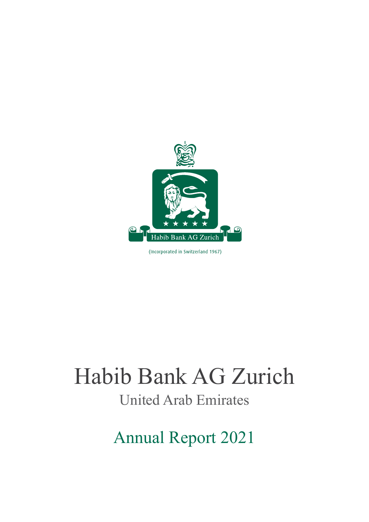

(Incorporated in Switzerland 1967)

# United Arab Emirates Habib Bank AG Zurich

Annual Report 2021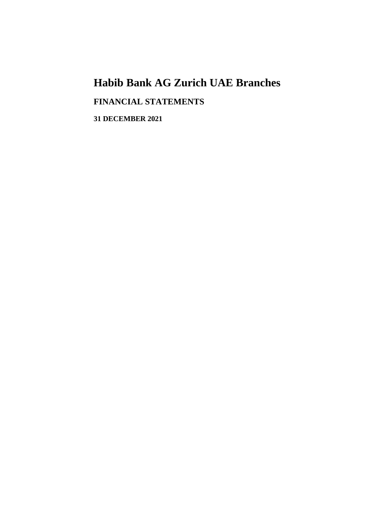# **FINANCIAL STATEMENTS**

**31 DECEMBER 2021**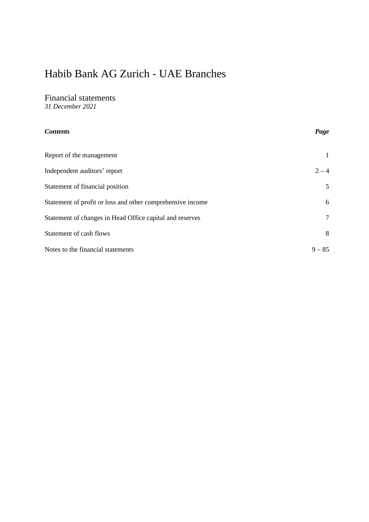Financial statements

*31 December 2021*

| <b>Contents</b> | Page |
|-----------------|------|
|-----------------|------|

| Report of the management                                   |          |
|------------------------------------------------------------|----------|
| Independent auditors' report                               | $2 - 4$  |
| Statement of financial position                            | 5        |
| Statement of profit or loss and other comprehensive income | 6        |
| Statement of changes in Head Office capital and reserves   | 7        |
| Statement of cash flows                                    | 8        |
| Notes to the financial statements                          | $9 - 85$ |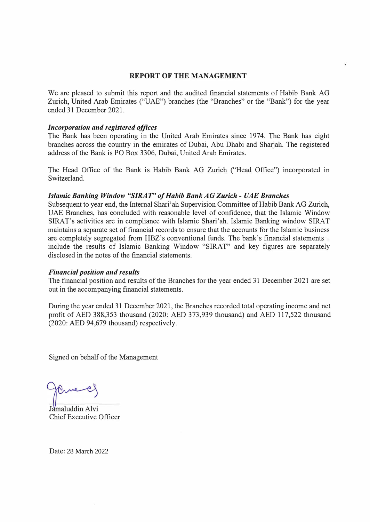#### **REPORT OF THE MANAGEMENT**

We are pleased to submit this report and the audited financial statements of Habib Bank AG Zurich, United Arab Emirates ("UAE") branches (the "Branches" or the "Bank") for the year ended 31 December 2021.

#### *Incorporation and registered offices*

The Bank has been operating in the United Arab Emirates since 1974. The Bank has eight branches across the country in the emirates of Dubai, Abu Dhabi and Sharjah. The registered address of the Bank is PO Box 3306, Dubai, United Arab Emirates.

The Head Office of the Bank is Habib Bank AG Zurich ("Head Office") incorporated in Switzerland.

#### *Islamic Banking Window "SIRAT" of Habib Bank AG Zurich - UAE Branches*

Subsequent to year end, the Internal Shari'ah Supervision Committee of Habib Bank AG Zurich, UAE Branches, has concluded with reasonable level of confidence, that the Islamic Window SIRAT's activities are in compliance with Islamic Shari'ah. Islamic Banking window SIRAT maintains a separate set of financial records to ensure that the accounts for the Islamic business are completely segregated from HBZ's conventional funds. The bank's financial statements include the results of Islamic Banking Window "SIRAT" and key figures are separately disclosed in the notes of the financial statements.

#### *Financial position and results*

The financial position and results of the Branches for the year ended 31 December 2021 are set out in the accompanying financial statements.

During the year ended 31 December 2021, the Branches recorded total operating income and net profit of AED 388,353 thousand (2020: AED 373,939 thousand) and AED 117,522 thousand (2020: AED 94,679 thousand) respectively.

Signed on behalf of the Management

Jamaluddin Alvi Chief Executive Officer

Date: 28 March 2022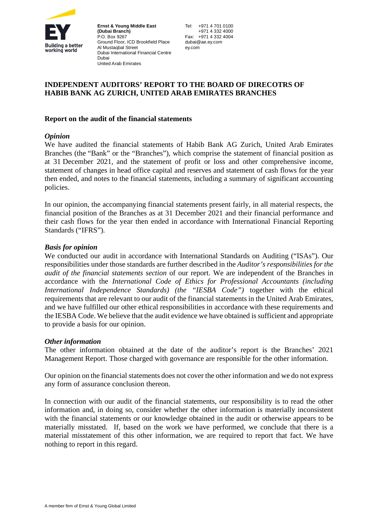

**Ernst & Young Middle East (Dubai Branch)** P.O. Box 9267 Ground Floor, ICD Brookfield Place Al Mustaqbal Street Dubai International Financial Centre Dubai United Arab Emirates

Tel: +971 4 701 0100 +971 4 332 4000 Fax: +971 4 332 4004 dubai@ae.ey.com ey.com

#### **INDEPENDENT AUDITORS' REPORT TO THE BOARD OF DIRECOTRS OF HABIB BANK AG ZURICH, UNITED ARAB EMIRATES BRANCHES**

#### **Report on the audit of the financial statements**

#### *Opinion*

We have audited the financial statements of Habib Bank AG Zurich, United Arab Emirates Branches (the "Bank" or the "Branches"), which comprise the statement of financial position as at 31 December 2021, and the statement of profit or loss and other comprehensive income, statement of changes in head office capital and reserves and statement of cash flows for the year then ended, and notes to the financial statements, including a summary of significant accounting policies.

In our opinion, the accompanying financial statements present fairly, in all material respects, the financial position of the Branches as at 31 December 2021 and their financial performance and their cash flows for the year then ended in accordance with International Financial Reporting Standards ("IFRS").

#### *Basis for opinion*

We conducted our audit in accordance with International Standards on Auditing ("ISAs"). Our responsibilities under those standards are further described in the *Auditor's responsibilities for the audit of the financial statements section* of our report. We are independent of the Branches in accordance with the *International Code of Ethics for Professional Accountants (including International Independence Standards) (the "IESBA Code")* together with the ethical requirements that are relevant to our audit of the financial statements in the United Arab Emirates, and we have fulfilled our other ethical responsibilities in accordance with these requirements and the IESBA Code. We believe that the audit evidence we have obtained is sufficient and appropriate to provide a basis for our opinion.

#### *Other information*

The other information obtained at the date of the auditor's report is the Branches' 2021 Management Report. Those charged with governance are responsible for the other information.

Our opinion on the financial statements does not cover the other information and we do not express any form of assurance conclusion thereon.

In connection with our audit of the financial statements, our responsibility is to read the other information and, in doing so, consider whether the other information is materially inconsistent with the financial statements or our knowledge obtained in the audit or otherwise appears to be materially misstated. If, based on the work we have performed, we conclude that there is a material misstatement of this other information, we are required to report that fact. We have nothing to report in this regard.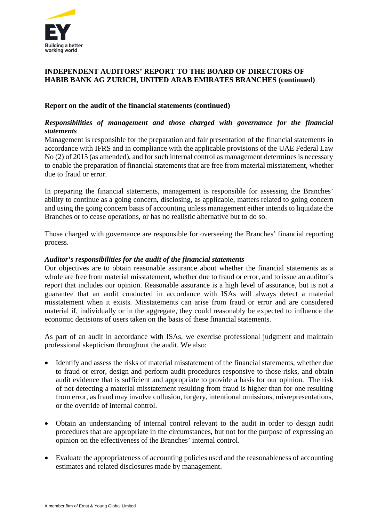

#### **INDEPENDENT AUDITORS' REPORT TO THE BOARD OF DIRECTORS OF HABIB BANK AG ZURICH, UNITED ARAB EMIRATES BRANCHES (continued)**

#### **Report on the audit of the financial statements (continued)**

#### *Responsibilities of management and those charged with governance for the financial statements*

Management is responsible for the preparation and fair presentation of the financial statements in accordance with IFRS and in compliance with the applicable provisions of the UAE Federal Law No (2) of 2015 (as amended), and for such internal control as management determines is necessary to enable the preparation of financial statements that are free from material misstatement, whether due to fraud or error.

In preparing the financial statements, management is responsible for assessing the Branches' ability to continue as a going concern, disclosing, as applicable, matters related to going concern and using the going concern basis of accounting unless management either intends to liquidate the Branches or to cease operations, or has no realistic alternative but to do so.

Those charged with governance are responsible for overseeing the Branches' financial reporting process.

#### *Auditor's responsibilities for the audit of the financial statements*

Our objectives are to obtain reasonable assurance about whether the financial statements as a whole are free from material misstatement, whether due to fraud or error, and to issue an auditor's report that includes our opinion. Reasonable assurance is a high level of assurance, but is not a guarantee that an audit conducted in accordance with ISAs will always detect a material misstatement when it exists. Misstatements can arise from fraud or error and are considered material if, individually or in the aggregate, they could reasonably be expected to influence the economic decisions of users taken on the basis of these financial statements.

As part of an audit in accordance with ISAs, we exercise professional judgment and maintain professional skepticism throughout the audit. We also:

- Identify and assess the risks of material misstatement of the financial statements, whether due to fraud or error, design and perform audit procedures responsive to those risks, and obtain audit evidence that is sufficient and appropriate to provide a basis for our opinion. The risk of not detecting a material misstatement resulting from fraud is higher than for one resulting from error, as fraud may involve collusion, forgery, intentional omissions, misrepresentations, or the override of internal control.
- Obtain an understanding of internal control relevant to the audit in order to design audit procedures that are appropriate in the circumstances, but not for the purpose of expressing an opinion on the effectiveness of the Branches' internal control.
- Evaluate the appropriateness of accounting policies used and the reasonableness of accounting estimates and related disclosures made by management.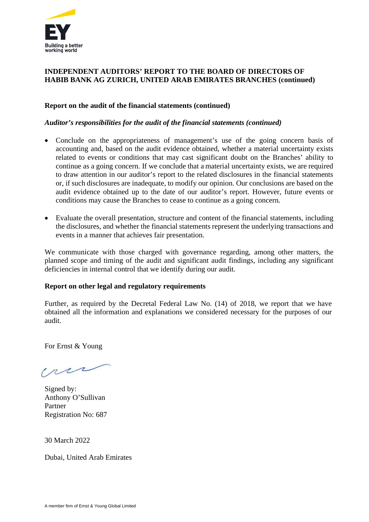

#### **INDEPENDENT AUDITORS' REPORT TO THE BOARD OF DIRECTORS OF HABIB BANK AG ZURICH, UNITED ARAB EMIRATES BRANCHES (continued)**

#### **Report on the audit of the financial statements (continued)**

#### *Auditor's responsibilities for the audit of the financial statements (continued)*

- Conclude on the appropriateness of management's use of the going concern basis of accounting and, based on the audit evidence obtained, whether a material uncertainty exists related to events or conditions that may cast significant doubt on the Branches' ability to continue as a going concern. If we conclude that a material uncertainty exists, we are required to draw attention in our auditor's report to the related disclosures in the financial statements or, if such disclosures are inadequate, to modify our opinion. Our conclusions are based on the audit evidence obtained up to the date of our auditor's report. However, future events or conditions may cause the Branches to cease to continue as a going concern.
- Evaluate the overall presentation, structure and content of the financial statements, including the disclosures, and whether the financial statements represent the underlying transactions and events in a manner that achieves fair presentation.

We communicate with those charged with governance regarding, among other matters, the planned scope and timing of the audit and significant audit findings, including any significant deficiencies in internal control that we identify during our audit.

#### **Report on other legal and regulatory requirements**

Further, as required by the Decretal Federal Law No. (14) of 2018, we report that we have obtained all the information and explanations we considered necessary for the purposes of our audit.

For Ernst & Young

cris

Signed by: Anthony O'Sullivan Partner Registration No: 687

30 March 2022

Dubai, United Arab Emirates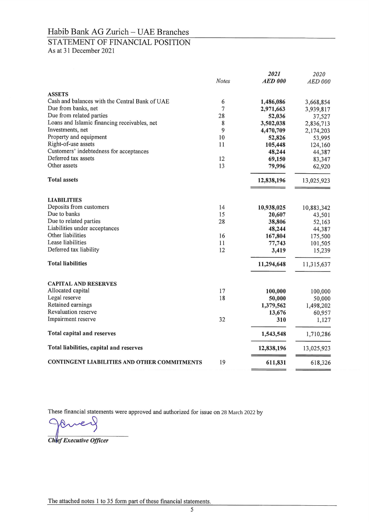# STATEMENT OF FINANCIAL POSITION

As at 31 December 2021

|                                                     |                | 2021           | 2020           |
|-----------------------------------------------------|----------------|----------------|----------------|
|                                                     | <b>Notes</b>   | <b>AED 000</b> | <b>AED 000</b> |
| <b>ASSETS</b>                                       |                |                |                |
| Cash and balances with the Central Bank of UAE      | 6              | 1,486,086      | 3,668,854      |
| Due from banks, net                                 | $\overline{7}$ | 2,971,663      | 3,939,817      |
| Due from related parties                            | 28             | 52,036         | 37,527         |
| Loans and Islamic financing receivables, net        | 8              | 3,502,038      | 2,836,713      |
| Investments, net                                    | 9              | 4,470,709      | 2,174,203      |
| Property and equipment                              | 10             | 52,826         | 53,995         |
| Right-of-use assets                                 | 11             | 105,448        | 124,160        |
| Customers' indebtedness for acceptances             |                | 48,244         | 44,387         |
| Deferred tax assets                                 | 12             | 69,150         | 83,347         |
| Other assets                                        | 13             | 79,996         | 62,920         |
| <b>Total assets</b>                                 |                | 12,838,196     | 13,025,923     |
|                                                     |                |                |                |
| <b>LIABILITIES</b>                                  |                |                |                |
| Deposits from customers                             | 14             | 10,938,025     | 10,883,342     |
| Due to banks                                        | 15             | 20,607         | 43,501         |
| Due to related parties                              | 28             | 38,806         | 52,163         |
| Liabilities under acceptances                       |                | 48,244         | 44,387         |
| Other liabilities                                   | 16             | 167,804        | 175,500        |
| Lease liabilities                                   | 11             | 77,743         | 101,505        |
| Deferred tax liability                              | 12             | 3,419          | 15,239         |
| <b>Total liabilities</b>                            |                | 11,294,648     | 11,315,637     |
| <b>CAPITAL AND RESERVES</b>                         |                |                |                |
| Allocated capital                                   | 17             | 100,000        | 100,000        |
| Legal reserve                                       | 18             | 50,000         | 50,000         |
| Retained earnings                                   |                | 1,379,562      | 1,498,202      |
| Revaluation reserve                                 |                | 13,676         | 60,957         |
| Impairment reserve                                  | 32             | 310            | 1,127          |
| <b>Total capital and reserves</b>                   |                | 1,543,548      | 1,710,286      |
| Total liabilities, capital and reserves             |                | 12,838,196     | 13,025,923     |
| <b>CONTINGENT LIABILITIES AND OTHER COMMITMENTS</b> | 19             | 611,831        | 618,326        |
|                                                     |                |                |                |

These financial statements were approved and authorized for issue on 28 March 2022 by

Janey

**Chief Executive Officer**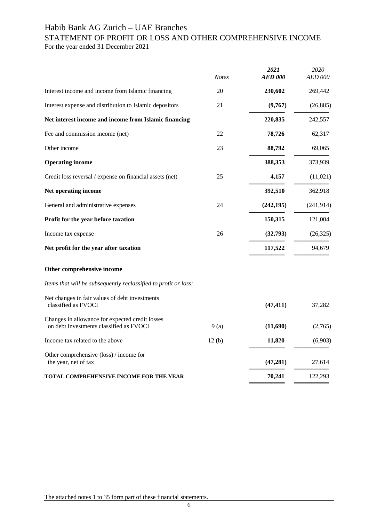# STATEMENT OF PROFIT OR LOSS AND OTHER COMPREHENSIVE INCOME For the year ended 31 December 2021

|                                                                                            | <b>Notes</b> | 2021<br><b>AED 000</b> | 2020<br><i><b>AED 000</b></i> |
|--------------------------------------------------------------------------------------------|--------------|------------------------|-------------------------------|
| Interest income and income from Islamic financing                                          | 20           | 230,602                | 269,442                       |
| Interest expense and distribution to Islamic depositors                                    | 21           | (9,767)                | (26, 885)                     |
| Net interest income and income from Islamic financing                                      |              | 220,835                | 242,557                       |
| Fee and commission income (net)                                                            | 22           | 78,726                 | 62,317                        |
| Other income                                                                               | 23           | 88,792                 | 69,065                        |
| <b>Operating income</b>                                                                    |              | 388,353                | 373,939                       |
| Credit loss reversal / expense on financial assets (net)                                   | 25           | 4,157                  | (11,021)                      |
| Net operating income                                                                       |              | 392,510                | 362,918                       |
| General and administrative expenses                                                        | 24           | (242, 195)             | (241, 914)                    |
| Profit for the year before taxation                                                        |              | 150,315                | 121,004                       |
| Income tax expense                                                                         | 26           | (32,793)               | (26, 325)                     |
| Net profit for the year after taxation                                                     |              | 117,522                | 94,679                        |
| Other comprehensive income                                                                 |              |                        |                               |
| Items that will be subsequently reclassified to profit or loss:                            |              |                        |                               |
| Net changes in fair values of debt investments<br>classified as FVOCI                      |              | (47, 411)              | 37,282                        |
| Changes in allowance for expected credit losses<br>on debt investments classified as FVOCI | 9(a)         | (11,690)               | (2,765)                       |
| Income tax related to the above                                                            | 12(b)        | 11,820                 | (6,903)                       |
| Other comprehensive (loss) / income for<br>the year, net of tax                            |              | (47, 281)              | 27,614                        |
| TOTAL COMPREHENSIVE INCOME FOR THE YEAR                                                    |              | 70,241                 | 122,293                       |
|                                                                                            |              |                        |                               |

The attached notes 1 to 35 form part of these financial statements.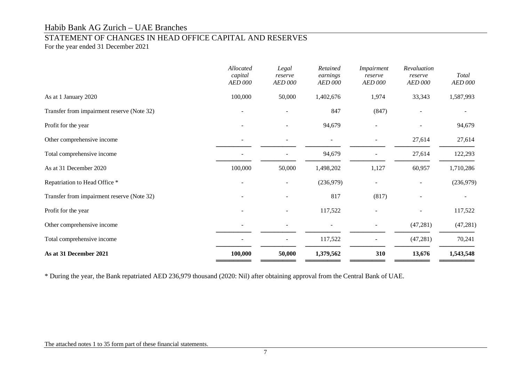# STATEMENT OF CHANGES IN HEAD OFFICE CAPITAL AND RESERVES

For the year ended 31 December 2021

|                                            | Allocated<br>capital<br><b>AED 000</b> | Legal<br>reserve<br><b>AED 000</b> | Retained<br>earnings<br><b>AED 000</b> | <b>Impairment</b><br>reserve<br><b>AED 000</b> | Revaluation<br>reserve<br><b>AED 000</b> | Total<br><b>AED 000</b> |
|--------------------------------------------|----------------------------------------|------------------------------------|----------------------------------------|------------------------------------------------|------------------------------------------|-------------------------|
| As at 1 January 2020                       | 100,000                                | 50,000                             | 1,402,676                              | 1,974                                          | 33,343                                   | 1,587,993               |
| Transfer from impairment reserve (Note 32) |                                        |                                    | 847                                    | (847)                                          |                                          |                         |
| Profit for the year                        |                                        |                                    | 94,679                                 |                                                |                                          | 94,679                  |
| Other comprehensive income                 |                                        |                                    |                                        | $\blacksquare$                                 | 27,614                                   | 27,614                  |
| Total comprehensive income                 |                                        |                                    | 94,679                                 |                                                | 27,614                                   | 122,293                 |
| As at 31 December 2020                     | 100,000                                | 50,000                             | 1,498,202                              | 1,127                                          | 60,957                                   | 1,710,286               |
| Repatriation to Head Office *              |                                        |                                    | (236,979)                              |                                                | $\overline{\phantom{a}}$                 | (236,979)               |
| Transfer from impairment reserve (Note 32) |                                        |                                    | 817                                    | (817)                                          |                                          |                         |
| Profit for the year                        |                                        |                                    | 117,522                                |                                                |                                          | 117,522                 |
| Other comprehensive income                 |                                        |                                    | $\overline{\phantom{a}}$               | $\blacksquare$                                 | (47, 281)                                | (47,281)                |
| Total comprehensive income                 |                                        | $\blacksquare$                     | 117,522                                |                                                | (47, 281)                                | 70,241                  |
| As at 31 December 2021                     | 100,000                                | 50,000                             | 1,379,562                              | 310                                            | 13,676                                   | 1,543,548               |

\* During the year, the Bank repatriated AED 236,979 thousand (2020: Nil) after obtaining approval from the Central Bank of UAE.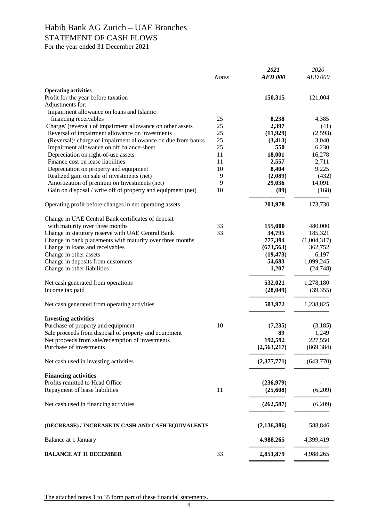# STATEMENT OF CASH FLOWS

For the year ended 31 December 2021

|                                                                                  | <b>Notes</b> | 2021<br><b>AED 000</b> | 2020<br><b>AED 000</b> |
|----------------------------------------------------------------------------------|--------------|------------------------|------------------------|
| <b>Operating activities</b>                                                      |              |                        |                        |
| Profit for the year before taxation                                              |              | 150,315                | 121,004                |
| Adjustments for:                                                                 |              |                        |                        |
| Impairment allowance on loans and Islamic                                        |              |                        |                        |
| financing receivables                                                            | 25           | 8,238                  | 4,385                  |
| Charge/ (reversal) of impairment allowance on other assets                       | 25           | 2,397                  | (41)                   |
| Reversal of impairment allowance on investments                                  | 25           | (11, 929)              | (2,593)                |
| (Reversal)/ charge of impairment allowance on due from banks                     | 25<br>25     | (3, 413)<br>550        | 3,040<br>6,230         |
| Impairment allowance on off balance-sheet<br>Depreciation on right-of-use assets | 11           | 18,001                 | 16,278                 |
| Finance cost on lease liabilities                                                | 11           | 2,557                  | 2,711                  |
| Depreciation on property and equipment                                           | 10           | 8,404                  | 9,225                  |
| Realized gain on sale of investments (net)                                       | 9            | (2,089)                | (432)                  |
| Amortization of premium on Investments (net)                                     | 9            | 29,036                 | 14,091                 |
| Gain on disposal / write off of property and equipment (net)                     | 10           | (89)                   | (168)                  |
|                                                                                  |              |                        |                        |
| Operating profit before changes in net operating assets                          |              | 201,978                | 173,730                |
| Change in UAE Central Bank certificates of deposit                               |              |                        |                        |
| with maturity over three months                                                  | 33           | 155,000                | 480,000                |
| Change in statutory reserve with UAE Central Bank                                | 33           | 34,795                 | 185,321                |
| Change in bank placements with maturity over three months                        |              | 777,394                | (1,004,317)            |
| Change in loans and receivables                                                  |              | (673, 563)             | 362,752                |
| Change in other assets                                                           |              | (19, 473)              | 6,197                  |
| Change in deposits from customers                                                |              | 54,683                 | 1,099,245              |
| Change in other liabilities                                                      |              | 1,207                  | (24, 748)              |
| Net cash generated from operations                                               |              | 532,021                | 1,278,180              |
| Income tax paid                                                                  |              | (28, 049)              | (39, 355)              |
| Net cash generated from operating activities                                     |              | 503,972                | 1,238,825              |
| <b>Investing activities</b>                                                      |              |                        |                        |
| Purchase of property and equipment                                               | 10           | (7,235)                | (3,185)                |
| Sale proceeds from disposal of property and equipment                            |              | 89                     | 1,249                  |
| Net proceeds from sale/redemption of investments                                 |              | 192,592                | 227,550                |
| Purchase of investments                                                          |              | (2,563,217)            | (869, 384)             |
| Net cash used in investing activities                                            |              | (2,377,771)            | (643,770)              |
| <b>Financing activities</b>                                                      |              |                        |                        |
| Profits remitted to Head Office                                                  |              | (236,979)              |                        |
| Repayment of lease liabilities                                                   | 11           | (25,608)               | (6,209)                |
| Net cash used in financing activities                                            |              | (262, 587)             | (6,209)                |
| (DECREASE) / INCREASE IN CASH AND CASH EQUIVALENTS                               |              | (2, 136, 386)          | 588,846                |
| Balance at 1 January                                                             |              | 4,988,265              | 4,399,419              |
|                                                                                  | 33           | 2,851,879              | 4,988,265              |
| <b>BALANCE AT 31 DECEMBER</b>                                                    |              |                        |                        |

The attached notes 1 to 35 form part of these financial statements.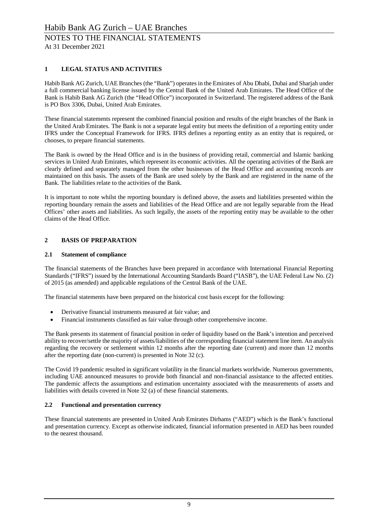#### **1 LEGAL STATUS AND ACTIVITIES**

Habib Bank AG Zurich, UAE Branches (the "Bank") operates in the Emirates of Abu Dhabi, Dubai and Sharjah under a full commercial banking license issued by the Central Bank of the United Arab Emirates. The Head Office of the Bank is Habib Bank AG Zurich (the "Head Office") incorporated in Switzerland. The registered address of the Bank is PO Box 3306, Dubai, United Arab Emirates.

These financial statements represent the combined financial position and results of the eight branches of the Bank in the United Arab Emirates. The Bank is not a separate legal entity but meets the definition of a reporting entity under IFRS under the Conceptual Framework for IFRS. IFRS defines a reporting entity as an entity that is required, or chooses, to prepare financial statements.

The Bank is owned by the Head Office and is in the business of providing retail, commercial and Islamic banking services in United Arab Emirates, which represent its economic activities. All the operating activities of the Bank are clearly defined and separately managed from the other businesses of the Head Office and accounting records are maintained on this basis. The assets of the Bank are used solely by the Bank and are registered in the name of the Bank. The liabilities relate to the activities of the Bank.

It is important to note whilst the reporting boundary is defined above, the assets and liabilities presented within the reporting boundary remain the assets and liabilities of the Head Office and are not legally separable from the Head Offices' other assets and liabilities. As such legally, the assets of the reporting entity may be available to the other claims of the Head Office.

#### **2 BASIS OF PREPARATION**

#### **2.1 Statement of compliance**

The financial statements of the Branches have been prepared in accordance with International Financial Reporting Standards ("IFRS") issued by the International Accounting Standards Board ("IASB"), the UAE Federal Law No. (2) of 2015 (as amended) and applicable regulations of the Central Bank of the UAE.

The financial statements have been prepared on the historical cost basis except for the following:

- Derivative financial instruments measured at fair value; and
- Financial instruments classified as fair value through other comprehensive income.

The Bank presents its statement of financial position in order of liquidity based on the Bank's intention and perceived ability to recover/settle the majority of assets/liabilities of the corresponding financial statement line item. An analysis regarding the recovery or settlement within 12 months after the reporting date (current) and more than 12 months after the reporting date (non-current) is presented in Note 32 (c).

The Covid 19 pandemic resulted in significant volatility in the financial markets worldwide. Numerous governments, including UAE announced measures to provide both financial and non-financial assistance to the affected entities. The pandemic affects the assumptions and estimation uncertainty associated with the measurements of assets and liabilities with details covered in Note 32 (a) of these financial statements.

#### **2.2 Functional and presentation currency**

These financial statements are presented in United Arab Emirates Dirhams ("AED") which is the Bank's functional and presentation currency. Except as otherwise indicated, financial information presented in AED has been rounded to the nearest thousand.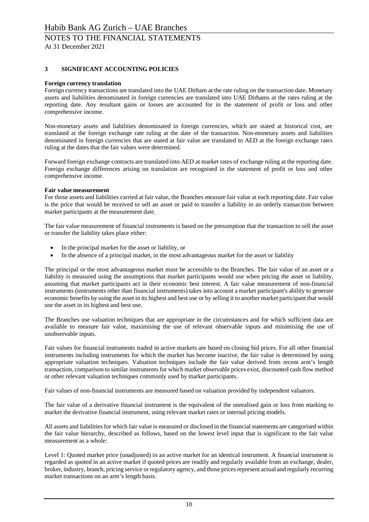#### **3 SIGNIFICANT ACCOUNTING POLICIES**

#### **Foreign currency translation**

Foreign currency transactions are translated into the UAE Dirham at the rate ruling on the transaction date. Monetary assets and liabilities denominated in foreign currencies are translated into UAE Dirhams at the rates ruling at the reporting date. Any resultant gains or losses are accounted for in the statement of profit or loss and other comprehensive income.

Non-monetary assets and liabilities denominated in foreign currencies, which are stated at historical cost, are translated at the foreign exchange rate ruling at the date of the transaction. Non-monetary assets and liabilities denominated in foreign currencies that are stated at fair value are translated to AED at the foreign exchange rates ruling at the dates that the fair values were determined.

Forward foreign exchange contracts are translated into AED at market rates of exchange ruling at the reporting date. Foreign exchange differences arising on translation are recognised in the statement of profit or loss and other comprehensive income.

#### **Fair value measurement**

For those assets and liabilities carried at fair value, the Branches measure fair value at each reporting date. Fair value is the price that would be received to sell an asset or paid to transfer a liability in an orderly transaction between market participants at the measurement date.

The fair value measurement of financial instruments is based on the presumption that the transaction to sell the asset or transfer the liability takes place either:

- In the principal market for the asset or liability, or
- In the absence of a principal market, in the most advantageous market for the asset or liability

The principal or the most advantageous market must be accessible to the Branches. The fair value of an asset or a liability is measured using the assumptions that market participants would use when pricing the asset or liability, assuming that market participants act in their economic best interest. A fair value measurement of non-financial instruments (instruments other than financial instruments) takes into account a market participant's ability to generate economic benefits by using the asset in its highest and best use or by selling it to another market participant that would use the asset in its highest and best use.

The Branches use valuation techniques that are appropriate in the circumstances and for which sufficient data are available to measure fair value, maximising the use of relevant observable inputs and minimising the use of unobservable inputs.

Fair values for financial instruments traded in active markets are based on closing bid prices. For all other financial instruments including instruments for which the market has become inactive, the fair value is determined by using appropriate valuation techniques. Valuation techniques include the fair value derived from recent arm's length transaction, comparison to similar instruments for which market observable prices exist, discounted cash flow method or other relevant valuation techniques commonly used by market participants.

Fair values of non-financial instruments are measured based on valuation provided by independent valuators.

The fair value of a derivative financial instrument is the equivalent of the unrealised gain or loss from marking to market the derivative financial instrument, using relevant market rates or internal pricing models.

All assets and liabilities for which fair value is measured or disclosed in the financial statements are categorised within the fair value hierarchy, described as follows, based on the lowest level input that is significant to the fair value measurement as a whole:

Level 1: Quoted market price (unadjusted) in an active market for an identical instrument. A financial instrument is regarded as quoted in an active market if quoted prices are readily and regularly available from an exchange, dealer, broker, industry, branch, pricing service or regulatory agency, and those prices represent actual and regularly recurring market transactions on an arm's length basis.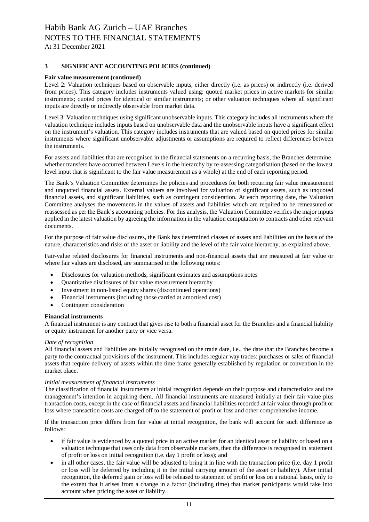#### **3 SIGNIFICANT ACCOUNTING POLICIES (continued)**

#### **Fair value measurement (continued)**

Level 2: Valuation techniques based on observable inputs, either directly (i.e. as prices) or indirectly (i.e. derived from prices). This category includes instruments valued using: quoted market prices in active markets for similar instruments; quoted prices for identical or similar instruments; or other valuation techniques where all significant inputs are directly or indirectly observable from market data.

Level 3: Valuation techniques using significant unobservable inputs. This category includes all instruments where the valuation technique includes inputs based on unobservable data and the unobservable inputs have a significant effect on the instrument's valuation. This category includes instruments that are valued based on quoted prices for similar instruments where significant unobservable adjustments or assumptions are required to reflect differences between the instruments.

For assets and liabilities that are recognised in the financial statements on a recurring basis, the Branches determine whether transfers have occurred between Levels in the hierarchy by re-assessing categorisation (based on the lowest level input that is significant to the fair value measurement as a whole) at the end of each reporting period.

The Bank's Valuation Committee determines the policies and procedures for both recurring fair value measurement and unquoted financial assets. External valuers are involved for valuation of significant assets, such as unquoted financial assets, and significant liabilities, such as contingent consideration. At each reporting date, the Valuation Committee analyses the movements in the values of assets and liabilities which are required to be remeasured or reassessed as per the Bank's accounting policies. For this analysis, the Valuation Committee verifies the major inputs applied in the latest valuation by agreeing the information in the valuation computation to contracts and other relevant documents.

For the purpose of fair value disclosures, the Bank has determined classes of assets and liabilities on the basis of the nature, characteristics and risks of the asset or liability and the level of the fair value hierarchy, as explained above.

Fair-value related disclosures for financial instruments and non-financial assets that are measured at fair value or where fair values are disclosed, are summarised in the following notes:

- Disclosures for valuation methods, significant estimates and assumptions notes
- Quantitative disclosures of fair value measurement hierarchy
- Investment in non-listed equity shares (discontinued operations)
- Financial instruments (including those carried at amortised cost)
- Contingent consideration

#### **Financial instruments**

A financial instrument is any contract that gives rise to both a financial asset for the Branches and a financial liability or equity instrument for another party or vice versa.

#### *Date of recognition*

All financial assets and liabilities are initially recognised on the trade date, i.e., the date that the Branches become a party to the contractual provisions of the instrument. This includes regular way trades: purchases or sales of financial assets that require delivery of assets within the time frame generally established by regulation or convention in the market place.

#### *Initial measurement of financial instruments*

The classification of financial instruments at initial recognition depends on their purpose and characteristics and the management's intention in acquiring them. All financial instruments are measured initially at their fair value plus transaction costs, except in the case of financial assets and financial liabilities recorded at fair value through profit or loss where transaction costs are charged off to the statement of profit or loss and other comprehensive income.

If the transaction price differs from fair value at initial recognition, the bank will account for such difference as follows:

- if fair value is evidenced by a quoted price in an active market for an identical asset or liability or based on a valuation technique that uses only data from observable markets, then the difference is recognised in statement of profit or loss on initial recognition (i.e. day 1 profit or loss); and
- in all other cases, the fair value will be adjusted to bring it in line with the transaction price (i.e. day 1 profit or loss will be deferred by including it in the initial carrying amount of the asset or liability). After initial recognition, the deferred gain or loss will be released to statement of profit or loss on a rational basis, only to the extent that it arises from a change in a factor (including time) that market participants would take into account when pricing the asset or liability.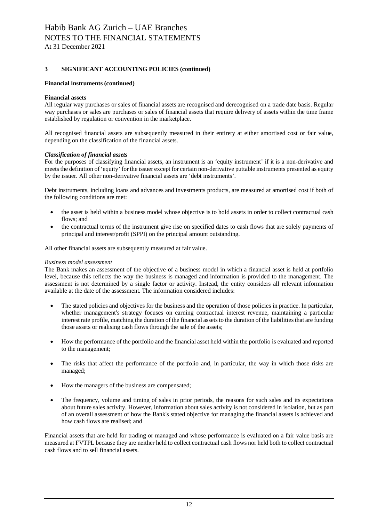At 31 December 2021

#### **3 SIGNIFICANT ACCOUNTING POLICIES (continued)**

#### **Financial instruments (continued)**

#### **Financial assets**

All regular way purchases or sales of financial assets are recognised and derecognised on a trade date basis. Regular way purchases or sales are purchases or sales of financial assets that require delivery of assets within the time frame established by regulation or convention in the marketplace.

All recognised financial assets are subsequently measured in their entirety at either amortised cost or fair value, depending on the classification of the financial assets.

#### *Classification of financial assets*

For the purposes of classifying financial assets, an instrument is an 'equity instrument' if it is a non-derivative and meets the definition of 'equity' for the issuer except for certain non-derivative puttable instruments presented as equity by the issuer. All other non-derivative financial assets are 'debt instruments'.

Debt instruments, including loans and advances and investments products, are measured at amortised cost if both of the following conditions are met:

- the asset is held within a business model whose objective is to hold assets in order to collect contractual cash flows; and
- the contractual terms of the instrument give rise on specified dates to cash flows that are solely payments of principal and interest/profit (SPPI) on the principal amount outstanding.

All other financial assets are subsequently measured at fair value.

#### *Business model assessment*

The Bank makes an assessment of the objective of a business model in which a financial asset is held at portfolio level, because this reflects the way the business is managed and information is provided to the management. The assessment is not determined by a single factor or activity. Instead, the entity considers all relevant information available at the date of the assessment. The information considered includes:

- The stated policies and objectives for the business and the operation of those policies in practice. In particular, whether management's strategy focuses on earning contractual interest revenue, maintaining a particular interest rate profile, matching the duration of the financial assets to the duration of the liabilities that are funding those assets or realising cash flows through the sale of the assets;
- How the performance of the portfolio and the financial asset held within the portfolio is evaluated and reported to the management;
- The risks that affect the performance of the portfolio and, in particular, the way in which those risks are managed;
- How the managers of the business are compensated;
- The frequency, volume and timing of sales in prior periods, the reasons for such sales and its expectations about future sales activity. However, information about sales activity is not considered in isolation, but as part of an overall assessment of how the Bank's stated objective for managing the financial assets is achieved and how cash flows are realised; and

Financial assets that are held for trading or managed and whose performance is evaluated on a fair value basis are measured at FVTPL because they are neither held to collect contractual cash flows nor held both to collect contractual cash flows and to sell financial assets.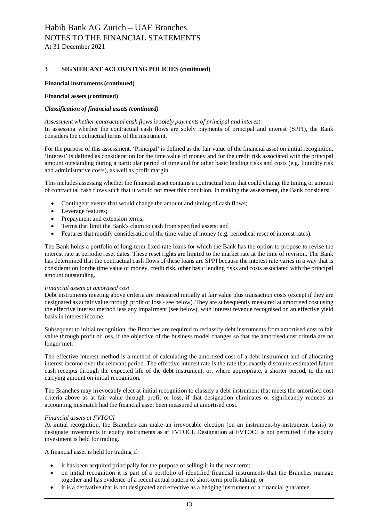At 31 December 2021

#### **3 SIGNIFICANT ACCOUNTING POLICIES (continued)**

#### **Financial instruments (continued)**

#### **Financial assets (continued)**

#### *Classification of financial assets (continued)*

*Assessment whether contractual cash flows is solely payments of principal and interest* In assessing whether the contractual cash flows are solely payments of principal and interest (SPPI), the Bank considers the contractual terms of the instrument.

For the purpose of this assessment, 'Principal' is defined as the fair value of the financial asset on initial recognition. 'Interest' is defined as consideration for the time value of money and for the credit risk associated with the principal amount outstanding during a particular period of time and for other basic lending risks and costs (e.g. liquidity risk and administrative costs), as well as profit margin.

This includes assessing whether the financial asset contains a contractual term that could change the timing or amount of contractual cash flows such that it would not meet this condition. In making the assessment, the Bank considers:

- Contingent events that would change the amount and timing of cash flows;
- Leverage features;
- Prepayment and extension terms;
- Terms that limit the Bank's claim to cash from specified assets; and
- Features that modify consideration of the time value of money (e.g. periodical reset of interest rates).

The Bank holds a portfolio of long-term fixed-rate loans for which the Bank has the option to propose to revise the interest rate at periodic reset dates. These reset rights are limited to the market rate at the time of revision. The Bank has determined that the contractual cash flows of these loans are SPPI because the interest rate varies in a way that is consideration for the time value of money, credit risk, other basic lending risks and costs associated with the principal amount outstanding.

#### *Financial assets at amortised cost*

Debt instruments meeting above criteria are measured initially at fair value plus transaction costs (except if they are designated as at fair value through profit or loss - see below). They are subsequently measured at amortised cost using the effective interest method less any impairment (see below), with interest revenue recognised on an effective yield basis in interest income.

Subsequent to initial recognition, the Branches are required to reclassify debt instruments from amortised cost to fair value through profit or loss, if the objective of the business model changes so that the amortised cost criteria are no longer met.

The effective interest method is a method of calculating the amortised cost of a debt instrument and of allocating interest income over the relevant period. The effective interest rate is the rate that exactly discounts estimated future cash receipts through the expected life of the debt instrument, or, where appropriate, a shorter period, to the net carrying amount on initial recognition.

The Branches may irrevocably elect at initial recognition to classify a debt instrument that meets the amortised cost criteria above as at fair value through profit or loss, if that designation eliminates or significantly reduces an accounting mismatch had the financial asset been measured at amortised cost.

#### *Financial assets at FVTOCI*

At initial recognition, the Branches can make an irrevocable election (on an instrument-by-instrument basis) to designate investments in equity instruments as at FVTOCI. Designation at FVTOCI is not permitted if the equity investment is held for trading.

A financial asset is held for trading if:

- it has been acquired principally for the purpose of selling it in the near term;
- on initial recognition it is part of a portfolio of identified financial instruments that the Branches manage together and has evidence of a recent actual pattern of short-term profit-taking; or
- it is a derivative that is not designated and effective as a hedging instrument or a financial guarantee.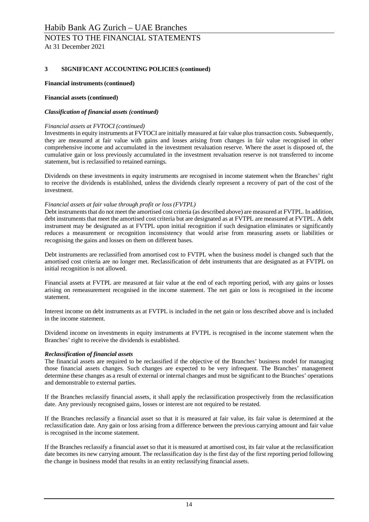#### **3 SIGNIFICANT ACCOUNTING POLICIES (continued)**

#### **Financial instruments (continued)**

#### **Financial assets (continued)**

#### *Classification of financial assets (continued)*

#### *Financial assets at FVTOCI (continued)*

Investments in equity instruments at FVTOCI are initially measured at fair value plus transaction costs. Subsequently, they are measured at fair value with gains and losses arising from changes in fair value recognised in other comprehensive income and accumulated in the investment revaluation reserve. Where the asset is disposed of, the cumulative gain or loss previously accumulated in the investment revaluation reserve is not transferred to income statement, but is reclassified to retained earnings.

Dividends on these investments in equity instruments are recognised in income statement when the Branches' right to receive the dividends is established, unless the dividends clearly represent a recovery of part of the cost of the investment.

#### *Financial assets at fair value through profit or loss (FVTPL)*

Debt instruments that do not meet the amortised cost criteria (as described above) are measured at FVTPL. In addition, debt instruments that meet the amortised cost criteria but are designated as at FVTPL are measured at FVTPL. A debt instrument may be designated as at FVTPL upon initial recognition if such designation eliminates or significantly reduces a measurement or recognition inconsistency that would arise from measuring assets or liabilities or recognising the gains and losses on them on different bases.

Debt instruments are reclassified from amortised cost to FVTPL when the business model is changed such that the amortised cost criteria are no longer met. Reclassification of debt instruments that are designated as at FVTPL on initial recognition is not allowed.

Financial assets at FVTPL are measured at fair value at the end of each reporting period, with any gains or losses arising on remeasurement recognised in the income statement. The net gain or loss is recognised in the income statement.

Interest income on debt instruments as at FVTPL is included in the net gain or loss described above and is included in the income statement.

Dividend income on investments in equity instruments at FVTPL is recognised in the income statement when the Branches' right to receive the dividends is established.

#### *Reclassification of financial assets*

The financial assets are required to be reclassified if the objective of the Branches' business model for managing those financial assets changes. Such changes are expected to be very infrequent. The Branches' management determine these changes as a result of external or internal changes and must be significant to the Branches' operations and demonstrable to external parties.

If the Branches reclassify financial assets, it shall apply the reclassification prospectively from the reclassification date. Any previously recognised gains, losses or interest are not required to be restated.

If the Branches reclassify a financial asset so that it is measured at fair value, its fair value is determined at the reclassification date. Any gain or loss arising from a difference between the previous carrying amount and fair value is recognised in the income statement.

If the Branches reclassify a financial asset so that it is measured at amortised cost, its fair value at the reclassification date becomes its new carrying amount. The reclassification day is the first day of the first reporting period following the change in business model that results in an entity reclassifying financial assets.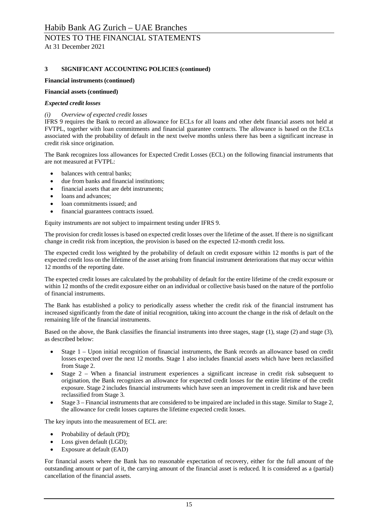#### **3 SIGNIFICANT ACCOUNTING POLICIES (continued)**

#### **Financial instruments (continued)**

#### **Financial assets (continued)**

#### *Expected credit losses*

#### *(i) Overview of expected credit losses*

IFRS 9 requires the Bank to record an allowance for ECLs for all loans and other debt financial assets not held at FVTPL, together with loan commitments and financial guarantee contracts. The allowance is based on the ECLs associated with the probability of default in the next twelve months unless there has been a significant increase in credit risk since origination.

The Bank recognizes loss allowances for Expected Credit Losses (ECL) on the following financial instruments that are not measured at FVTPL:

- balances with central banks;
- due from banks and financial institutions;
- financial assets that are debt instruments;
- loans and advances;
- loan commitments issued; and
- financial guarantees contracts issued.

Equity instruments are not subject to impairment testing under IFRS 9.

The provision for credit losses is based on expected credit losses over the lifetime of the asset. If there is no significant change in credit risk from inception, the provision is based on the expected 12-month credit loss.

The expected credit loss weighted by the probability of default on credit exposure within 12 months is part of the expected credit loss on the lifetime of the asset arising from financial instrument deteriorations that may occur within 12 months of the reporting date.

The expected credit losses are calculated by the probability of default for the entire lifetime of the credit exposure or within 12 months of the credit exposure either on an individual or collective basis based on the nature of the portfolio of financial instruments.

The Bank has established a policy to periodically assess whether the credit risk of the financial instrument has increased significantly from the date of initial recognition, taking into account the change in the risk of default on the remaining life of the financial instruments.

Based on the above, the Bank classifies the financial instruments into three stages, stage (1), stage (2) and stage (3), as described below:

- Stage 1 Upon initial recognition of financial instruments, the Bank records an allowance based on credit losses expected over the next 12 months. Stage 1 also includes financial assets which have been reclassified from Stage 2.
- Stage 2 When a financial instrument experiences a significant increase in credit risk subsequent to origination, the Bank recognizes an allowance for expected credit losses for the entire lifetime of the credit exposure. Stage 2 includes financial instruments which have seen an improvement in credit risk and have been reclassified from Stage 3.
- Stage 3 Financial instruments that are considered to be impaired are included in this stage. Similar to Stage 2, the allowance for credit losses captures the lifetime expected credit losses.

The key inputs into the measurement of ECL are:

- Probability of default (PD);
- Loss given default (LGD);
- Exposure at default (EAD)

For financial assets where the Bank has no reasonable expectation of recovery, either for the full amount of the outstanding amount or part of it, the carrying amount of the financial asset is reduced. It is considered as a (partial) cancellation of the financial assets.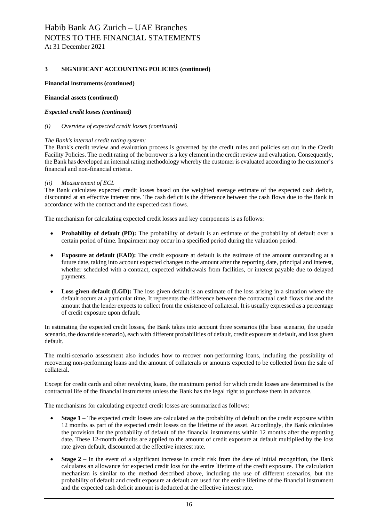#### **3 SIGNIFICANT ACCOUNTING POLICIES (continued)**

#### **Financial instruments (continued)**

#### **Financial assets (continued)**

#### *Expected credit losses (continued)*

#### *(i) Overview of expected credit losses (continued)*

#### *The Bank's internal credit rating system:*

The Bank's credit review and evaluation process is governed by the credit rules and policies set out in the Credit Facility Policies. The credit rating of the borrower is a key element in the credit review and evaluation. Consequently, the Bank has developed an internal rating methodology whereby the customer is evaluated according to the customer's financial and non-financial criteria.

#### *(ii) Measurement of ECL*

The Bank calculates expected credit losses based on the weighted average estimate of the expected cash deficit, discounted at an effective interest rate. The cash deficit is the difference between the cash flows due to the Bank in accordance with the contract and the expected cash flows.

The mechanism for calculating expected credit losses and key components is as follows:

- **Probability of default (PD):** The probability of default is an estimate of the probability of default over a certain period of time. Impairment may occur in a specified period during the valuation period.
- **Exposure at default (EAD):** The credit exposure at default is the estimate of the amount outstanding at a future date, taking into account expected changes to the amount after the reporting date, principal and interest, whether scheduled with a contract, expected withdrawals from facilities, or interest payable due to delayed payments.
- Loss given default (LGD): The loss given default is an estimate of the loss arising in a situation where the default occurs at a particular time. It represents the difference between the contractual cash flows due and the amount that the lender expects to collect from the existence of collateral. It is usually expressed as a percentage of credit exposure upon default.

In estimating the expected credit losses, the Bank takes into account three scenarios (the base scenario, the upside scenario, the downside scenario), each with different probabilities of default, credit exposure at default, and loss given default.

The multi-scenario assessment also includes how to recover non-performing loans, including the possibility of recovering non-performing loans and the amount of collaterals or amounts expected to be collected from the sale of collateral.

Except for credit cards and other revolving loans, the maximum period for which credit losses are determined is the contractual life of the financial instruments unless the Bank has the legal right to purchase them in advance.

The mechanisms for calculating expected credit losses are summarized as follows:

- **Stage 1** The expected credit losses are calculated as the probability of default on the credit exposure within 12 months as part of the expected credit losses on the lifetime of the asset. Accordingly, the Bank calculates the provision for the probability of default of the financial instruments within 12 months after the reporting date. These 12-month defaults are applied to the amount of credit exposure at default multiplied by the loss rate given default, discounted at the effective interest rate.
- **Stage 2** In the event of a significant increase in credit risk from the date of initial recognition, the Bank calculates an allowance for expected credit loss for the entire lifetime of the credit exposure. The calculation mechanism is similar to the method described above, including the use of different scenarios, but the probability of default and credit exposure at default are used for the entire lifetime of the financial instrument and the expected cash deficit amount is deducted at the effective interest rate.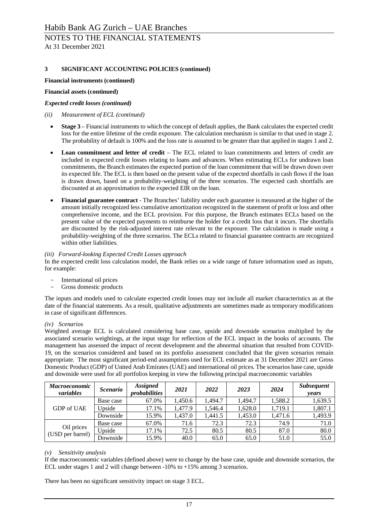#### **3 SIGNIFICANT ACCOUNTING POLICIES (continued)**

#### **Financial instruments (continued)**

#### **Financial assets (continued)**

#### *Expected credit losses (continued)*

#### *(ii) Measurement of ECL (continued)*

- **Stage 3** Financial instruments to which the concept of default applies, the Bank calculates the expected credit loss for the entire lifetime of the credit exposure. The calculation mechanism is similar to that used in stage 2. The probability of default is 100% and the loss rate is assumed to be greater than that applied in stages 1 and 2.
- **Loan commitment and letter of credit** The ECL related to loan commitments and letters of credit are included in expected credit losses relating to loans and advances. When estimating ECLs for undrawn loan commitments, the Branch estimates the expected portion of the loan commitment that will be drawn down over its expected life. The ECL is then based on the present value of the expected shortfalls in cash flows if the loan is drawn down, based on a probability-weighting of the three scenarios. The expected cash shortfalls are discounted at an approximation to the expected EIR on the loan.
- **Financial guarantee contract** The Branches' liability under each guarantee is measured at the higher of the amount initially recognized less cumulative amortization recognized in the statement of profit or loss and other comprehensive income, and the ECL provision. For this purpose, the Branch estimates ECLs based on the present value of the expected payments to reimburse the holder for a credit loss that it incurs. The shortfalls are discounted by the risk-adjusted interest rate relevant to the exposure. The calculation is made using a probability-weighting of the three scenarios. The ECLs related to financial guarantee contracts are recognized within other liabilities.

#### *(iii) Forward-looking Expected Credit Losses approach*

In the expected credit loss calculation model, the Bank relies on a wide range of future information used as inputs, for example:

- International oil prices
- Gross domestic products

The inputs and models used to calculate expected credit losses may not include all market characteristics as at the date of the financial statements. As a result, qualitative adjustments are sometimes made as temporary modifications in case of significant differences.

#### *(iv) Scenarios*

Weighted average ECL is calculated considering base case, upside and downside scenarios multiplied by the associated scenario weightings, at the input stage for reflection of the ECL impact in the books of accounts. The management has assessed the impact of recent development and the abnormal situation that resulted from COVID-19, on the scenarios considered and based on its portfolio assessment concluded that the given scenarios remain appropriate. The most significant period-end assumptions used for ECL estimate as at 31 December 2021 are Gross Domestic Product (GDP) of United Arab Emirates (UAE) and international oil prices. The scenarios base case, upside and downside were used for all portfolios keeping in view the following principal macroeconomic variables

| <b>Macroeconomic</b><br>variables | <b>Scenario</b> | <b>Assigned</b><br>probabilities | 2021    | 2022    | 2023    | 2024    | <b>Subsequent</b><br>years |
|-----------------------------------|-----------------|----------------------------------|---------|---------|---------|---------|----------------------------|
|                                   | Base case       | 67.0%                            | 1,450.6 | 1,494.7 | 1.494.7 | 1,588.2 | 1,639.5                    |
| GDP of UAE                        | Upside          | 17.1%                            | 1,477.9 | 1,546.4 | 1,628.0 | 1,719.1 | 1,807.1                    |
|                                   | Downside        | 15.9%                            | 1,437.0 | 1,441.5 | 1,453.0 | 1,471.6 | 1,493.9                    |
|                                   | Base case       | 67.0%                            | 71.6    | 72.3    | 72.3    | 74.9    | 71.0                       |
| Oil prices<br>(USD per barrel)    | Upside          | 17.1%                            | 72.5    | 80.5    | 80.5    | 87.0    | 80.0                       |
|                                   | Downside        | 15.9%                            | 40.0    | 65.0    | 65.0    | 51.0    | 55.0                       |

#### *(v) Sensitivity analysis*

If the macroeconomic variables (defined above) were to change by the base case, upside and downside scenarios, the ECL under stages 1 and 2 will change between -10% to +15% among 3 scenarios.

There has been no significant sensitivity impact on stage 3 ECL.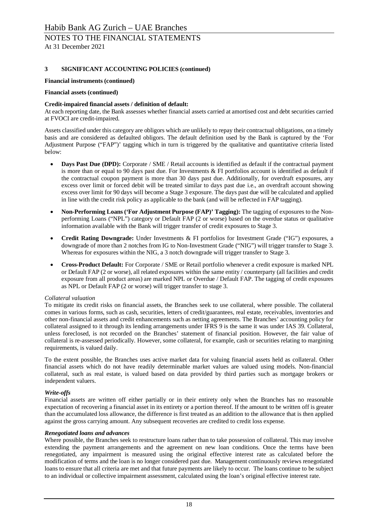#### **3 SIGNIFICANT ACCOUNTING POLICIES (continued)**

#### **Financial instruments (continued)**

#### **Financial assets (continued)**

#### **Credit-impaired financial assets / definition of default:**

At each reporting date, the Bank assesses whether financial assets carried at amortised cost and debt securities carried at FVOCI are credit-impaired.

Assets classified under this category are obligors which are unlikely to repay their contractual obligations, on a timely basis and are considered as defaulted obligors. The default definition used by the Bank is captured by the 'For Adjustment Purpose ("FAP")' tagging which in turn is triggered by the qualitative and quantitative criteria listed below:

- **•** Days Past Due (DPD): Corporate / SME / Retail accounts is identified as default if the contractual payment is more than or equal to 90 days past due. For Investments & FI portfolios account is identified as default if the contractual coupon payment is more than 30 days past due. Additionally, for overdraft exposures, any excess over limit or forced debit will be treated similar to days past due i.e., an overdraft account showing excess over limit for 90 days will become a Stage 3 exposure. The days past due will be calculated and applied in line with the credit risk policy as applicable to the bank (and will be reflected in FAP tagging).
- **Non-Performing Loans ('For Adjustment Purpose (FAP)' Tagging):** The tagging of exposures to the Nonperforming Loans ("NPL") category or Default FAP (2 or worse) based on the overdue status or qualitative information available with the Bank will trigger transfer of credit exposures to Stage 3.
- **Credit Rating Downgrade:** Under Investments & FI portfolios for Investment Grade ("IG") exposures, a downgrade of more than 2 notches from IG to Non-Investment Grade ("NIG") will trigger transfer to Stage 3. Whereas for exposures within the NIG, a 3 notch downgrade will trigger transfer to Stage 3.
- **Cross-Product Default:** For Corporate / SME or Retail portfolio whenever a credit exposure is marked NPL or Default FAP (2 or worse), all related exposures within the same entity / counterparty (all facilities and credit exposure from all product areas) are marked NPL or Overdue / Default FAP. The tagging of credit exposures as NPL or Default FAP (2 or worse) will trigger transfer to stage 3.

#### *Collateral valuation*

To mitigate its credit risks on financial assets, the Branches seek to use collateral, where possible. The collateral comes in various forms, such as cash, securities, letters of credit/guarantees, real estate, receivables, inventories and other non-financial assets and credit enhancements such as netting agreements. The Branches' accounting policy for collateral assigned to it through its lending arrangements under IFRS 9 is the same it was under IAS 39. Collateral, unless foreclosed, is not recorded on the Branches' statement of financial position. However, the fair value of collateral is re-assessed periodically. However, some collateral, for example, cash or securities relating to margining requirements, is valued daily.

To the extent possible, the Branches uses active market data for valuing financial assets held as collateral. Other financial assets which do not have readily determinable market values are valued using models. Non-financial collateral, such as real estate, is valued based on data provided by third parties such as mortgage brokers or independent valuers.

#### *Write-offs*

Financial assets are written off either partially or in their entirety only when the Branches has no reasonable expectation of recovering a financial asset in its entirety or a portion thereof. If the amount to be written off is greater than the accumulated loss allowance, the difference is first treated as an addition to the allowance that is then applied against the gross carrying amount. Any subsequent recoveries are credited to credit loss expense.

#### *Renegotiated loans and advances*

Where possible, the Branches seek to restructure loans rather than to take possession of collateral. This may involve extending the payment arrangements and the agreement on new loan conditions. Once the terms have been renegotiated, any impairment is measured using the original effective interest rate as calculated before the modification of terms and the loan is no longer considered past due. Management continuously reviews renegotiated loans to ensure that all criteria are met and that future payments are likely to occur. The loans continue to be subject to an individual or collective impairment assessment, calculated using the loan's original effective interest rate.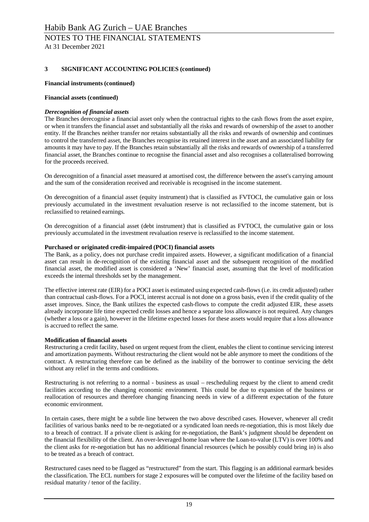#### **3 SIGNIFICANT ACCOUNTING POLICIES (continued)**

#### **Financial instruments (continued)**

#### **Financial assets (continued)**

#### *Derecognition of financial assets*

The Branches derecognise a financial asset only when the contractual rights to the cash flows from the asset expire, or when it transfers the financial asset and substantially all the risks and rewards of ownership of the asset to another entity. If the Branches neither transfer nor retains substantially all the risks and rewards of ownership and continues to control the transferred asset, the Branches recognise its retained interest in the asset and an associated liability for amounts it may have to pay. If the Branches retain substantially all the risks and rewards of ownership of a transferred financial asset, the Branches continue to recognise the financial asset and also recognises a collateralised borrowing for the proceeds received.

On derecognition of a financial asset measured at amortised cost, the difference between the asset's carrying amount and the sum of the consideration received and receivable is recognised in the income statement.

On derecognition of a financial asset (equity instrument) that is classified as FVTOCI, the cumulative gain or loss previously accumulated in the investment revaluation reserve is not reclassified to the income statement, but is reclassified to retained earnings.

On derecognition of a financial asset (debt instrument) that is classified as FVTOCI, the cumulative gain or loss previously accumulated in the investment revaluation reserve is reclassified to the income statement.

#### **Purchased or originated credit-impaired (POCI) financial assets**

The Bank, as a policy, does not purchase credit impaired assets. However, a significant modification of a financial asset can result in de-recognition of the existing financial asset and the subsequent recognition of the modified financial asset, the modified asset is considered a 'New' financial asset, assuming that the level of modification exceeds the internal thresholds set by the management.

The effective interest rate (EIR) for a POCI asset is estimated using expected cash-flows (i.e. its credit adjusted) rather than contractual cash-flows. For a POCI, interest accrual is not done on a gross basis, even if the credit quality of the asset improves. Since, the Bank utilizes the expected cash-flows to compute the credit adjusted EIR, these assets already incorporate life time expected credit losses and hence a separate loss allowance is not required. Any changes (whether a loss or a gain), however in the lifetime expected losses for these assets would require that a loss allowance is accrued to reflect the same.

#### **Modification of financial assets**

Restructuring a credit facility, based on urgent request from the client, enables the client to continue servicing interest and amortization payments. Without restructuring the client would not be able anymore to meet the conditions of the contract. A restructuring therefore can be defined as the inability of the borrower to continue servicing the debt without any relief in the terms and conditions.

Restructuring is not referring to a normal - business as usual – rescheduling request by the client to amend credit facilities according to the changing economic environment. This could be due to expansion of the business or reallocation of resources and therefore changing financing needs in view of a different expectation of the future economic environment.

In certain cases, there might be a subtle line between the two above described cases. However, whenever all credit facilities of various banks need to be re-negotiated or a syndicated loan needs re-negotiation, this is most likely due to a breach of contract. If a private client is asking for re-negotiation, the Bank's judgment should be dependent on the financial flexibility of the client. An over-leveraged home loan where the Loan-to-value (LTV) is over 100% and the client asks for re-negotiation but has no additional financial resources (which he possibly could bring in) is also to be treated as a breach of contract.

Restructured cases need to be flagged as "restructured" from the start. This flagging is an additional earmark besides the classification. The ECL numbers for stage 2 exposures will be computed over the lifetime of the facility based on residual maturity / tenor of the facility.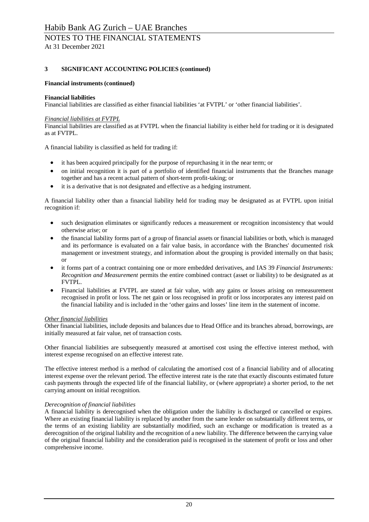At 31 December 2021

#### **3 SIGNIFICANT ACCOUNTING POLICIES (continued)**

#### **Financial instruments (continued)**

#### **Financial liabilities**

Financial liabilities are classified as either financial liabilities 'at FVTPL' or 'other financial liabilities'.

#### *Financial liabilities at FVTPL*

Financial liabilities are classified as at FVTPL when the financial liability is either held for trading or it is designated as at FVTPL.

A financial liability is classified as held for trading if:

- it has been acquired principally for the purpose of repurchasing it in the near term; or
- on initial recognition it is part of a portfolio of identified financial instruments that the Branches manage together and has a recent actual pattern of short-term profit-taking; or
- it is a derivative that is not designated and effective as a hedging instrument.

A financial liability other than a financial liability held for trading may be designated as at FVTPL upon initial recognition if:

- such designation eliminates or significantly reduces a measurement or recognition inconsistency that would otherwise arise; or
- the financial liability forms part of a group of financial assets or financial liabilities or both, which is managed and its performance is evaluated on a fair value basis, in accordance with the Branches' documented risk management or investment strategy, and information about the grouping is provided internally on that basis; or
- it forms part of a contract containing one or more embedded derivatives, and IAS 39 *Financial Instruments: Recognition and Measurement* permits the entire combined contract (asset or liability) to be designated as at FVTPL.
- Financial liabilities at FVTPL are stated at fair value, with any gains or losses arising on remeasurement recognised in profit or loss. The net gain or loss recognised in profit or loss incorporates any interest paid on the financial liability and is included in the 'other gains and losses' line item in the statement of income.

#### *Other financial liabilities*

Other financial liabilities, include deposits and balances due to Head Office and its branches abroad, borrowings, are initially measured at fair value, net of transaction costs.

Other financial liabilities are subsequently measured at amortised cost using the effective interest method, with interest expense recognised on an effective interest rate.

The effective interest method is a method of calculating the amortised cost of a financial liability and of allocating interest expense over the relevant period. The effective interest rate is the rate that exactly discounts estimated future cash payments through the expected life of the financial liability, or (where appropriate) a shorter period, to the net carrying amount on initial recognition.

#### *Derecognition of financial liabilities*

A financial liability is derecognised when the obligation under the liability is discharged or cancelled or expires. Where an existing financial liability is replaced by another from the same lender on substantially different terms, or the terms of an existing liability are substantially modified, such an exchange or modification is treated as a derecognition of the original liability and the recognition of a new liability. The difference between the carrying value of the original financial liability and the consideration paid is recognised in the statement of profit or loss and other comprehensive income.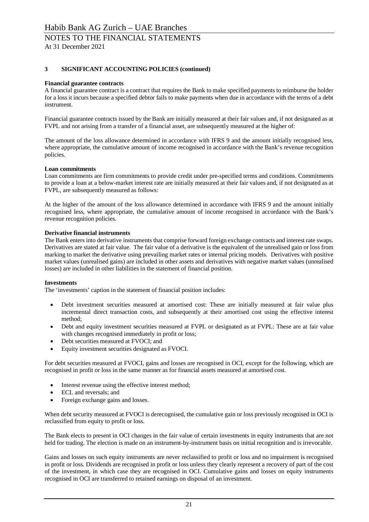#### **3 SIGNIFICANT ACCOUNTING POLICIES (continued)**

#### **Financial guarantee contracts**

A financial guarantee contract is a contract that requires the Bank to make specified payments to reimburse the holder for a loss it incurs because a specified debtor fails to make payments when due in accordance with the terms of a debt instrument.

Financial guarantee contracts issued by the Bank are initially measured at their fair values and, if not designated as at FVPL and not arising from a transfer of a financial asset, are subsequently measured at the higher of:

The amount of the loss allowance determined in accordance with IFRS 9 and the amount initially recognised less, where appropriate, the cumulative amount of income recognised in accordance with the Bank's revenue recognition policies.

#### **Loan commitments**

Loan commitments are firm commitments to provide credit under pre-specified terms and conditions. Commitments to provide a loan at a below-market interest rate are initially measured at their fair values and, if not designated as at FVPL, are subsequently measured as follows:

At the higher of the amount of the loss allowance determined in accordance with IFRS 9 and the amount initially recognised less, where appropriate, the cumulative amount of income recognised in accordance with the Bank's revenue recognition policies.

#### **Derivative financial instruments**

The Bank enters into derivative instruments that comprise forward foreign exchange contracts and interest rate swaps. Derivatives are stated at fair value. The fair value of a derivative is the equivalent of the unrealised gain or loss from marking to market the derivative using prevailing market rates or internal pricing models. Derivatives with positive market values (unrealised gains) are included in other assets and derivatives with negative market values (unrealised losses) are included in other liabilities in the statement of financial position.

#### **Investments**

The 'investments' caption in the statement of financial position includes:

- Debt investment securities measured at amortised cost: These are initially measured at fair value plus incremental direct transaction costs, and subsequently at their amortised cost using the effective interest method;
- Debt and equity investment securities measured at FVPL or designated as at FVPL: These are at fair value with changes recognised immediately in profit or loss;
- Debt securities measured at FVOCI; and
- Equity investment securities designated as FVOCI.

For debt securities measured at FVOCI, gains and losses are recognised in OCI, except for the following, which are recognised in profit or loss in the same manner as for financial assets measured at amortised cost.

- Interest revenue using the effective interest method;
- ECL and reversals; and
- Foreign exchange gains and losses.

When debt security measured at FVOCI is derecognised, the cumulative gain or loss previously recognised in OCI is reclassified from equity to profit or loss.

The Bank elects to present in OCI changes in the fair value of certain investments in equity instruments that are not held for trading. The election is made on an instrument-by-instrument basis on initial recognition and is irrevocable.

Gains and losses on such equity instruments are never reclassified to profit or loss and no impairment is recognised in profit or loss. Dividends are recognised in profit or loss unless they clearly represent a recovery of part of the cost of the investment, in which case they are recognised in OCI. Cumulative gains and losses on equity instruments recognised in OCI are transferred to retained earnings on disposal of an investment.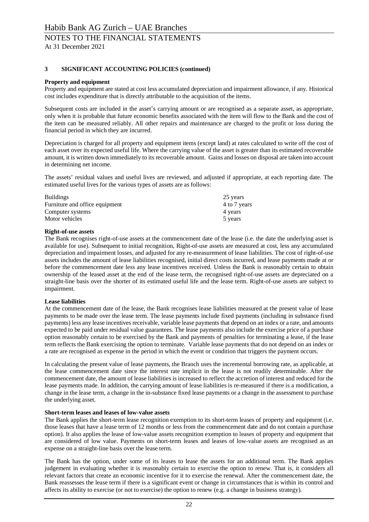At 31 December 2021

#### **3 SIGNIFICANT ACCOUNTING POLICIES (continued)**

#### **Property and equipment**

Property and equipment are stated at cost less accumulated depreciation and impairment allowance, if any. Historical cost includes expenditure that is directly attributable to the acquisition of the items.

Subsequent costs are included in the asset's carrying amount or are recognised as a separate asset, as appropriate, only when it is probable that future economic benefits associated with the item will flow to the Bank and the cost of the item can be measured reliably. All other repairs and maintenance are charged to the profit or loss during the financial period in which they are incurred.

Depreciation is charged for all property and equipment items (except land) at rates calculated to write off the cost of each asset over its expected useful life. Where the carrying value of the asset is greater than its estimated recoverable amount, it is written down immediately to its recoverable amount. Gains and losses on disposal are taken into account in determining net income.

The assets' residual values and useful lives are reviewed, and adjusted if appropriate, at each reporting date. The estimated useful lives for the various types of assets are as follows:

| <b>Buildings</b>               | 25 years     |
|--------------------------------|--------------|
| Furniture and office equipment | 4 to 7 years |
| Computer systems               | 4 years      |
| Motor vehicles                 | 5 years      |

#### **Right-of-use assets**

The Bank recognises right-of-use assets at the commencement date of the lease (i.e. the date the underlying asset is available for use). Subsequent to initial recognition, Right-of-use assets are measured at cost, less any accumulated depreciation and impairment losses, and adjusted for any re-measurement of lease liabilities. The cost of right-of-use assets includes the amount of lease liabilities recognised, initial direct costs incurred, and lease payments made at or before the commencement date less any lease incentives received. Unless the Bank is reasonably certain to obtain ownership of the leased asset at the end of the lease term, the recognised right-of-use assets are depreciated on a straight-line basis over the shorter of its estimated useful life and the lease term. Right-of-use assets are subject to impairment.

#### **Lease liabilities**

At the commencement date of the lease, the Bank recognises lease liabilities measured at the present value of lease payments to be made over the lease term. The lease payments include fixed payments (including in substance fixed payments) less any lease incentives receivable, variable lease payments that depend on an index or a rate, and amounts expected to be paid under residual value guarantees. The lease payments also include the exercise price of a purchase option reasonably certain to be exercised by the Bank and payments of penalties for terminating a lease, if the lease term reflects the Bank exercising the option to terminate. Variable lease payments that do not depend on an index or a rate are recognised as expense in the period in which the event or condition that triggers the payment occurs.

In calculating the present value of lease payments, the Branch uses the incremental borrowing rate, as applicable, at the lease commencement date since the interest rate implicit in the lease is not readily determinable. After the commencement date, the amount of lease liabilities is increased to reflect the accretion of interest and reduced for the lease payments made. In addition, the carrying amount of lease liabilities is re-measured if there is a modification, a change in the lease term, a change in the in-substance fixed lease payments or a change in the assessment to purchase the underlying asset.

#### **Short-term leases and leases of low-value assets**

The Bank applies the short-term lease recognition exemption to its short-term leases of property and equipment (i.e. those leases that have a lease term of 12 months or less from the commencement date and do not contain a purchase option). It also applies the lease of low-value assets recognition exemption to leases of property and equipment that are considered of low value. Payments on short-term leases and leases of low-value assets are recognised as an expense on a straight-line basis over the lease term.

The Bank has the option, under some of its leases to lease the assets for an additional term. The Bank applies judgement in evaluating whether it is reasonably certain to exercise the option to renew. That is, it considers all relevant factors that create an economic incentive for it to exercise the renewal. After the commencement date, the Bank reassesses the lease term if there is a significant event or change in circumstances that is within its control and affects its ability to exercise (or not to exercise) the option to renew (e.g. a change in business strategy).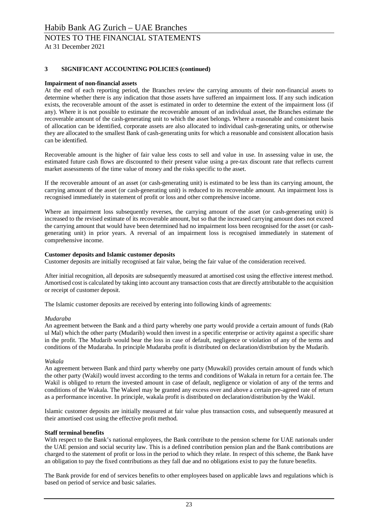#### **3 SIGNIFICANT ACCOUNTING POLICIES (continued)**

#### **Impairment of non-financial assets**

At the end of each reporting period, the Branches review the carrying amounts of their non-financial assets to determine whether there is any indication that those assets have suffered an impairment loss. If any such indication exists, the recoverable amount of the asset is estimated in order to determine the extent of the impairment loss (if any). Where it is not possible to estimate the recoverable amount of an individual asset, the Branches estimate the recoverable amount of the cash-generating unit to which the asset belongs. Where a reasonable and consistent basis of allocation can be identified, corporate assets are also allocated to individual cash-generating units, or otherwise they are allocated to the smallest Bank of cash-generating units for which a reasonable and consistent allocation basis can be identified.

Recoverable amount is the higher of fair value less costs to sell and value in use. In assessing value in use, the estimated future cash flows are discounted to their present value using a pre-tax discount rate that reflects current market assessments of the time value of money and the risks specific to the asset.

If the recoverable amount of an asset (or cash-generating unit) is estimated to be less than its carrying amount, the carrying amount of the asset (or cash-generating unit) is reduced to its recoverable amount. An impairment loss is recognised immediately in statement of profit or loss and other comprehensive income.

Where an impairment loss subsequently reverses, the carrying amount of the asset (or cash-generating unit) is increased to the revised estimate of its recoverable amount, but so that the increased carrying amount does not exceed the carrying amount that would have been determined had no impairment loss been recognised for the asset (or cashgenerating unit) in prior years. A reversal of an impairment loss is recognised immediately in statement of comprehensive income.

#### **Customer deposits and Islamic customer deposits**

Customer deposits are initially recognised at fair value, being the fair value of the consideration received.

After initial recognition, all deposits are subsequently measured at amortised cost using the effective interest method. Amortised cost is calculated by taking into account any transaction costs that are directly attributable to the acquisition or receipt of customer deposit.

The Islamic customer deposits are received by entering into following kinds of agreements:

#### *Mudaraba*

An agreement between the Bank and a third party whereby one party would provide a certain amount of funds (Rab ul Mal) which the other party (Mudarib) would then invest in a specific enterprise or activity against a specific share in the profit. The Mudarib would bear the loss in case of default, negligence or violation of any of the terms and conditions of the Mudaraba. In principle Mudaraba profit is distributed on declaration/distribution by the Mudarib.

#### *Wakala*

An agreement between Bank and third party whereby one party (Muwakil) provides certain amount of funds which the other party (Wakil) would invest according to the terms and conditions of Wakala in return for a certain fee. The Wakil is obliged to return the invested amount in case of default, negligence or violation of any of the terms and conditions of the Wakala. The Wakeel may be granted any excess over and above a certain pre-agreed rate of return as a performance incentive. In principle, wakala profit is distributed on declaration/distribution by the Wakil.

Islamic customer deposits are initially measured at fair value plus transaction costs, and subsequently measured at their amortised cost using the effective profit method.

#### **Staff terminal benefits**

With respect to the Bank's national employees, the Bank contribute to the pension scheme for UAE nationals under the UAE pension and social security law. This is a defined contribution pension plan and the Bank contributions are charged to the statement of profit or loss in the period to which they relate. In respect of this scheme, the Bank have an obligation to pay the fixed contributions as they fall due and no obligations exist to pay the future benefits.

The Bank provide for end of services benefits to other employees based on applicable laws and regulations which is based on period of service and basic salaries.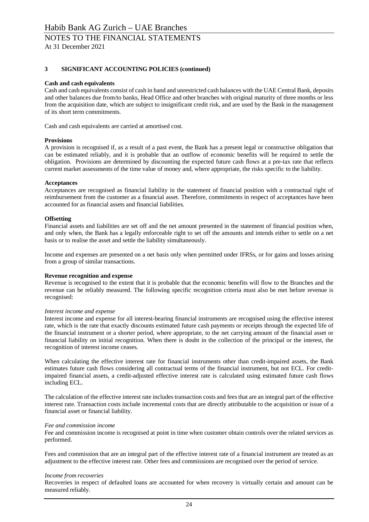#### **3 SIGNIFICANT ACCOUNTING POLICIES (continued)**

#### **Cash and cash equivalents**

Cash and cash equivalents consist of cash in hand and unrestricted cash balances with the UAE Central Bank, deposits and other balances due from/to banks, Head Office and other branches with original maturity of three months or less from the acquisition date, which are subject to insignificant credit risk, and are used by the Bank in the management of its short term commitments.

Cash and cash equivalents are carried at amortised cost.

#### **Provisions**

A provision is recognised if, as a result of a past event, the Bank has a present legal or constructive obligation that can be estimated reliably, and it is probable that an outflow of economic benefits will be required to settle the obligation. Provisions are determined by discounting the expected future cash flows at a pre-tax rate that reflects current market assessments of the time value of money and, where appropriate, the risks specific to the liability.

#### **Acceptances**

Acceptances are recognised as financial liability in the statement of financial position with a contractual right of reimbursement from the customer as a financial asset. Therefore, commitments in respect of acceptances have been accounted for as financial assets and financial liabilities.

#### **Offsetting**

Financial assets and liabilities are set off and the net amount presented in the statement of financial position when, and only when, the Bank has a legally enforceable right to set off the amounts and intends either to settle on a net basis or to realise the asset and settle the liability simultaneously.

Income and expenses are presented on a net basis only when permitted under IFRSs, or for gains and losses arising from a group of similar transactions.

#### **Revenue recognition and expense**

Revenue is recognised to the extent that it is probable that the economic benefits will flow to the Branches and the revenue can be reliably measured. The following specific recognition criteria must also be met before revenue is recognised:

#### *Interest income and expense*

Interest income and expense for all interest-bearing financial instruments are recognised using the effective interest rate, which is the rate that exactly discounts estimated future cash payments or receipts through the expected life of the financial instrument or a shorter period, where appropriate, to the net carrying amount of the financial asset or financial liability on initial recognition. When there is doubt in the collection of the principal or the interest, the recognition of interest income ceases.

When calculating the effective interest rate for financial instruments other than credit-impaired assets, the Bank estimates future cash flows considering all contractual terms of the financial instrument, but not ECL. For creditimpaired financial assets, a credit-adjusted effective interest rate is calculated using estimated future cash flows including ECL.

The calculation of the effective interest rate includes transaction costs and fees that are an integral part of the effective interest rate. Transaction costs include incremental costs that are directly attributable to the acquisition or issue of a financial asset or financial liability.

#### *Fee and commission income*

Fee and commission income is recognised at point in time when customer obtain controls over the related services as performed.

Fees and commission that are an integral part of the effective interest rate of a financial instrument are treated as an adjustment to the effective interest rate. Other fees and commissions are recognised over the period of service.

#### *Income from recoveries*

Recoveries in respect of defaulted loans are accounted for when recovery is virtually certain and amount can be measured reliably.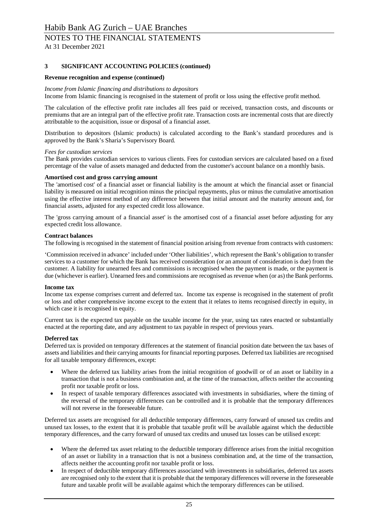**3 SIGNIFICANT ACCOUNTING POLICIES (continued)**

#### **Revenue recognition and expense (continued)**

#### *Income from Islamic financing and distributions to depositors*

Income from Islamic financing is recognised in the statement of profit or loss using the effective profit method.

The calculation of the effective profit rate includes all fees paid or received, transaction costs, and discounts or premiums that are an integral part of the effective profit rate. Transaction costs are incremental costs that are directly attributable to the acquisition, issue or disposal of a financial asset.

Distribution to depositors (Islamic products) is calculated according to the Bank's standard procedures and is approved by the Bank's Sharia's Supervisory Board.

#### *Fees for custodian services*

The Bank provides custodian services to various clients. Fees for custodian services are calculated based on a fixed percentage of the value of assets managed and deducted from the customer's account balance on a monthly basis.

#### **Amortised cost and gross carrying amount**

The 'amortised cost' of a financial asset or financial liability is the amount at which the financial asset or financial liability is measured on initial recognition minus the principal repayments, plus or minus the cumulative amortisation using the effective interest method of any difference between that initial amount and the maturity amount and, for financial assets, adjusted for any expected credit loss allowance.

The 'gross carrying amount of a financial asset' is the amortised cost of a financial asset before adjusting for any expected credit loss allowance.

#### **Contract balances**

The following is recognised in the statement of financial position arising from revenue from contracts with customers:

'Commission received in advance' included under 'Other liabilities', which represent the Bank's obligation to transfer services to a customer for which the Bank has received consideration (or an amount of consideration is due) from the customer. A liability for unearned fees and commissions is recognised when the payment is made, or the payment is due (whichever is earlier). Unearned fees and commissions are recognised as revenue when (or as) the Bank performs.

#### **Income tax**

Income tax expense comprises current and deferred tax. Income tax expense is recognised in the statement of profit or loss and other comprehensive income except to the extent that it relates to items recognised directly in equity, in which case it is recognised in equity.

Current tax is the expected tax payable on the taxable income for the year, using tax rates enacted or substantially enacted at the reporting date, and any adjustment to tax payable in respect of previous years.

#### **Deferred tax**

Deferred tax is provided on temporary differences at the statement of financial position date between the tax bases of assets and liabilities and their carrying amounts for financial reporting purposes. Deferred tax liabilities are recognised for all taxable temporary differences, except:

- Where the deferred tax liability arises from the initial recognition of goodwill or of an asset or liability in a transaction that is not a business combination and, at the time of the transaction, affects neither the accounting profit nor taxable profit or loss.
- In respect of taxable temporary differences associated with investments in subsidiaries, where the timing of the reversal of the temporary differences can be controlled and it is probable that the temporary differences will not reverse in the foreseeable future.

Deferred tax assets are recognised for all deductible temporary differences, carry forward of unused tax credits and unused tax losses, to the extent that it is probable that taxable profit will be available against which the deductible temporary differences, and the carry forward of unused tax credits and unused tax losses can be utilised except:

- Where the deferred tax asset relating to the deductible temporary difference arises from the initial recognition of an asset or liability in a transaction that is not a business combination and, at the time of the transaction, affects neither the accounting profit nor taxable profit or loss.
- In respect of deductible temporary differences associated with investments in subsidiaries, deferred tax assets are recognised only to the extent that it is probable that the temporary differences will reverse in the foreseeable future and taxable profit will be available against which the temporary differences can be utilised.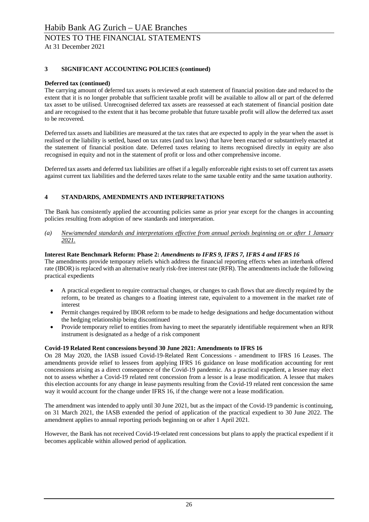#### **3 SIGNIFICANT ACCOUNTING POLICIES (continued)**

#### **Deferred tax (continued)**

The carrying amount of deferred tax assets is reviewed at each statement of financial position date and reduced to the extent that it is no longer probable that sufficient taxable profit will be available to allow all or part of the deferred tax asset to be utilised. Unrecognised deferred tax assets are reassessed at each statement of financial position date and are recognised to the extent that it has become probable that future taxable profit will allow the deferred tax asset to be recovered.

Deferred tax assets and liabilities are measured at the tax rates that are expected to apply in the year when the asset is realised or the liability is settled, based on tax rates (and tax laws) that have been enacted or substantively enacted at the statement of financial position date. Deferred taxes relating to items recognised directly in equity are also recognised in equity and not in the statement of profit or loss and other comprehensive income.

Deferred tax assets and deferred tax liabilities are offset if a legally enforceable right exists to set off current tax assets against current tax liabilities and the deferred taxes relate to the same taxable entity and the same taxation authority.

#### **4 STANDARDS, AMENDMENTS AND INTERPRETATIONS**

The Bank has consistently applied the accounting policies same as prior year except for the changes in accounting policies resulting from adoption of new standards and interpretation.

*(a) New/amended standards and interpretations effective from annual periods beginning on or after 1 January 2021.*

#### **Interest Rate Benchmark Reform: Phase 2:** *Amendments to IFRS 9, IFRS 7, IFRS 4 and IFRS 16*

The amendments provide temporary reliefs which address the financial reporting effects when an interbank offered rate (IBOR) is replaced with an alternative nearly risk-free interest rate (RFR). The amendments include the following practical expedients

- A practical expedient to require contractual changes, or changes to cash flows that are directly required by the reform, to be treated as changes to a floating interest rate, equivalent to a movement in the market rate of interest
- Permit changes required by IBOR reform to be made to hedge designations and hedge documentation without the hedging relationship being discontinued
- Provide temporary relief to entities from having to meet the separately identifiable requirement when an RFR instrument is designated as a hedge of a risk component

#### **Covid-19 Related Rent concessions beyond 30 June 2021: Amendments to IFRS 16**

On 28 May 2020, the IASB issued Covid-19-Related Rent Concessions - amendment to IFRS 16 Leases. The amendments provide relief to lessees from applying IFRS 16 guidance on lease modification accounting for rent concessions arising as a direct consequence of the Covid-19 pandemic. As a practical expedient, a lessee may elect not to assess whether a Covid-19 related rent concession from a lessor is a lease modification. A lessee that makes this election accounts for any change in lease payments resulting from the Covid-19 related rent concession the same way it would account for the change under IFRS 16, if the change were not a lease modification.

The amendment was intended to apply until 30 June 2021, but as the impact of the Covid-19 pandemic is continuing, on 31 March 2021, the IASB extended the period of application of the practical expedient to 30 June 2022. The amendment applies to annual reporting periods beginning on or after 1 April 2021.

However, the Bank has not received Covid-19-related rent concessions but plans to apply the practical expedient if it becomes applicable within allowed period of application.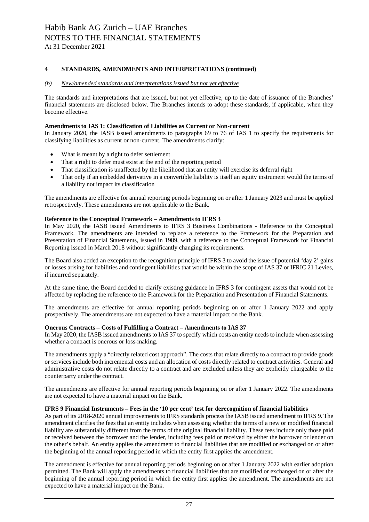#### **4 STANDARDS, AMENDMENTS AND INTERPRETATIONS (continued)**

#### *(b) New/amended standards and interpretations issued but not yet effective*

The standards and interpretations that are issued, but not yet effective, up to the date of issuance of the Branches' financial statements are disclosed below. The Branches intends to adopt these standards, if applicable, when they become effective.

#### **Amendments to IAS 1: Classification of Liabilities as Current or Non-current**

In January 2020, the IASB issued amendments to paragraphs 69 to 76 of IAS 1 to specify the requirements for classifying liabilities as current or non-current. The amendments clarify:

- What is meant by a right to defer settlement
- That a right to defer must exist at the end of the reporting period
- That classification is unaffected by the likelihood that an entity will exercise its deferral right
- That only if an embedded derivative in a convertible liability is itself an equity instrument would the terms of a liability not impact its classification

The amendments are effective for annual reporting periods beginning on or after 1 January 2023 and must be applied retrospectively. These amendments are not applicable to the Bank.

#### **Reference to the Conceptual Framework – Amendments to IFRS 3**

In May 2020, the IASB issued Amendments to IFRS 3 Business Combinations - Reference to the Conceptual Framework. The amendments are intended to replace a reference to the Framework for the Preparation and Presentation of Financial Statements, issued in 1989, with a reference to the Conceptual Framework for Financial Reporting issued in March 2018 without significantly changing its requirements.

The Board also added an exception to the recognition principle of IFRS 3 to avoid the issue of potential 'day 2' gains or losses arising for liabilities and contingent liabilities that would be within the scope of IAS 37 or IFRIC 21 Levies, if incurred separately.

At the same time, the Board decided to clarify existing guidance in IFRS 3 for contingent assets that would not be affected by replacing the reference to the Framework for the Preparation and Presentation of Financial Statements.

The amendments are effective for annual reporting periods beginning on or after 1 January 2022 and apply prospectively. The amendments are not expected to have a material impact on the Bank.

#### **Onerous Contracts – Costs of Fulfilling a Contract – Amendments to IAS 37**

In May 2020, the IASB issued amendments to IAS 37 to specify which costs an entity needs to include when assessing whether a contract is onerous or loss-making.

The amendments apply a "directly related cost approach". The costs that relate directly to a contract to provide goods or services include both incremental costs and an allocation of costs directly related to contract activities. General and administrative costs do not relate directly to a contract and are excluded unless they are explicitly chargeable to the counterparty under the contract.

The amendments are effective for annual reporting periods beginning on or after 1 January 2022. The amendments are not expected to have a material impact on the Bank.

#### **IFRS 9 Financial Instruments – Fees in the '10 per cent' test for derecognition of financial liabilities**

As part of its 2018-2020 annual improvements to IFRS standards process the IASB issued amendment to IFRS 9. The amendment clarifies the fees that an entity includes when assessing whether the terms of a new or modified financial liability are substantially different from the terms of the original financial liability. These fees include only those paid or received between the borrower and the lender, including fees paid or received by either the borrower or lender on the other's behalf. An entity applies the amendment to financial liabilities that are modified or exchanged on or after the beginning of the annual reporting period in which the entity first applies the amendment.

The amendment is effective for annual reporting periods beginning on or after 1 January 2022 with earlier adoption permitted. The Bank will apply the amendments to financial liabilities that are modified or exchanged on or after the beginning of the annual reporting period in which the entity first applies the amendment. The amendments are not expected to have a material impact on the Bank.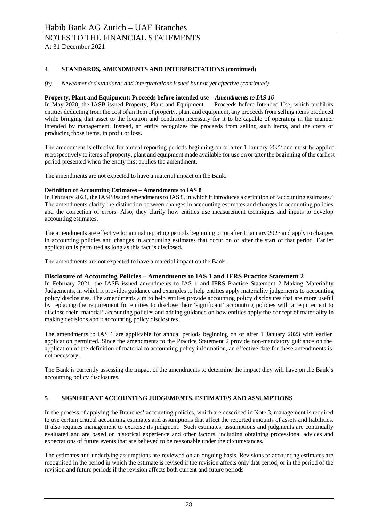#### **4 STANDARDS, AMENDMENTS AND INTERPRETATIONS (continued)**

*(b) New/amended standards and interpretations issued but not yet effective (continued)*

#### **Property, Plant and Equipment: Proceeds before intended use –** *Amendments to IAS 16*

In May 2020, the IASB issued Property, Plant and Equipment — Proceeds before Intended Use, which prohibits entities deducting from the cost of an item of property, plant and equipment, any proceeds from selling items produced while bringing that asset to the location and condition necessary for it to be capable of operating in the manner intended by management. Instead, an entity recognizes the proceeds from selling such items, and the costs of producing those items, in profit or loss.

The amendment is effective for annual reporting periods beginning on or after 1 January 2022 and must be applied retrospectively to items of property, plant and equipment made available for use on or after the beginning of the earliest period presented when the entity first applies the amendment.

The amendments are not expected to have a material impact on the Bank.

#### **Definition of Accounting Estimates – Amendments to IAS 8**

In February 2021, the IASB issued amendments to IAS 8, in which it introduces a definition of 'accounting estimates.' The amendments clarify the distinction between changes in accounting estimates and changes in accounting policies and the correction of errors. Also, they clarify how entities use measurement techniques and inputs to develop accounting estimates.

The amendments are effective for annual reporting periods beginning on or after 1 January 2023 and apply to changes in accounting policies and changes in accounting estimates that occur on or after the start of that period. Earlier application is permitted as long as this fact is disclosed.

The amendments are not expected to have a material impact on the Bank.

#### **Disclosure of Accounting Policies – Amendments to IAS 1 and IFRS Practice Statement 2**

In February 2021, the IASB issued amendments to IAS 1 and IFRS Practice Statement 2 Making Materiality Judgements, in which it provides guidance and examples to help entities apply materiality judgements to accounting policy disclosures. The amendments aim to help entities provide accounting policy disclosures that are more useful by replacing the requirement for entities to disclose their 'significant' accounting policies with a requirement to disclose their 'material' accounting policies and adding guidance on how entities apply the concept of materiality in making decisions about accounting policy disclosures.

The amendments to IAS 1 are applicable for annual periods beginning on or after 1 January 2023 with earlier application permitted. Since the amendments to the Practice Statement 2 provide non-mandatory guidance on the application of the definition of material to accounting policy information, an effective date for these amendments is not necessary.

The Bank is currently assessing the impact of the amendments to determine the impact they will have on the Bank's accounting policy disclosures.

#### **5 SIGNIFICANT ACCOUNTING JUDGEMENTS, ESTIMATES AND ASSUMPTIONS**

In the process of applying the Branches' accounting policies, which are described in Note 3, management is required to use certain critical accounting estimates and assumptions that affect the reported amounts of assets and liabilities. It also requires management to exercise its judgment. Such estimates, assumptions and judgments are continually evaluated and are based on historical experience and other factors, including obtaining professional advices and expectations of future events that are believed to be reasonable under the circumstances.

The estimates and underlying assumptions are reviewed on an ongoing basis. Revisions to accounting estimates are recognised in the period in which the estimate is revised if the revision affects only that period, or in the period of the revision and future periods if the revision affects both current and future periods.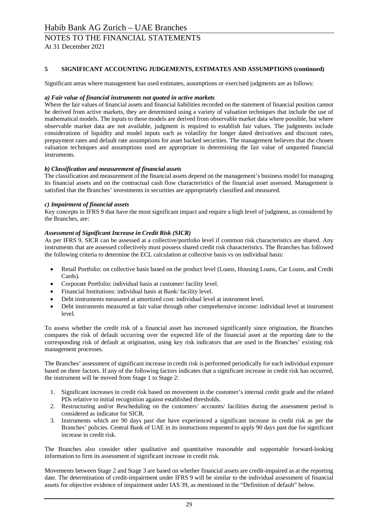#### **5 SIGNIFICANT ACCOUNTING JUDGEMENTS, ESTIMATES AND ASSUMPTIONS (continued)**

Significant areas where management has used estimates, assumptions or exercised judgments are as follows:

#### *a) Fair value of financial instruments not quoted in active markets*

Where the fair values of financial assets and financial liabilities recorded on the statement of financial position cannot be derived from active markets, they are determined using a variety of valuation techniques that include the use of mathematical models. The inputs to these models are derived from observable market data where possible, but where observable market data are not available, judgment is required to establish fair values. The judgments include considerations of liquidity and model inputs such as volatility for longer dated derivatives and discount rates, prepayment rates and default rate assumptions for asset backed securities. The management believes that the chosen valuation techniques and assumptions used are appropriate in determining the fair value of unquoted financial instruments.

#### *b) Classification and measurement of financial assets*

The classification and measurement of the financial assets depend on the management's business model for managing its financial assets and on the contractual cash flow characteristics of the financial asset assessed. Management is satisfied that the Branches' investments in securities are appropriately classified and measured.

#### *c) Impairment of financial assets*

Key concepts in IFRS 9 that have the most significant impact and require a high level of judgment, as considered by the Branches, are:

#### *Assessment of Significant Increase in Credit Risk (SICR)*

As per IFRS 9, SICR can be assessed at a collective/portfolio level if common risk characteristics are shared. Any instruments that are assessed collectively must possess shared credit risk characteristics. The Branches has followed the following criteria to determine the ECL calculation at collective basis vs on individual basis:

- Retail Portfolio: on collective basis based on the product level (Loans, Housing Loans, Car Loans, and Credit Cards).
- Corporate Portfolio: individual basis at customer/ facility level.
- Financial Institutions: individual basis at Bank/ facility level.
- Debt instruments measured at amortized cost: individual level at instrument level.
- Debt instruments measured at fair value through other comprehensive income: individual level at instrument level.

To assess whether the credit risk of a financial asset has increased significantly since origination, the Branches compares the risk of default occurring over the expected life of the financial asset at the reporting date to the corresponding risk of default at origination, using key risk indicators that are used in the Branches' existing risk management processes.

The Branches' assessment of significant increase in credit risk is performed periodically for each individual exposure based on three factors. If any of the following factors indicates that a significant increase in credit risk has occurred, the instrument will be moved from Stage 1 to Stage 2:

- 1. Significant increases in credit risk based on movement in the customer's internal credit grade and the related PDs relative to initial recognition against established thresholds.
- 2. Restructuring and/or Rescheduling on the customers' accounts/ facilities during the assessment period is considered as indicator for SICR.
- 3. Instruments which are 90 days past due have experienced a significant increase in credit risk as per the Branches' policies. Central Bank of UAE in its instructions requested to apply 90 days past due for significant increase in credit risk.

The Branches also consider other qualitative and quantitative reasonable and supportable forward-looking information to firm its assessment of significant increase in credit risk.

Movements between Stage 2 and Stage 3 are based on whether financial assets are credit-impaired as at the reporting date. The determination of credit-impairment under IFRS 9 will be similar to the individual assessment of financial assets for objective evidence of impairment under IAS 39, as mentioned in the "Definition of default" below.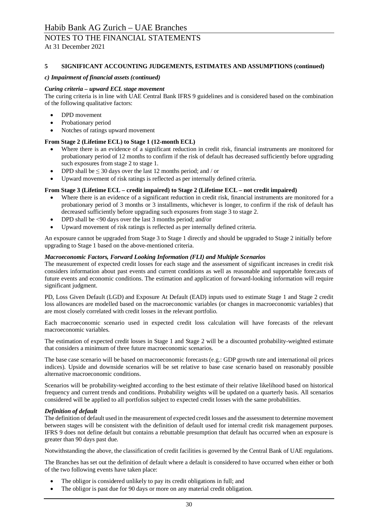# NOTES TO THE FINANCIAL STATEMENTS

At 31 December 2021

#### **5 SIGNIFICANT ACCOUNTING JUDGEMENTS, ESTIMATES AND ASSUMPTIONS (continued)**

#### *c) Impairment of financial assets (continued)*

#### *Curing criteria – upward ECL stage movement*

The curing criteria is in line with UAE Central Bank IFRS 9 guidelines and is considered based on the combination of the following qualitative factors:

- DPD movement
- Probationary period
- Notches of ratings upward movement

#### **From Stage 2 (Lifetime ECL) to Stage 1 (12-month ECL)**

- Where there is an evidence of a significant reduction in credit risk, financial instruments are monitored for probationary period of 12 months to confirm if the risk of default has decreased sufficiently before upgrading such exposures from stage 2 to stage 1.
- DPD shall be  $\leq 30$  days over the last 12 months period; and / or
- Upward movement of risk ratings is reflected as per internally defined criteria.

#### **From Stage 3 (Lifetime ECL – credit impaired) to Stage 2 (Lifetime ECL – not credit impaired)**

- Where there is an evidence of a significant reduction in credit risk, financial instruments are monitored for a probationary period of 3 months or 3 installments, whichever is longer, to confirm if the risk of default has decreased sufficiently before upgrading such exposures from stage 3 to stage 2.
- DPD shall be <90 days over the last 3 months period; and/or
- Upward movement of risk ratings is reflected as per internally defined criteria.

An exposure cannot be upgraded from Stage 3 to Stage 1 directly and should be upgraded to Stage 2 initially before upgrading to Stage 1 based on the above-mentioned criteria.

#### *Macroeconomic Factors, Forward Looking Information (FLI) and Multiple Scenarios*

The measurement of expected credit losses for each stage and the assessment of significant increases in credit risk considers information about past events and current conditions as well as reasonable and supportable forecasts of future events and economic conditions. The estimation and application of forward-looking information will require significant judgment.

PD, Loss Given Default (LGD) and Exposure At Default (EAD) inputs used to estimate Stage 1 and Stage 2 credit loss allowances are modelled based on the macroeconomic variables (or changes in macroeconomic variables) that are most closely correlated with credit losses in the relevant portfolio.

Each macroeconomic scenario used in expected credit loss calculation will have forecasts of the relevant macroeconomic variables.

The estimation of expected credit losses in Stage 1 and Stage 2 will be a discounted probability-weighted estimate that considers a minimum of three future macroeconomic scenarios.

The base case scenario will be based on macroeconomic forecasts (e.g.: GDP growth rate and international oil prices indices). Upside and downside scenarios will be set relative to base case scenario based on reasonably possible alternative macroeconomic conditions.

Scenarios will be probability-weighted according to the best estimate of their relative likelihood based on historical frequency and current trends and conditions. Probability weights will be updated on a quarterly basis. All scenarios considered will be applied to all portfolios subject to expected credit losses with the same probabilities.

#### *Definition of default*

The definition of default used in the measurement of expected credit losses and the assessment to determine movement between stages will be consistent with the definition of default used for internal credit risk management purposes. IFRS 9 does not define default but contains a rebuttable presumption that default has occurred when an exposure is greater than 90 days past due.

Notwithstanding the above, the classification of credit facilities is governed by the Central Bank of UAE regulations.

The Branches has set out the definition of default where a default is considered to have occurred when either or both of the two following events have taken place:

- The obligor is considered unlikely to pay its credit obligations in full; and
- The obligor is past due for 90 days or more on any material credit obligation.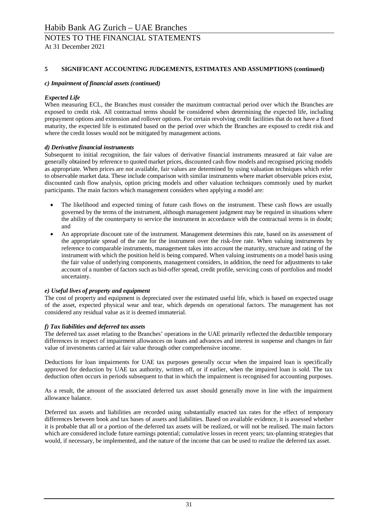At 31 December 2021

#### **5 SIGNIFICANT ACCOUNTING JUDGEMENTS, ESTIMATES AND ASSUMPTIONS (continued)**

#### *c) Impairment of financial assets (continued)*

#### *Expected Life*

When measuring ECL, the Branches must consider the maximum contractual period over which the Branches are exposed to credit risk. All contractual terms should be considered when determining the expected life, including prepayment options and extension and rollover options. For certain revolving credit facilities that do not have a fixed maturity, the expected life is estimated based on the period over which the Branches are exposed to credit risk and where the credit losses would not be mitigated by management actions.

#### *d) Derivative financial instruments*

Subsequent to initial recognition, the fair values of derivative financial instruments measured at fair value are generally obtained by reference to quoted market prices, discounted cash flow models and recognised pricing models as appropriate. When prices are not available, fair values are determined by using valuation techniques which refer to observable market data. These include comparison with similar instruments where market observable prices exist, discounted cash flow analysis, option pricing models and other valuation techniques commonly used by market participants. The main factors which management considers when applying a model are:

- The likelihood and expected timing of future cash flows on the instrument. These cash flows are usually governed by the terms of the instrument, although management judgment may be required in situations where the ability of the counterparty to service the instrument in accordance with the contractual terms is in doubt; and
- An appropriate discount rate of the instrument. Management determines this rate, based on its assessment of the appropriate spread of the rate for the instrument over the risk-free rate. When valuing instruments by reference to comparable instruments, management takes into account the maturity, structure and rating of the instrument with which the position held is being compared. When valuing instruments on a model basis using the fair value of underlying components, management considers, in addition, the need for adjustments to take account of a number of factors such as bid-offer spread, credit profile, servicing costs of portfolios and model uncertainty.

#### *e) Useful lives of property and equipment*

The cost of property and equipment is depreciated over the estimated useful life, which is based on expected usage of the asset, expected physical wear and tear, which depends on operational factors. The management has not considered any residual value as it is deemed immaterial.

#### *f) Tax liabilities and deferred tax assets*

The deferred tax asset relating to the Branches' operations in the UAE primarily reflected the deductible temporary differences in respect of impairment allowances on loans and advances and interest in suspense and changes in fair value of investments carried at fair value through other comprehensive income.

Deductions for loan impairments for UAE tax purposes generally occur when the impaired loan is specifically approved for deduction by UAE tax authority, written off, or if earlier, when the impaired loan is sold. The tax deduction often occurs in periods subsequent to that in which the impairment is recognised for accounting purposes.

As a result, the amount of the associated deferred tax asset should generally move in line with the impairment allowance balance.

Deferred tax assets and liabilities are recorded using substantially enacted tax rates for the effect of temporary differences between book and tax bases of assets and liabilities. Based on available evidence, it is assessed whether it is probable that all or a portion of the deferred tax assets will be realized, or will not be realised. The main factors which are considered include future earnings potential; cumulative losses in recent years; tax-planning strategies that would, if necessary, be implemented, and the nature of the income that can be used to realize the deferred tax asset.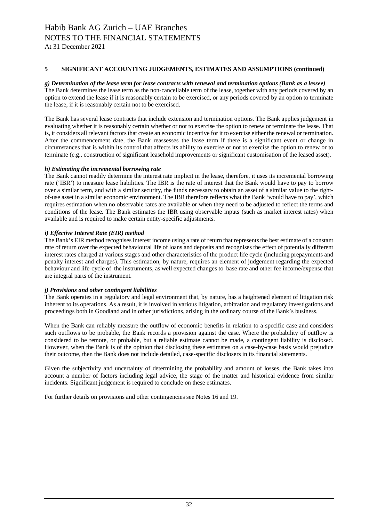#### **5 SIGNIFICANT ACCOUNTING JUDGEMENTS, ESTIMATES AND ASSUMPTIONS (continued)**

#### *g) Determination of the lease term for lease contracts with renewal and termination options (Bank as a lessee)*

The Bank determines the lease term as the non-cancellable term of the lease, together with any periods covered by an option to extend the lease if it is reasonably certain to be exercised, or any periods covered by an option to terminate the lease, if it is reasonably certain not to be exercised.

The Bank has several lease contracts that include extension and termination options. The Bank applies judgement in evaluating whether it is reasonably certain whether or not to exercise the option to renew or terminate the lease. That is, it considers all relevant factors that create an economic incentive for it to exercise either the renewal or termination. After the commencement date, the Bank reassesses the lease term if there is a significant event or change in circumstances that is within its control that affects its ability to exercise or not to exercise the option to renew or to terminate (e.g., construction of significant leasehold improvements or significant customisation of the leased asset).

#### *h) Estimating the incremental borrowing rate*

The Bank cannot readily determine the interest rate implicit in the lease, therefore, it uses its incremental borrowing rate ('IBR') to measure lease liabilities. The IBR is the rate of interest that the Bank would have to pay to borrow over a similar term, and with a similar security, the funds necessary to obtain an asset of a similar value to the rightof-use asset in a similar economic environment. The IBR therefore reflects what the Bank 'would have to pay', which requires estimation when no observable rates are available or when they need to be adjusted to reflect the terms and conditions of the lease. The Bank estimates the IBR using observable inputs (such as market interest rates) when available and is required to make certain entity-specific adjustments.

#### *i) Effective Interest Rate (EIR) method*

The Bank's EIR method recognises interest income using a rate of return that represents the best estimate of a constant rate of return over the expected behavioural life of loans and deposits and recognises the effect of potentially different interest rates charged at various stages and other characteristics of the product life cycle (including prepayments and penalty interest and charges). This estimation, by nature, requires an element of judgement regarding the expected behaviour and life-cycle of the instruments, as well expected changes to base rate and other fee income/expense that are integral parts of the instrument.

#### *j) Provisions and other contingent liabilities*

The Bank operates in a regulatory and legal environment that, by nature, has a heightened element of litigation risk inherent to its operations. As a result, it is involved in various litigation, arbitration and regulatory investigations and proceedings both in Goodland and in other jurisdictions, arising in the ordinary course of the Bank's business.

When the Bank can reliably measure the outflow of economic benefits in relation to a specific case and considers such outflows to be probable, the Bank records a provision against the case. Where the probability of outflow is considered to be remote, or probable, but a reliable estimate cannot be made, a contingent liability is disclosed. However, when the Bank is of the opinion that disclosing these estimates on a case-by-case basis would prejudice their outcome, then the Bank does not include detailed, case-specific disclosers in its financial statements.

Given the subjectivity and uncertainty of determining the probability and amount of losses, the Bank takes into account a number of factors including legal advice, the stage of the matter and historical evidence from similar incidents. Significant judgement is required to conclude on these estimates.

For further details on provisions and other contingencies see Notes 16 and 19.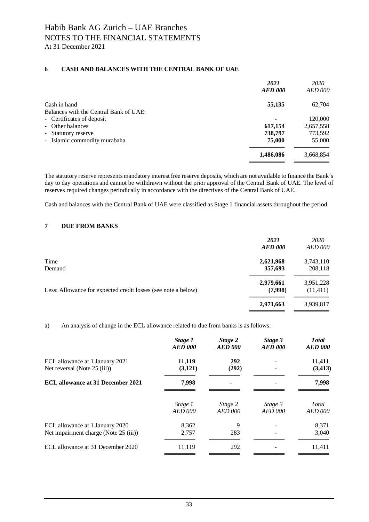At 31 December 2021

#### **6 CASH AND BALANCES WITH THE CENTRAL BANK OF UAE**

|                                        | 2021<br><b>AED 000</b> | 2020<br><b>AED 000</b> |
|----------------------------------------|------------------------|------------------------|
| Cash in hand                           | 55,135                 | 62,704                 |
| Balances with the Central Bank of UAE: |                        |                        |
| - Certificates of deposit              | ۰                      | 120,000                |
| - Other balances                       | 617,154                | 2,657,558              |
| - Statutory reserve                    | 738,797                | 773,592                |
| - Islamic commodity murabaha           | 75,000                 | 55,000                 |
|                                        | 1,486,086              | 3,668,854              |
|                                        |                        |                        |

The statutory reserve represents mandatory interest free reserve deposits, which are not available to finance the Bank's day to day operations and cannot be withdrawn without the prior approval of the Central Bank of UAE. The level of reserves required changes periodically in accordance with the directives of the Central Bank of UAE.

Cash and balances with the Central Bank of UAE were classified as Stage 1 financial assets throughout the period.

#### **7 DUE FROM BANKS**

| 2021<br><b>AED 000</b> | 2020<br><b>AED 000</b> |
|------------------------|------------------------|
| 2,621,968              | 3,743,110              |
| 357,693                | 208,118                |
| 2,979,661              | 3,951,228              |
|                        | (11, 411)              |
| 2,971,663              | 3,939,817              |
|                        | (7,998)                |

a) An analysis of change in the ECL allowance related to due from banks is as follows:

|                                          | Stage 1        | Stage 2        | Stage 3        | <b>Total</b>   |
|------------------------------------------|----------------|----------------|----------------|----------------|
|                                          | <b>AED 000</b> | <b>AED 000</b> | <b>AED 000</b> | <b>AED 000</b> |
| ECL allowance at 1 January 2021          | 11,119         | 292            |                | 11,411         |
| Net reversal (Note 25 (iii))             | (3,121)        | (292)          |                | (3, 413)       |
| <b>ECL allowance at 31 December 2021</b> | 7,998          |                |                | 7,998          |
|                                          | Stage 1        | Stage 2        | Stage 3        | Total          |
|                                          | AED 000        | <b>AED 000</b> | $AED$ 000      | <b>AED 000</b> |
| ECL allowance at 1 January 2020          | 8,362          | 9              |                | 8,371          |
| Net impairment charge (Note 25 (iii))    | 2,757          | 283            |                | 3,040          |
| ECL allowance at 31 December 2020        | 11,119         | 292            |                | 11,411         |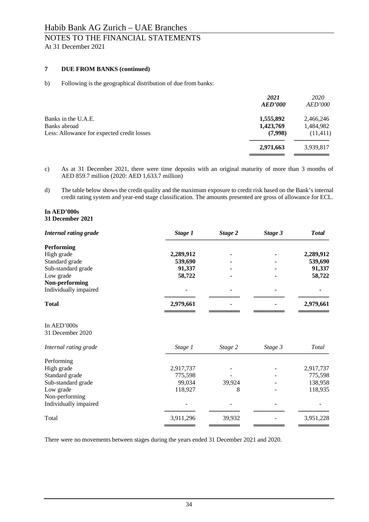## **7 DUE FROM BANKS (continued)**

### b) Following is the geographical distribution of due from banks:

|                                                                                   | 2021<br>AED'000                   | 2020<br><i>AED'000</i>              |
|-----------------------------------------------------------------------------------|-----------------------------------|-------------------------------------|
| Banks in the U.A.E.<br>Banks abroad<br>Less: Allowance for expected credit losses | 1,555,892<br>1,423,769<br>(7,998) | 2,466,246<br>1,484,982<br>(11, 411) |
|                                                                                   | 2,971,663                         | 3,939,817                           |

- c) As at 31 December 2021, there were time deposits with an original maturity of more than 3 months of AED 859.7 million (2020: AED 1,633.7 million)
- d) The table below shows the credit quality and the maximum exposure to credit risk based on the Bank's internal credit rating system and year-end stage classification. The amounts presented are gross of allowance for ECL.

### **In AED'000s 31 December 2021**

| <b>Internal rating grade</b> | Stage 1   | Stage 2 | Stage 3 | <b>Total</b> |
|------------------------------|-----------|---------|---------|--------------|
| <b>Performing</b>            |           |         |         |              |
| High grade                   | 2,289,912 |         |         | 2,289,912    |
| Standard grade               | 539,690   |         |         | 539,690      |
| Sub-standard grade           | 91,337    |         |         | 91,337       |
| Low grade                    | 58,722    |         |         | 58,722       |
| Non-performing               |           |         |         |              |
| Individually impaired        |           |         |         |              |
| <b>Total</b>                 | 2,979,661 |         |         | 2,979,661    |
| In AED'000s                  |           |         |         |              |
| 31 December 2020             |           |         |         |              |
| Internal rating grade        | Stage 1   | Stage 2 | Stage 3 | Total        |
| Performing                   |           |         |         |              |
| High grade                   | 2,917,737 |         |         | 2,917,737    |
| Standard grade               | 775,598   |         |         | 775,598      |
| Sub-standard grade           | 99,034    | 39,924  |         | 138,958      |
| Low grade                    | 118,927   | 8       |         | 118,935      |
| Non-performing               |           |         |         |              |
| Individually impaired        |           |         |         |              |
| Total                        | 3,911,296 | 39,932  |         | 3,951,228    |

There were no movements between stages during the years ended 31 December 2021 and 2020.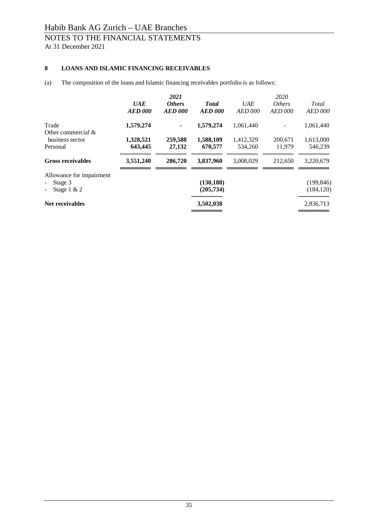# NOTES TO THE FINANCIAL STATEMENTS At 31 December 2021

### **8 LOANS AND ISLAMIC FINANCING RECEIVABLES**

(a) The composition of the loans and Islamic financing receivables portfolio is as follows:

|                                         |                | 2021           |                |                | 2020           |                |
|-----------------------------------------|----------------|----------------|----------------|----------------|----------------|----------------|
|                                         | <b>UAE</b>     | <b>Others</b>  | <b>T</b> otal  | <b>UAE</b>     | <i>Others</i>  | Total          |
|                                         | <b>AED 000</b> | <b>AED 000</b> | <b>AED 000</b> | <b>AED 000</b> | <b>AED 000</b> | <b>AED 000</b> |
| Trade                                   | 1,579,274      | ۰              | 1,579,274      | 1.061.440      |                | 1,061,440      |
| Other commercial $&$                    |                |                |                |                |                |                |
| business sector                         | 1,328,521      | 259,588        | 1,588,109      | 1,412,329      | 200.671        | 1,613,000      |
| Personal                                | 643,445        | 27,132         | 670,577        | 534,260        | 11.979         | 546.239        |
| <b>Gross receivables</b>                | 3,551,240      | 286,720        | 3,837,960      | 3,008,029      | 212,650        | 3,220,679      |
| Allowance for impairment                |                |                |                |                |                |                |
| Stage 3<br>$\qquad \qquad \blacksquare$ |                |                | (130, 188)     |                |                | (199, 846)     |
| Stage $1 & 2$                           |                |                | (205, 734)     |                |                | (184, 120)     |
| Net receivables                         |                |                | 3,502,038      |                |                | 2,836,713      |
|                                         |                |                |                |                |                |                |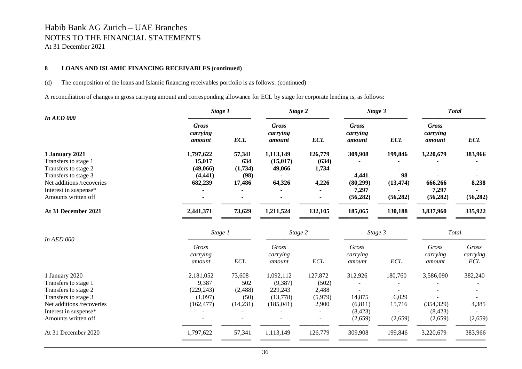# NOTES TO THE FINANCIAL STATEMENTS

At 31 December 2021

### **8 LOANS AND ISLAMIC FINANCING RECEIVABLES (continued)**

(d) The composition of the loans and Islamic financing receivables portfolio is as follows: (continued)

A reconciliation of changes in gross carrying amount and corresponding allowance for ECL by stage for corporate lending is, as follows:

| <b>In AED 000</b>        |                                    | Stage 1    |                                    | Stage 2        |                                    | Stage 3    |                                    | <b>Total</b> |  |
|--------------------------|------------------------------------|------------|------------------------------------|----------------|------------------------------------|------------|------------------------------------|--------------|--|
|                          | <b>Gross</b><br>carrying<br>amount | <b>ECL</b> | <b>Gross</b><br>carrying<br>amount | <b>ECL</b>     | <b>Gross</b><br>carrying<br>amount | <b>ECL</b> | <b>Gross</b><br>carrying<br>amount | <b>ECL</b>   |  |
| 1 January 2021           | 1,797,622                          | 57,341     | 1,113,149                          | 126,779        | 309,908                            | 199,846    | 3,220,679                          | 383,966      |  |
| Transfers to stage 1     | 15,017                             | 634        | (15, 017)                          | (634)          |                                    |            |                                    |              |  |
| Transfers to stage 2     | (49,066)                           | (1,734)    | 49,066                             | 1,734          |                                    |            |                                    |              |  |
| Transfers to stage 3     | (4, 441)                           | (98)       |                                    |                | 4,441                              | 98         |                                    |              |  |
| Net additions/recoveries | 682,239                            | 17,486     | 64,326                             | 4,226          | (80, 299)                          | (13, 474)  | 666,266                            | 8,238        |  |
| Interest in suspense*    |                                    |            |                                    |                | 7,297                              |            | 7,297                              |              |  |
| Amounts written off      |                                    | ٠          |                                    | $\blacksquare$ | (56, 282)                          | (56, 282)  | (56, 282)                          | (56, 282)    |  |
| At 31 December 2021      | 2,441,371                          | 73,629     | 1,211,524                          | 132,105        | 185,065                            | 130,188    | 3,837,960                          | 335,922      |  |

|                          |                             | Stage 1                  |                             | Stage 2                  |                             | Stage 3    |                             | Total                    |  |
|--------------------------|-----------------------------|--------------------------|-----------------------------|--------------------------|-----------------------------|------------|-----------------------------|--------------------------|--|
| In AED $000$             | Gross<br>carrying<br>amount | <b>ECL</b>               | Gross<br>carrying<br>amount | ECL                      | Gross<br>carrying<br>amount | <b>ECL</b> | Gross<br>carrying<br>amount | Gross<br>carrying<br>ECL |  |
| 1 January 2020           | 2,181,052                   | 73,608                   | 1,092,112                   | 127,872                  | 312,926                     | 180,760    | 3,586,090                   | 382,240                  |  |
| Transfers to stage 1     | 9,387                       | 502                      | (9,387)                     | (502)                    |                             |            |                             |                          |  |
| Transfers to stage 2     | (229, 243)                  | (2,488)                  | 229,243                     | 2,488                    | $\overline{\phantom{0}}$    |            | $\overline{\phantom{a}}$    |                          |  |
| Transfers to stage 3     | (1,097)                     | (50)                     | (13,778)                    | (5,979)                  | 14,875                      | 6,029      |                             |                          |  |
| Net additions/recoveries | (162, 477)                  | (14,231)                 | (185, 041)                  | 2,900                    | (6, 811)                    | 15,716     | (354, 329)                  | 4,385                    |  |
| Interest in suspense*    |                             | $\overline{\phantom{0}}$ |                             | $\overline{\phantom{a}}$ | (8,423)                     |            | (8,423)                     |                          |  |
| Amounts written off      |                             | $\overline{\phantom{a}}$ |                             | $\overline{\phantom{a}}$ | (2,659)                     | (2,659)    | (2,659)                     | (2,659)                  |  |
| At 31 December 2020      | 1,797,622                   | 57,341                   | 1,113,149                   | 126,779                  | 309,908                     | 199,846    | 3,220,679                   | 383,966                  |  |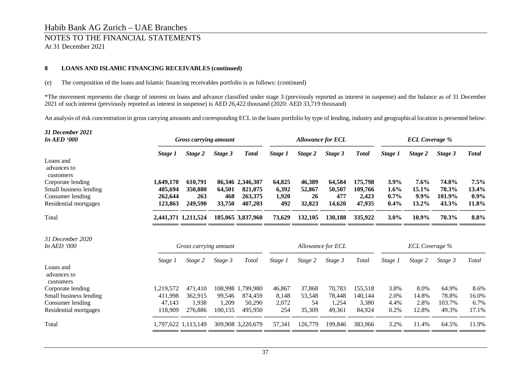# NOTES TO THE FINANCIAL STATEMENTS

At 31 December 2021

#### **8 LOANS AND ISLAMIC FINANCING RECEIVABLES (continued)**

(e) The composition of the loans and Islamic financing receivables portfolio is as follows: (continued)

\*The movement represents the charge of interest on loans and advance classified under stage 3 (previously reported as interest in suspense) and the balance as of 31 December 2021 of such interest (previously reported as interest in suspense) is AED 26,422 thousand (2020: AED 33,719 thousand)

An analysis of risk concentration in gross carrying amounts and corresponding ECL in the loans portfolio by type of lending, industry and geographical location is presented below:

| 31 December 2021<br><b>In AED '000</b>    |                    | <b>Gross carrying amount</b> |               |                    | <b>Allowance for ECL</b> |                     |               | <b>ECL Coverage %</b> |                 |                  |                 |                  |
|-------------------------------------------|--------------------|------------------------------|---------------|--------------------|--------------------------|---------------------|---------------|-----------------------|-----------------|------------------|-----------------|------------------|
|                                           | Stage 1            | Stage 2                      | Stage 3       | <b>Total</b>       | Stage 1                  | Stage 2             | Stage 3       | <b>Total</b>          | Stage 1         | Stage 2          | Stage 3         | <b>Total</b>     |
| Loans and<br>advances to<br>customers     |                    |                              |               |                    |                          |                     |               |                       |                 |                  |                 |                  |
| Corporate lending                         | 1,649,170          | 610,791                      |               | 86,346 2,346,307   | 64,825                   | 46,389              | 64,584        | 175,798               | 3.9%            | 7.6%             | 74.8%           | 7.5%             |
| Small business lending                    | 405,694            | 350,880                      | 64,501        | 821,075            | 6,392                    | 52,867              | 50,507        | 109,766               | 1.6%            | 15.1%            | 78.3%           | 13.4%            |
| Consumer lending<br>Residential mortgages | 262,644<br>123,863 | 263<br>249,590               | 468<br>33,750 | 263,375<br>407,203 | 1,920<br>492             | <b>26</b><br>32,823 | 477<br>14,620 | 2,423<br>47,935       | $0.7\%$<br>0.4% | $9.9\%$<br>13.2% | 101.9%<br>43.3% | $0.9\%$<br>11.8% |
|                                           |                    |                              |               |                    |                          |                     |               |                       |                 |                  |                 |                  |
| Total                                     |                    | 2,441,371 1,211,524          |               | 185,065 3,837,960  | 73,629                   | 132,105             | 130,188       | 335,922               | 3.0%            | 10.9%            | 70.3%           | 8.8%             |
| 31 December 2020                          |                    |                              |               |                    |                          |                     |               |                       |                 |                  |                 |                  |
| In AED '000                               |                    | Gross carrying amount        |               |                    | Allowance for ECL        |                     |               | ECL Coverage %        |                 |                  |                 |                  |
|                                           | Stage 1            | Stage 2                      | Stage 3       | <b>Total</b>       | Stage 1                  | Stage 2             | Stage 3       | Total                 | Stage 1         | Stage 2          | Stage 3         | <b>Total</b>     |
| Loans and<br>advances to<br>customers     |                    |                              |               |                    |                          |                     |               |                       |                 |                  |                 |                  |
| Corporate lending                         | 1,219,572          | 471,410                      |               | 108,998 1,799,980  | 46,867                   | 37,868              | 70,783        | 155,518               | 3.8%            | 8.0%             | 64.9%           | 8.6%             |
| Small business lending                    | 411,998            | 362,915                      | 99,546        | 874,459            | 8,148                    | 53,548              | 78,448        | 140,144               | 2.0%            | 14.8%            | 78.8%           | 16.0%            |
| Consumer lending                          | 47,143             | 1,938                        | 1,209         | 50,290             | 2,072                    | 54                  | 1,254         | 3,380                 | 4.4%            | 2.8%             | 103.7%          | 6.7%             |
| Residential mortgages                     | 118,909            | 276,886                      | 100,155       | 495,950            | 254                      | 35,309              | 49,361        | 84,924                | 0.2%            | 12.8%            | 49.3%           | 17.1%            |
| Total                                     |                    | 1,797,622 1,113,149          |               | 309,908 3,220,679  | 57,341                   | 126,779             | 199,846       | 383,966               | 3.2%            | 11.4%            | 64.5%           | 11.9%            |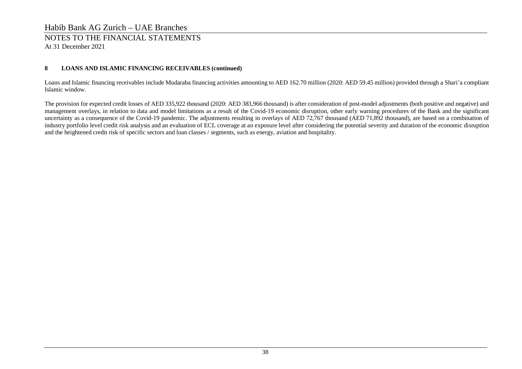# NOTES TO THE FINANCIAL STATEMENTS

At 31 December 2021

### **8 LOANS AND ISLAMIC FINANCING RECEIVABLES (continued)**

Loans and Islamic financing receivables include Mudaraba financing activities amounting to AED 162.70 million (2020: AED 59.45 million) provided through a Shari'a compliant Islamic window.

The provision for expected credit losses of AED 335,922 thousand (2020: AED 383,966 thousand) is after consideration of post-model adjustments (both positive and negative) and management overlays, in relation to data and model limitations as a result of the Covid-19 economic disruption, other early warning procedures of the Bank and the significant uncertainty as a consequence of the Covid-19 pandemic. The adjustments resulting in overlays of AED 72,767 thousand (AED 71,892 thousand), are based on a combination of industry portfolio level credit risk analysis and an evaluation of ECL coverage at an exposure level after considering the potential severity and duration of the economic disruption and the heightened credit risk of specific sectors and loan classes / segments, such as energy, aviation and hospitality.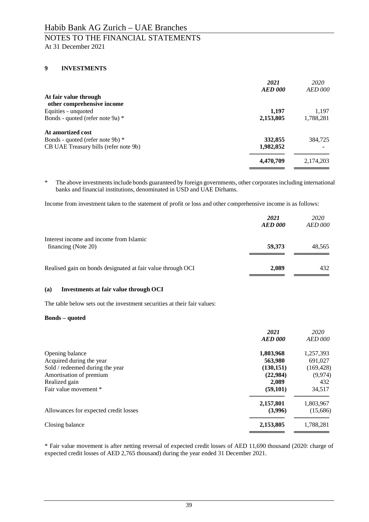### **9 INVESTMENTS**

|                                                     | 2021<br><b>AED 000</b> | 2020<br><b>AED 000</b> |
|-----------------------------------------------------|------------------------|------------------------|
| At fair value through<br>other comprehensive income |                        |                        |
| Equities - unquoted                                 | 1,197                  | 1,197                  |
| Bonds - quoted (refer note 9a) *                    | 2,153,805              | 1,788,281              |
| At amortized cost                                   |                        |                        |
| Bonds - quoted (refer note 9b) *                    | 332,855                | 384,725                |
| CB UAE Treasury bills (refer note 9b)               | 1,982,852              |                        |
|                                                     | 4,470,709              | 2,174,203              |
|                                                     |                        |                        |

\* The above investments include bonds guaranteed by foreign governments, other corporates including international banks and financial institutions, denominated in USD and UAE Dirhams.

Income from investment taken to the statement of profit or loss and other comprehensive income is as follows:

|                                                                | 2021<br><b>AED 000</b> | 2020<br>AED 000 |
|----------------------------------------------------------------|------------------------|-----------------|
| Interest income and income from Islamic<br>financing (Note 20) | 59,373                 | 48,565          |
| Realised gain on bonds designated at fair value through OCI    | 2,089                  | 432             |

#### **(a) Investments at fair value through OCI**

The table below sets out the investment securities at their fair values:

#### **Bonds – quoted**

|                                       | 2021<br><b>AED 000</b> | 2020<br><b>AED 000</b> |
|---------------------------------------|------------------------|------------------------|
| Opening balance                       | 1,803,968              | 1,257,393              |
| Acquired during the year              | 563,980                | 691,027                |
| Sold / redeemed during the year       | (130, 151)             | (169, 428)             |
| Amortisation of premium               | (22,984)               | (9, 974)               |
| Realized gain                         | 2,089                  | 432                    |
| Fair value movement *                 | (59, 101)              | 34,517                 |
| Allowances for expected credit losses | 2,157,801<br>(3,996)   | 1,803,967<br>(15,686)  |
| Closing balance                       | 2,153,805              | 1,788,281              |
|                                       |                        |                        |

\* Fair value movement is after netting reversal of expected credit losses of AED 11,690 thousand (2020: charge of expected credit losses of AED 2,765 thousand) during the year ended 31 December 2021.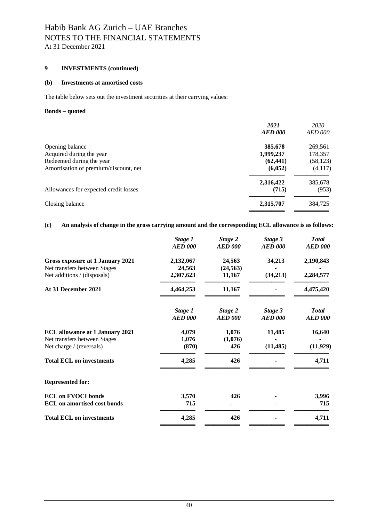### **9 INVESTMENTS (continued)**

# **(b) Investments at amortised costs**

The table below sets out the investment securities at their carrying values:

#### **Bonds – quoted**

|                                       | 2021<br><b>AED 000</b> | 2020<br><b>AED 000</b> |
|---------------------------------------|------------------------|------------------------|
| Opening balance                       | 385,678                | 269,561                |
| Acquired during the year              | 1,999,237              | 178,357                |
| Redeemed during the year              | (62, 441)              | (58, 123)              |
| Amortisation of premium/discount, net | (6,052)                | (4,117)                |
|                                       | 2,316,422              | 385,678                |
| Allowances for expected credit losses | (715)                  | (953)                  |
| Closing balance                       | 2,315,707              | 384,725                |
|                                       |                        |                        |

### **(c) An analysis of change in the gross carrying amount and the corresponding ECL allowance is as follows:**

|                                         | Stage 1<br><b>AED 000</b> | Stage 2<br><b>AED 000</b> | Stage 3<br><b>AED 000</b> | <b>Total</b><br><b>AED 000</b> |
|-----------------------------------------|---------------------------|---------------------------|---------------------------|--------------------------------|
|                                         |                           |                           |                           |                                |
| <b>Gross exposure at 1 January 2021</b> | 2,132,067                 | 24,563                    | 34,213                    | 2,190,843                      |
| Net transfers between Stages            | 24,563                    | (24, 563)                 |                           |                                |
| Net additions / (disposals)             | 2,307,623                 | 11,167                    | (34,213)                  | 2,284,577                      |
| At 31 December 2021                     | 4,464,253                 | 11,167                    |                           | 4,475,420                      |
|                                         | Stage 1                   | Stage 2                   | Stage 3                   | <b>Total</b>                   |
|                                         | <b>AED 000</b>            | <b>AED 000</b>            | <b>AED 000</b>            | <b>AED 000</b>                 |
| <b>ECL allowance at 1 January 2021</b>  | 4,079                     | 1,076                     | 11,485                    | 16,640                         |
| Net transfers between Stages            | 1,076                     | (1,076)                   |                           |                                |
| Net charge / (reversals)                | (870)                     | 426                       | (11, 485)                 | (11, 929)                      |
| <b>Total ECL on investments</b>         | 4,285                     | 426                       |                           | 4,711                          |
| <b>Represented for:</b>                 |                           |                           |                           |                                |
| <b>ECL on FVOCI bonds</b>               | 3,570                     | 426                       |                           | 3,996                          |
| <b>ECL</b> on amortised cost bonds      | 715                       |                           |                           | 715                            |
| <b>Total ECL on investments</b>         | 4,285                     | 426                       |                           | 4,711                          |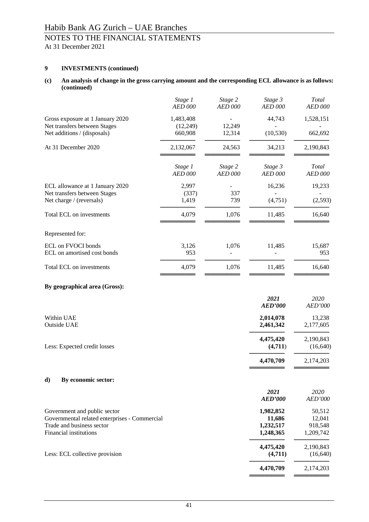# **9 INVESTMENTS (continued)**

### **(c) An analysis of change in the gross carrying amount and the corresponding ECL allowance is as follows: (continued)**

|                                                             | Stage 1<br><b>AED 000</b> | Stage 2<br><b>AED 000</b> | Stage 3<br><b>AED 000</b> | Total<br><b>AED 000</b> |
|-------------------------------------------------------------|---------------------------|---------------------------|---------------------------|-------------------------|
| Gross exposure at 1 January 2020                            | 1,483,408                 |                           | 44,743                    | 1,528,151               |
| Net transfers between Stages<br>Net additions / (disposals) | (12, 249)<br>660,908      | 12,249<br>12,314          | (10, 530)                 | 662,692                 |
| At 31 December 2020                                         | 2,132,067                 | 24,563                    | 34,213                    | 2,190,843               |
|                                                             | Stage 1<br><b>AED 000</b> | Stage 2<br><b>AED 000</b> | Stage 3<br><b>AED 000</b> | Total<br><b>AED 000</b> |
| ECL allowance at 1 January 2020                             | 2,997                     |                           | 16,236                    | 19,233                  |
| Net transfers between Stages<br>Net charge / (reversals)    | (337)<br>1,419            | 337<br>739                | (4,751)                   | (2,593)                 |
| Total ECL on investments                                    | 4,079                     | 1,076                     | 11,485                    | 16,640                  |
| Represented for:                                            |                           |                           |                           |                         |
| ECL on FVOCI bonds<br>ECL on amortised cost bonds           | 3,126<br>953              | 1,076                     | 11,485                    | 15,687<br>953           |
| Total ECL on investments                                    | 4,079                     | 1,076                     | 11,485                    | 16,640                  |
| By geographical area (Gross):                               |                           |                           |                           |                         |
|                                                             |                           |                           | 2021<br><b>AED'000</b>    | 2020<br>AED'000         |
| Within UAE<br><b>Outside UAE</b>                            |                           |                           | 2,014,078<br>2,461,342    | 13,238<br>2,177,605     |
| Less: Expected credit losses                                |                           |                           | 4,475,420<br>(4,711)      | 2,190,843<br>(16, 640)  |
|                                                             |                           |                           | 4,470,709                 | 2,174,203               |
| d)<br>By economic sector:                                   |                           |                           |                           |                         |
|                                                             |                           |                           | 2021<br><b>AED'000</b>    | 2020<br>AED'000         |
| Government and public sector                                |                           |                           | 1,982,852                 | 50,512                  |
| Governmental related enterprises - Commercial               |                           |                           | 11,686                    | 12,041                  |
| Trade and business sector<br>Financial institutions         |                           |                           | 1,232,517<br>1,248,365    | 918,548<br>1,209,742    |
|                                                             |                           |                           | 4,475,420                 | 2,190,843               |
| Less: ECL collective provision                              |                           |                           | (4,711)                   | (16, 640)               |
|                                                             |                           |                           | 4,470,709                 | 2,174,203               |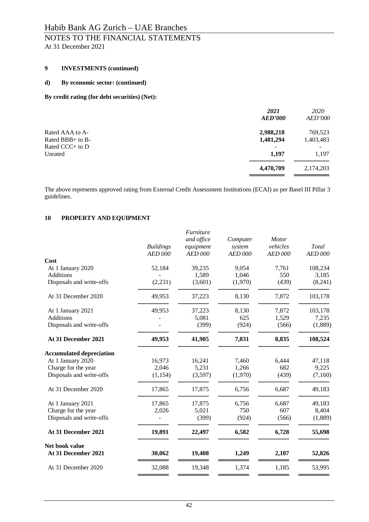#### **9 INVESTMENTS (continued)**

### **d) By economic sector: (continued)**

### **By credit rating (for debt securities) (Net):**

|                  | 2021              | 2020           |
|------------------|-------------------|----------------|
|                  | <b>AED'000</b>    | <b>AED'000</b> |
| Rated AAA to A-  | 2,988,218         | 769,523        |
| Rated BBB+ to B- | 1,481,294         | 1,403,483      |
| Rated CCC+ to D  | $\qquad \qquad -$ |                |
| Unrated          | 1,197             | 1,197          |
|                  | 4,470,709         | 2,174,203      |
|                  |                   |                |

The above represents approved rating from External Credit Assessment Institutions (ECAI) as per Basel III Pillar 3 guidelines.

### **10 PROPERTY AND EQUIPMENT**

|                                 |                  | Furniture      |                |                |                |
|---------------------------------|------------------|----------------|----------------|----------------|----------------|
|                                 |                  | and office     | Computer       | <b>Motor</b>   |                |
|                                 | <b>Buildings</b> | equipment      | system         | vehicles       | Total          |
|                                 | <b>AED 000</b>   | <b>AED 000</b> | <b>AED 000</b> | <b>AED 000</b> | <b>AED 000</b> |
| Cost                            |                  |                |                |                |                |
| At 1 January 2020               | 52,184           | 39,235         | 9,054          | 7,761          | 108,234        |
| <b>Additions</b>                |                  | 1,589          | 1,046          | 550            | 3,185          |
| Disposals and write-offs        | (2, 231)         | (3,601)        | (1,970)        | (439)          | (8,241)        |
| At 31 December 2020             | 49,953           | 37,223         | 8,130          | 7,872          | 103,178        |
| At 1 January 2021               | 49,953           | 37,223         | 8,130          | 7,872          | 103,178        |
| <b>Additions</b>                |                  | 5,081          | 625            | 1,529          | 7,235          |
| Disposals and write-offs        |                  | (399)          | (924)          | (566)          | (1,889)        |
| At 31 December 2021             | 49,953           | 41,905         | 7,831          | 8,835          | 108,524        |
| <b>Accumulated depreciation</b> |                  |                |                |                |                |
| At 1 January 2020               | 16,973           | 16,241         | 7,460          | 6,444          | 47,118         |
| Charge for the year             | 2,046            | 5,231          | 1,266          | 682            | 9,225          |
| Disposals and write-offs        | (1, 154)         | (3,597)        | (1,970)        | (439)          | (7,160)        |
| At 31 December 2020             | 17,865           | 17,875         | 6,756          | 6,687          | 49,183         |
| At 1 January 2021               | 17,865           | 17,875         | 6,756          | 6,687          | 49,183         |
| Charge for the year             | 2,026            | 5,021          | 750            | 607            | 8,404          |
| Disposals and write-offs        |                  | (399)          | (924)          | (566)          | (1,889)        |
| At 31 December 2021             | 19,891           | 22,497         | 6,582          | 6,728          | 55,698         |
| Net book value                  |                  |                |                |                |                |
| At 31 December 2021             | 30,062           | 19,408         | 1,249          | 2,107          | 52,826         |
| At 31 December 2020             | 32,088           | 19,348         | 1,374          | 1,185          | 53,995         |
|                                 |                  |                |                |                |                |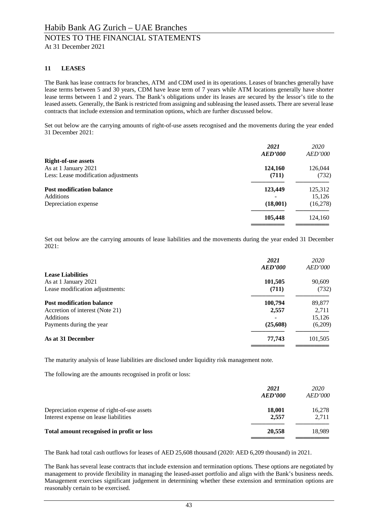# **11 LEASES**

The Bank has lease contracts for branches, ATM and CDM used in its operations. Leases of branches generally have lease terms between 5 and 30 years, CDM have lease term of 7 years while ATM locations generally have shorter lease terms between 1 and 2 years. The Bank's obligations under its leases are secured by the lessor's title to the leased assets. Generally, the Bank is restricted from assigning and subleasing the leased assets. There are several lease contracts that include extension and termination options, which are further discussed below.

Set out below are the carrying amounts of right-of-use assets recognised and the movements during the year ended 31 December 2021:

|                                      | 2021<br>AED'000 | 2020<br><i>AED'000</i> |
|--------------------------------------|-----------------|------------------------|
| <b>Right-of-use assets</b>           |                 |                        |
| As at 1 January 2021                 | 124,160         | 126,044                |
| Less: Lease modification adjustments | (711)           | (732)                  |
| <b>Post modification balance</b>     | 123,449         | 125,312                |
| <b>Additions</b>                     |                 | 15,126                 |
| Depreciation expense                 | (18,001)        | (16,278)               |
|                                      | 105,448         | 124,160                |
|                                      |                 |                        |

Set out below are the carrying amounts of lease liabilities and the movements during the year ended 31 December 2021:

|                                  | 2021<br>AED'000 | 2020<br><i>AED'000</i> |
|----------------------------------|-----------------|------------------------|
| <b>Lease Liabilities</b>         |                 |                        |
| As at 1 January 2021             | 101,505         | 90,609                 |
| Lease modification adjustments:  | (711)           | (732)                  |
| <b>Post modification balance</b> | 100,794         | 89,877                 |
| Accretion of interest (Note 21)  | 2,557           | 2,711                  |
| Additions                        |                 | 15,126                 |
| Payments during the year         | (25,608)        | (6,209)                |
| As at 31 December                | 77,743          | 101,505                |
|                                  |                 |                        |

The maturity analysis of lease liabilities are disclosed under liquidity risk management note.

The following are the amounts recognised in profit or loss:

|                                                                                      | 2021<br><b>AED'000</b> | 2020<br><i>AED'000</i> |
|--------------------------------------------------------------------------------------|------------------------|------------------------|
| Depreciation expense of right-of-use assets<br>Interest expense on lease liabilities | 18,001<br>2,557        | 16,278<br>2.711        |
| Total amount recognised in profit or loss                                            | 20,558                 | 18.989                 |

The Bank had total cash outflows for leases of AED 25,608 thousand (2020: AED 6,209 thousand) in 2021.

The Bank has several lease contracts that include extension and termination options. These options are negotiated by management to provide flexibility in managing the leased-asset portfolio and align with the Bank's business needs. Management exercises significant judgement in determining whether these extension and termination options are reasonably certain to be exercised.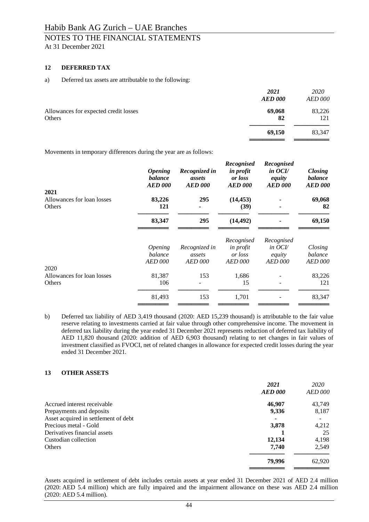# **12 DEFERRED TAX**

### a) Deferred tax assets are attributable to the following:

|                                                 | 2021<br><b>AED 000</b> | 2020<br><b>AED 000</b> |
|-------------------------------------------------|------------------------|------------------------|
| Allowances for expected credit losses<br>Others | 69,068<br>82           | 83,226<br>121          |
|                                                 | 69,150                 | 83,347                 |

Movements in temporary differences during the year are as follows:

|                                                     | <i><b>Opening</b></i><br><b>balance</b><br><b>AED 000</b> | Recognized in<br>assets<br><b>AED 000</b> | Recognised<br><i>in profit</i><br>or loss<br><b>AED 000</b> | Recognised<br>in $OCI/$<br>equity<br><b>AED 000</b> | <b>Closing</b><br><b>balance</b><br><b>AED 000</b> |
|-----------------------------------------------------|-----------------------------------------------------------|-------------------------------------------|-------------------------------------------------------------|-----------------------------------------------------|----------------------------------------------------|
| 2021<br>Allowances for loan losses<br><b>Others</b> | 83,226<br>121                                             | 295                                       | (14, 453)<br>(39)                                           |                                                     | 69,068<br>82                                       |
|                                                     | 83,347                                                    | 295                                       | (14, 492)                                                   | ۰                                                   | 69,150                                             |
|                                                     | <i><b>Opening</b></i><br>balance<br><b>AED 000</b>        | Recognized in<br>assets<br><b>AED 000</b> | Recognised<br>in profit<br>or loss<br><b>AED 000</b>        | Recognised<br>in $OCL$<br>equity<br><b>AED 000</b>  | Closing<br>balance<br><b>AED 000</b>               |
| 2020                                                |                                                           |                                           |                                                             |                                                     |                                                    |
| Allowances for loan losses<br><b>Others</b>         | 81,387<br>106                                             | 153<br>$\qquad \qquad \blacksquare$       | 1,686<br>15                                                 |                                                     | 83,226<br>121                                      |
|                                                     | 81,493                                                    | 153                                       | 1,701                                                       |                                                     | 83,347                                             |

b) Deferred tax liability of AED 3,419 thousand (2020: AED 15,239 thousand) is attributable to the fair value reserve relating to investments carried at fair value through other comprehensive income. The movement in deferred tax liability during the year ended 31 December 2021 represents reduction of deferred tax liability of AED 11,820 thousand (2020: addition of AED 6,903 thousand) relating to net changes in fair values of investment classified as FVOCI, net of related changes in allowance for expected credit losses during the year ended 31 December 2021.

### **13 OTHER ASSETS**

|                                      | 2021<br><b>AED 000</b> | 2020<br><b>AED 000</b> |
|--------------------------------------|------------------------|------------------------|
| Accrued interest receivable          | 46,907                 | 43,749                 |
| Prepayments and deposits             | 9,336                  | 8,187                  |
| Asset acquired in settlement of debt |                        |                        |
| Precious metal - Gold                | 3,878                  | 4,212                  |
| Derivatives financial assets         |                        | 25                     |
| Custodian collection                 | 12,134                 | 4,198                  |
| Others                               | 7,740                  | 2,549                  |
|                                      | 79,996                 | 62,920                 |

Assets acquired in settlement of debt includes certain assets at year ended 31 December 2021 of AED 2.4 million (2020: AED 5.4 million) which are fully impaired and the impairment allowance on these was AED 2.4 million (2020: AED 5.4 million).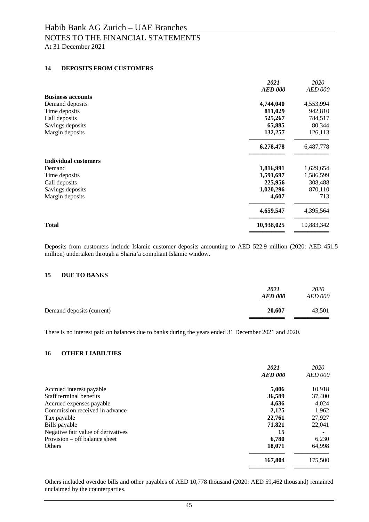## **14 DEPOSITS FROM CUSTOMERS**

|                             | 2021           | 2020           |
|-----------------------------|----------------|----------------|
|                             | <b>AED 000</b> | <b>AED 000</b> |
| <b>Business accounts</b>    |                |                |
| Demand deposits             | 4,744,040      | 4,553,994      |
| Time deposits               | 811,029        | 942,810        |
| Call deposits               | 525,267        | 784,517        |
| Savings deposits            | 65,885         | 80,344         |
| Margin deposits             | 132,257        | 126,113        |
|                             | 6,278,478      | 6,487,778      |
| <b>Individual customers</b> |                |                |
| Demand                      | 1,816,991      | 1,629,654      |
| Time deposits               | 1,591,697      | 1,586,599      |
| Call deposits               | 225,956        | 308,488        |
| Savings deposits            | 1,020,296      | 870,110        |
| Margin deposits             | 4,607          | 713            |
|                             | 4,659,547      | 4,395,564      |
| <b>Total</b>                | 10,938,025     | 10,883,342     |
|                             |                |                |

Deposits from customers include Islamic customer deposits amounting to AED 522.9 million (2020: AED 451.5 million) undertaken through a Sharia'a compliant Islamic window.

#### **15 DUE TO BANKS**

|                           | 2021<br><b>AED 000</b> | 2020<br><b>AED 000</b> |
|---------------------------|------------------------|------------------------|
| Demand deposits (current) | 20,607                 | 43,501                 |

There is no interest paid on balances due to banks during the years ended 31 December 2021 and 2020.

#### **16 OTHER LIABILTIES**

|                                    | 2021<br><b>AED 000</b> | 2020<br>AED 000 |
|------------------------------------|------------------------|-----------------|
|                                    |                        |                 |
| Accrued interest payable           | 5,006                  | 10,918          |
| Staff terminal benefits            | 36,589                 | 37,400          |
| Accrued expenses payable           | 4,636                  | 4,024           |
| Commission received in advance     | 2,125                  | 1,962           |
| Tax payable                        | 22,761                 | 27,927          |
| Bills payable                      | 71,821                 | 22,041          |
| Negative fair value of derivatives | 15                     |                 |
| Provision – off balance sheet      | 6,780                  | 6,230           |
| Others                             | 18,071                 | 64,998          |
|                                    | 167,804                | 175,500         |
|                                    |                        |                 |

Others included overdue bills and other payables of AED 10,778 thousand (2020: AED 59,462 thousand) remained unclaimed by the counterparties.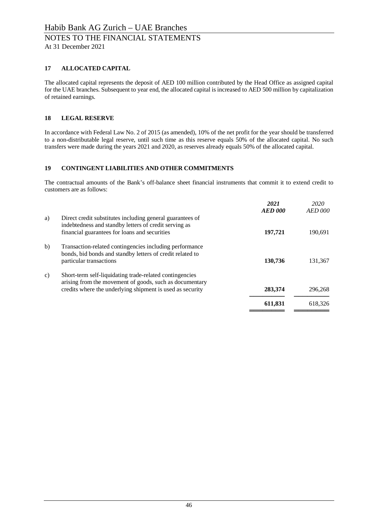At 31 December 2021

# **17 ALLOCATED CAPITAL**

The allocated capital represents the deposit of AED 100 million contributed by the Head Office as assigned capital for the UAE branches. Subsequent to year end, the allocated capital is increased to AED 500 million by capitalization of retained earnings.

## **18 LEGAL RESERVE**

In accordance with Federal Law No. 2 of 2015 (as amended), 10% of the net profit for the year should be transferred to a non-distributable legal reserve, until such time as this reserve equals 50% of the allocated capital. No such transfers were made during the years 2021 and 2020, as reserves already equals 50% of the allocated capital.

# **19 CONTINGENT LIABILITIES AND OTHER COMMITMENTS**

The contractual amounts of the Bank's off-balance sheet financial instruments that commit it to extend credit to customers are as follows:

|              |                                                                                                                                                                                 | 2021<br><b>AED 000</b> | 2020<br>AED 000 |
|--------------|---------------------------------------------------------------------------------------------------------------------------------------------------------------------------------|------------------------|-----------------|
| a)           | Direct credit substitutes including general guarantees of<br>indebtedness and standby letters of credit serving as<br>financial guarantees for loans and securities             | 197,721                | 190,691         |
| b)           | Transaction-related contingencies including performance<br>bonds, bid bonds and standby letters of credit related to<br>particular transactions                                 | 130,736                | 131,367         |
| $\mathbf{c}$ | Short-term self-liquidating trade-related contingencies<br>arising from the movement of goods, such as documentary<br>credits where the underlying shipment is used as security | 283,374                | 296.268         |
|              |                                                                                                                                                                                 | 611,831                | 618,326         |
|              |                                                                                                                                                                                 |                        |                 |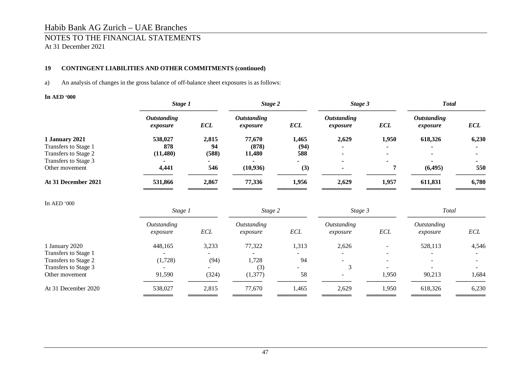# NOTES TO THE FINANCIAL STATEMENTS

At 31 December 2021

# **19 CONTINGENT LIABILITIES AND OTHER COMMITMENTS (continued)**

a) An analysis of changes in the gross balance of off-balance sheet exposures is as follows:

#### **In AED '000**

|                       | Stage 1                        |             | Stage 2                        |            | Stage 3                        |                | <b>Total</b>                   |            |
|-----------------------|--------------------------------|-------------|--------------------------------|------------|--------------------------------|----------------|--------------------------------|------------|
|                       | <b>Outstanding</b><br>exposure | ECL         | <b>Outstanding</b><br>exposure | <b>ECL</b> | <b>Outstanding</b><br>exposure | $\pmb{ECL}$    | <b>Outstanding</b><br>exposure | <b>ECL</b> |
| <b>1 January 2021</b> | 538,027                        | 2,815       | 77,670                         | 1,465      | 2,629                          | 1,950          | 618,326                        | 6,230      |
| Transfers to Stage 1  | 878                            | 94          | (878)                          | (94)       |                                |                |                                |            |
| Transfers to Stage 2  | (11, 480)                      | (588)       | 11,480                         | 588        |                                |                |                                |            |
| Transfers to Stage 3  |                                |             |                                |            |                                |                |                                |            |
| Other movement        | 4,441                          | 546         | (10, 936)                      | (3)        |                                | $\overline{7}$ | (6, 495)                       | 550        |
| At 31 December 2021   | 531,866                        | 2,867       | 77,336                         | 1,956      | 2,629                          | 1,957          | 611,831                        | 6,780      |
| In AED '000           | Stage 1                        |             | Stage 2                        |            | Stage 3                        |                | Total                          |            |
|                       | <b>Outstanding</b><br>exposure | $\cal{ECL}$ | <b>Outstanding</b><br>exposure | $\cal ECL$ | Outstanding<br>exposure        | ECL            | <b>Outstanding</b><br>exposure | ECL        |
| 1 January 2020        | 448,165                        | 3,233       | 77,322                         | 1,313      | 2,626                          |                | 528,113                        | 4,546      |
| Transfers to Stage 1  |                                |             |                                |            |                                |                |                                |            |
| Transfers to Stage 2  | (1,728)                        | (94)        | 1,728                          | 94         |                                |                |                                |            |
| Transfers to Stage 3  |                                |             | (3)                            |            | 3                              |                |                                |            |
| Other movement        | 91,590                         | (324)       | (1, 377)                       | 58         |                                | 1,950          | 90,213                         | 1,684      |
| At 31 December 2020   | 538,027                        | 2,815       | 77,670                         | 1,465      | 2,629                          | 1,950          | 618,326                        | 6,230      |
|                       |                                |             |                                |            |                                |                |                                |            |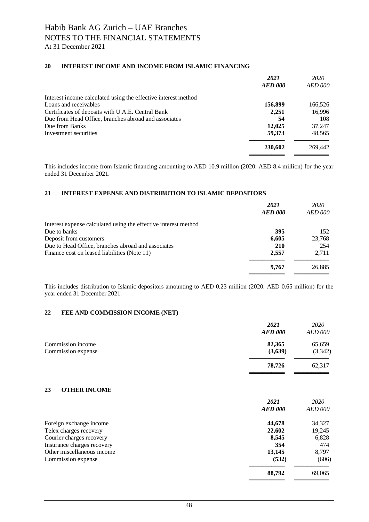## **20 INTEREST INCOME AND INCOME FROM ISLAMIC FINANCING**

|                                                                | 2021           | 2020           |
|----------------------------------------------------------------|----------------|----------------|
|                                                                | <b>AED 000</b> | <i>AED 000</i> |
| Interest income calculated using the effective interest method |                |                |
| Loans and receivables                                          | 156,899        | 166,526        |
| Certificates of deposits with U.A.E. Central Bank              | 2,251          | 16,996         |
| Due from Head Office, branches abroad and associates           | 54             | 108            |
| Due from Banks                                                 | 12,025         | 37,247         |
| Investment securities                                          | 59,373         | 48,565         |
|                                                                | 230,602        | 269,442        |
|                                                                |                |                |

This includes income from Islamic financing amounting to AED 10.9 million (2020: AED 8.4 million) for the year ended 31 December 2021.

# **21 INTEREST EXPENSE AND DISTRIBUTION TO ISLAMIC DEPOSITORS**

|                                                                 | 2021<br><b>AED 000</b> | 2020<br>AED 000 |
|-----------------------------------------------------------------|------------------------|-----------------|
| Interest expense calculated using the effective interest method |                        |                 |
| Due to banks                                                    | 395                    | 152             |
| Deposit from customers                                          | 6,605                  | 23,768          |
| Due to Head Office, branches abroad and associates              | 210                    | 254             |
| Finance cost on leased liabilities (Note 11)                    | 2,557                  | 2,711           |
|                                                                 | 9,767                  | 26,885          |
|                                                                 |                        |                 |

This includes distribution to Islamic depositors amounting to AED 0.23 million (2020: AED 0.65 million) for the year ended 31 December 2021.

### **22 FEE AND COMMISSION INCOME (NET)**

|                                         | 2021<br><b>AED 000</b> | 2020<br><b>AED 000</b> |
|-----------------------------------------|------------------------|------------------------|
| Commission income<br>Commission expense | 82,365<br>(3,639)      | 65,659<br>(3, 342)     |
|                                         | 78,726                 | 62,317                 |

### **23 OTHER INCOME**

| 2021<br><b>AED 000</b> | 2020<br><b>AED 000</b> |
|------------------------|------------------------|
| 44,678                 | 34,327                 |
| 22,602                 | 19,245                 |
| 8,545                  | 6,828                  |
| 354                    | 474                    |
| 13,145                 | 8,797                  |
| (532)                  | (606)                  |
| 88,792                 | 69,065                 |
|                        |                        |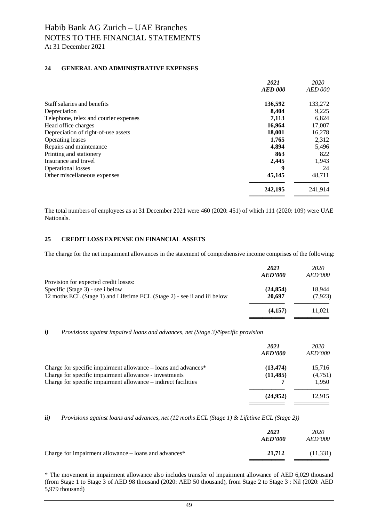### **24 GENERAL AND ADMINISTRATIVE EXPENSES**

|                                       | 2021           | 2020           |
|---------------------------------------|----------------|----------------|
|                                       | <b>AED 000</b> | <b>AED 000</b> |
| Staff salaries and benefits           | 136,592        | 133,272        |
| Depreciation                          | 8,404          | 9,225          |
| Telephone, telex and courier expenses | 7,113          | 6,824          |
| Head office charges                   | 16,964         | 17,007         |
| Depreciation of right-of-use assets   | 18,001         | 16,278         |
| Operating leases                      | 1,765          | 2,312          |
| Repairs and maintenance               | 4,894          | 5,496          |
| Printing and stationery               | 863            | 822            |
| Insurance and travel                  | 2.445          | 1,943          |
| <b>Operational losses</b>             | 9              | 24             |
| Other miscellaneous expenses          | 45,145         | 48,711         |
|                                       | 242,195        | 241,914        |
|                                       |                |                |

The total numbers of employees as at 31 December 2021 were 460 (2020: 451) of which 111 (2020: 109) were UAE Nationals.

### **25 CREDIT LOSS EXPENSE ON FINANCIAL ASSETS**

The charge for the net impairment allowances in the statement of comprehensive income comprises of the following:

|                                                                          | 2021      | 2020           |
|--------------------------------------------------------------------------|-----------|----------------|
|                                                                          | AED'000   | <i>AED'000</i> |
| Provision for expected credit losses:                                    |           |                |
| Specific (Stage 3) - see i below                                         | (24, 854) | 18.944         |
| 12 moths ECL (Stage 1) and Lifetime ECL (Stage 2) - see ii and iii below | 20.697    | (7, 923)       |
|                                                                          | (4,157)   | 11.021         |
|                                                                          |           |                |

*i) Provisions against impaired loans and advances, net (Stage 3)/Specific provision*

|                                                                                                                                                                                            | 2021<br>AED'000        | 2020<br><b>AED'000</b>     |
|--------------------------------------------------------------------------------------------------------------------------------------------------------------------------------------------|------------------------|----------------------------|
| Charge for specific impairment allowance – loans and advances*<br>Charge for specific impairment allowance - investments<br>Charge for specific impairment allowance – indirect facilities | (13, 474)<br>(11, 485) | 15,716<br>(4,751)<br>1,950 |
|                                                                                                                                                                                            | (24.952)               | 12.915                     |

#### *ii) Provisions against loans and advances, net (12 moths ECL (Stage 1) & Lifetime ECL (Stage 2))*

|                                                       | 2021<br>AED'000 | 2020<br><i>AED'000</i> |
|-------------------------------------------------------|-----------------|------------------------|
| Charge for impairment allowance – loans and advances* | 21.712          | (11, 331)              |

\* The movement in impairment allowance also includes transfer of impairment allowance of AED 6,029 thousand (from Stage 1 to Stage 3 of AED 98 thousand (2020: AED 50 thousand), from Stage 2 to Stage 3 : Nil (2020: AED 5,979 thousand)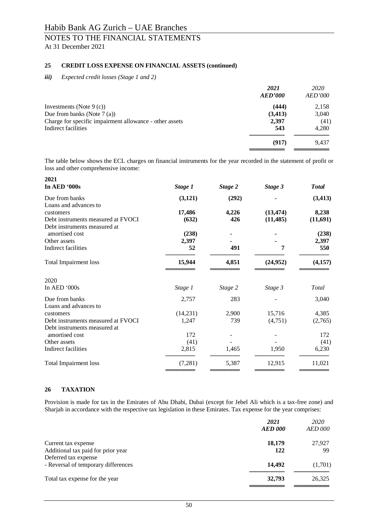# NOTES TO THE FINANCIAL STATEMENTS At 31 December 2021

# **25 CREDIT LOSS EXPENSE ON FINANCIAL ASSETS (continued)**

*iii) Expected credit losses (Stage 1 and 2)*

|                                                         | 2021<br><b>AED'000</b> | 2020<br><i>AED'000</i> |
|---------------------------------------------------------|------------------------|------------------------|
| Investments (Note $9(c)$ )                              | (444)                  | 2,158                  |
| Due from banks (Note $7(a)$ )                           | (3, 413)               | 3,040                  |
| Charge for specific impairment allowance - other assets | 2,397                  | (41)                   |
| Indirect facilities                                     | 543                    | 4,280                  |
|                                                         | (917)                  | 9.437                  |
|                                                         |                        |                        |

The table below shows the ECL charges on financial instruments for the year recorded in the statement of profit or loss and other comprehensive income:

| Stage 1         | Stage 2                      | Stage 3                | <b>T</b> otal         |
|-----------------|------------------------------|------------------------|-----------------------|
| (3, 121)        | (292)                        |                        | (3, 413)              |
| 17,486<br>(632) | 4,226<br>426                 | (13, 474)<br>(11, 485) | 8,238<br>(11,691)     |
| (238)<br>2,397  |                              |                        | (238)<br>2,397<br>550 |
| 15,944          | 4,851                        | (24,952)               | (4,157)               |
|                 |                              |                        | Total                 |
| 2,757           | 283                          |                        | 3,040                 |
| (14,231)        | 2,900                        | 15,716                 | 4,385                 |
| 1,247           | 739                          | (4,751)                | (2,765)               |
|                 |                              |                        | 172                   |
| 2,815           | 1,465                        | 1,950                  | (41)<br>6,230         |
| (7,281)         | 5,387                        | 12,915                 | 11,021                |
|                 | 52<br>Stage 1<br>172<br>(41) | 491<br>Stage 2         | 7<br>Stage 3          |

### **26 TAXATION**

Provision is made for tax in the Emirates of Abu Dhabi, Dubai (except for Jebel Ali which is a tax-free zone) and Sharjah in accordance with the respective tax legislation in these Emirates. Tax expense for the year comprises:

|                                     | 2021<br><b>AED 000</b> | 2020<br><b>AED 000</b> |
|-------------------------------------|------------------------|------------------------|
| Current tax expense                 | 18,179                 | 27,927                 |
| Additional tax paid for prior year  | 122                    | 99                     |
| Deferred tax expense                |                        |                        |
| - Reversal of temporary differences | 14.492                 | (1,701)                |
| Total tax expense for the year      | 32,793                 | 26,325                 |
|                                     |                        |                        |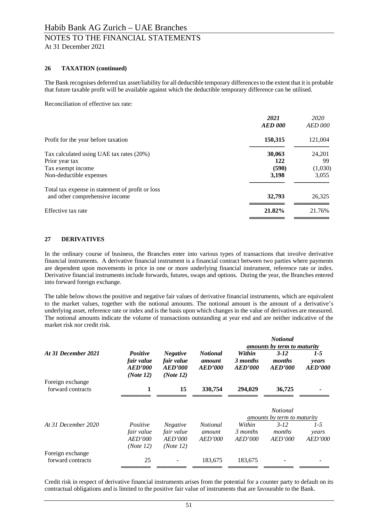### **26 TAXATION (continued)**

The Bank recognises deferred tax asset/liability for all deductible temporary differences to the extent that it is probable that future taxable profit will be available against which the deductible temporary difference can be utilised.

Reconciliation of effective tax rate:

|                                                  | 2021<br><b>AED 000</b> | 2020<br><b>AED 000</b> |
|--------------------------------------------------|------------------------|------------------------|
| Profit for the year before taxation              | 150,315                | 121,004                |
| Tax calculated using UAE tax rates (20%)         | 30,063                 | 24,201                 |
| Prior year tax                                   | 122                    | 99                     |
| Tax exempt income                                | (590)                  | (1,030)                |
| Non-deductible expenses                          | 3,198                  | 3,055                  |
| Total tax expense in statement of profit or loss |                        |                        |
| and other comprehensive income                   | 32,793                 | 26,325                 |
| Effective tax rate                               | 21.82%                 | 21.76%                 |
|                                                  |                        |                        |

### **27 DERIVATIVES**

In the ordinary course of business, the Branches enter into various types of transactions that involve derivative financial instruments. A derivative financial instrument is a financial contract between two parties where payments are dependent upon movements in price in one or more underlying financial instrument, reference rate or index. Derivative financial instruments include forwards, futures, swaps and options. During the year, the Branches entered into forward foreign exchange.

The table below shows the positive and negative fair values of derivative financial instruments, which are equivalent to the market values, together with the notional amounts. The notional amount is the amount of a derivative's underlying asset, reference rate or index and is the basis upon which changes in the value of derivatives are measured. The notional amounts indicate the volume of transactions outstanding at year end and are neither indicative of the market risk nor credit risk.

|                     |                                                       |                                                              |                                             |                                      | <b>Notional</b>                                       |                                  |
|---------------------|-------------------------------------------------------|--------------------------------------------------------------|---------------------------------------------|--------------------------------------|-------------------------------------------------------|----------------------------------|
|                     |                                                       |                                                              |                                             |                                      | amounts by term to maturity                           |                                  |
| At 31 December 2021 | Positive<br>fair value<br><b>AED'000</b><br>(Note 12) | <b>Negative</b><br>fair value<br><b>AED'000</b><br>(Note 12) | <b>Notional</b><br>amount<br><b>AED'000</b> | Within<br>3 months<br><b>AED'000</b> | $3-12$<br>months<br><b>AED'000</b>                    | $1-5$<br>years<br><b>AED'000</b> |
| Foreign exchange    |                                                       |                                                              |                                             |                                      |                                                       |                                  |
| forward contracts   | 1                                                     | 15                                                           | 330,754                                     | 294,029                              | 36,725                                                |                                  |
|                     |                                                       |                                                              |                                             |                                      | <i>Notional</i><br><i>amounts by term to maturity</i> |                                  |
| At 31 December 2020 | Positive                                              | <b>Negative</b>                                              | <i>Notional</i>                             | Within                               | $3 - 12$                                              | $1 - 5$                          |
|                     | fair value                                            | fair value                                                   | amount                                      | 3 months                             | months                                                | years                            |
|                     | <i>AED'000</i>                                        | <i>AED'000</i>                                               | <i>AED'000</i>                              | AED'000                              | AED'000                                               | AED'000                          |
|                     | (Note 12)                                             | (Note 12)                                                    |                                             |                                      |                                                       |                                  |
| Foreign exchange    |                                                       |                                                              |                                             |                                      |                                                       |                                  |
| forward contracts   | 25                                                    |                                                              | 183,675                                     | 183,675                              |                                                       |                                  |
|                     |                                                       |                                                              |                                             |                                      |                                                       |                                  |

Credit risk in respect of derivative financial instruments arises from the potential for a counter party to default on its contractual obligations and is limited to the positive fair value of instruments that are favourable to the Bank.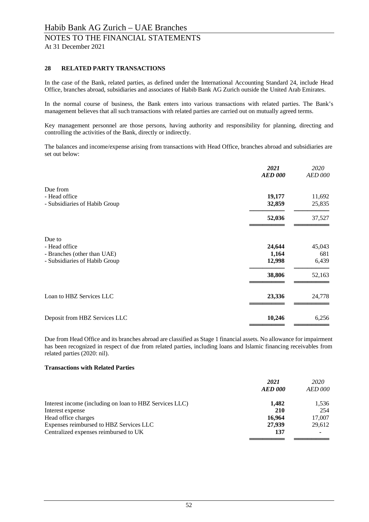At 31 December 2021

### **28 RELATED PARTY TRANSACTIONS**

In the case of the Bank, related parties, as defined under the International Accounting Standard 24, include Head Office, branches abroad, subsidiaries and associates of Habib Bank AG Zurich outside the United Arab Emirates.

In the normal course of business, the Bank enters into various transactions with related parties. The Bank's management believes that all such transactions with related parties are carried out on mutually agreed terms.

Key management personnel are those persons, having authority and responsibility for planning, directing and controlling the activities of the Bank, directly or indirectly.

The balances and income/expense arising from transactions with Head Office, branches abroad and subsidiaries are set out below:

|                               | 2021<br><b>AED 000</b> | 2020<br><b>AED 000</b> |
|-------------------------------|------------------------|------------------------|
| Due from                      |                        |                        |
| - Head office                 | 19,177                 | 11,692                 |
| - Subsidiaries of Habib Group | 32,859                 | 25,835                 |
|                               | 52,036                 | 37,527                 |
| Due to                        |                        |                        |
| - Head office                 | 24,644                 | 45,043                 |
| - Branches (other than UAE)   | 1,164                  | 681                    |
| - Subsidiaries of Habib Group | 12,998                 | 6,439                  |
|                               | 38,806                 | 52,163                 |
| Loan to HBZ Services LLC      | 23,336                 | 24,778                 |
| Deposit from HBZ Services LLC | 10,246                 | 6,256                  |
|                               |                        |                        |

Due from Head Office and its branches abroad are classified as Stage 1 financial assets. No allowance for impairment has been recognized in respect of due from related parties, including loans and Islamic financing receivables from related parties (2020: nil).

#### **Transactions with Related Parties**

|                                                         | 2021           | 2020    |
|---------------------------------------------------------|----------------|---------|
|                                                         | <b>AED 000</b> | AED 000 |
| Interest income (including on loan to HBZ Services LLC) | 1.482          | 1.536   |
| Interest expense                                        | 210            | 254     |
| Head office charges                                     | 16,964         | 17,007  |
| Expenses reimbursed to HBZ Services LLC                 | 27,939         | 29,612  |
| Centralized expenses reimbursed to UK                   | 137            |         |
|                                                         |                |         |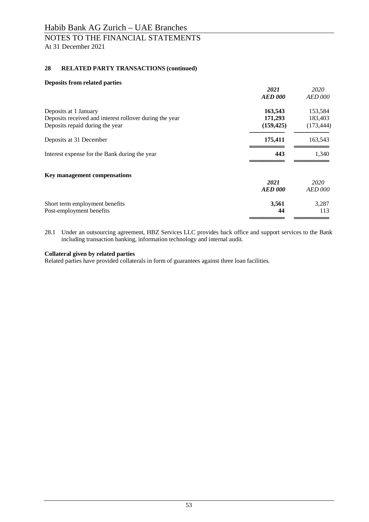# NOTES TO THE FINANCIAL STATEMENTS At 31 December 2021

# **28 RELATED PARTY TRANSACTIONS (continued)**

#### **Deposits from related parties**

|                                                         | 2021           | 2020           |
|---------------------------------------------------------|----------------|----------------|
|                                                         | <b>AED 000</b> | <b>AED 000</b> |
| Deposits at 1 January                                   | 163,543        | 153,584        |
| Deposits received and interest rollover during the year | 171,293        | 183,403        |
| Deposits repaid during the year                         | (159, 425)     | (173, 444)     |
| Deposits at 31 December                                 | 175,411        | 163,543        |
| Interest expense for the Bank during the year           | 443            | 1,340          |
| Key management compensations                            |                |                |
|                                                         | 2021           | 2020           |
|                                                         | <b>AED 000</b> | <b>AED 000</b> |
| Short term employment benefits                          | 3,561          | 3,287          |
| Post-employment benefits                                | 44             | 113            |
|                                                         |                |                |

28.1 Under an outsourcing agreement, HBZ Services LLC provides back office and support services to the Bank including transaction banking, information technology and internal audit.

### **Collateral given by related parties**

Related parties have provided collaterals in form of guarantees against three loan facilities.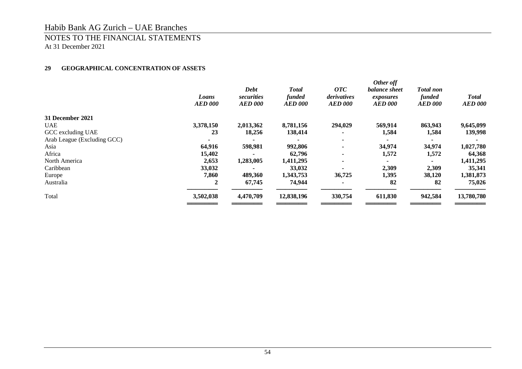# NOTES TO THE FINANCIAL STATEMENTS

At 31 December 2021

# **29 GEOGRAPHICAL CONCENTRATION OF ASSETS**

|                             | Other off               |                                             |                                          |                                             |                                              |                                              |                                |  |
|-----------------------------|-------------------------|---------------------------------------------|------------------------------------------|---------------------------------------------|----------------------------------------------|----------------------------------------------|--------------------------------|--|
|                             | Loans<br><b>AED 000</b> | <b>Debt</b><br>securities<br><b>AED 000</b> | <b>Total</b><br>funded<br><b>AED 000</b> | <b>OTC</b><br>derivatives<br><b>AED 000</b> | balance sheet<br>exposures<br><b>AED 000</b> | <b>Total non</b><br>funded<br><b>AED 000</b> | <b>Total</b><br><b>AED 000</b> |  |
|                             |                         |                                             |                                          |                                             |                                              |                                              |                                |  |
| 31 December 2021            |                         |                                             |                                          |                                             |                                              |                                              |                                |  |
| <b>UAE</b>                  | 3,378,150               | 2,013,362                                   | 8,781,156                                | 294,029                                     | 569,914                                      | 863,943                                      | 9,645,099                      |  |
| GCC excluding UAE           | 23                      | 18,256                                      | 138,414                                  |                                             | 1,584                                        | 1,584                                        | 139,998                        |  |
| Arab League (Excluding GCC) |                         |                                             |                                          | $\sim$                                      |                                              |                                              |                                |  |
| Asia                        | 64,916                  | 598,981                                     | 992,806                                  | ٠                                           | 34,974                                       | 34,974                                       | 1,027,780                      |  |
| Africa                      | 15,402                  |                                             | 62,796                                   |                                             | 1,572                                        | 1,572                                        | 64,368                         |  |
| North America               | 2,653                   | 1,283,005                                   | 1,411,295                                | $\blacksquare$                              |                                              |                                              | 1,411,295                      |  |
| Caribbean                   | 33,032                  |                                             | 33,032                                   |                                             | 2,309                                        | 2,309                                        | 35,341                         |  |
| Europe                      | 7,860                   | 489,360                                     | 1,343,753                                | 36,725                                      | 1,395                                        | 38,120                                       | 1,381,873                      |  |
| Australia                   |                         | 67,745                                      | 74,944                                   |                                             | 82                                           | 82                                           | 75,026                         |  |
| Total                       | 3,502,038               | 4,470,709                                   | 12,838,196                               | 330,754                                     | 611,830                                      | 942,584                                      | 13,780,780                     |  |
|                             |                         |                                             |                                          |                                             |                                              |                                              |                                |  |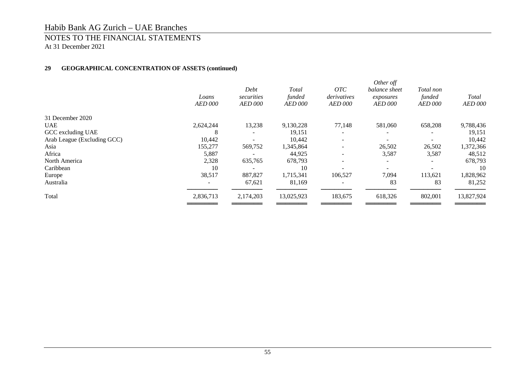# NOTES TO THE FINANCIAL STATEMENTS

At 31 December 2021

# **29 GEOGRAPHICAL CONCENTRATION OF ASSETS (continued)**

|                             | Other off               |                                      |                                          |                                      |                                              |                                       |                         |  |
|-----------------------------|-------------------------|--------------------------------------|------------------------------------------|--------------------------------------|----------------------------------------------|---------------------------------------|-------------------------|--|
|                             | Loans<br><b>AED 000</b> | Debt<br>securities<br><b>AED 000</b> | <b>Total</b><br>funded<br><b>AED 000</b> | OTC<br>derivatives<br><b>AED 000</b> | balance sheet<br>exposures<br><b>AED 000</b> | Total non<br>funded<br><b>AED 000</b> | Total<br><b>AED 000</b> |  |
| 31 December 2020            |                         |                                      |                                          |                                      |                                              |                                       |                         |  |
| <b>UAE</b>                  | 2,624,244               | 13,238                               | 9,130,228                                | 77,148                               | 581,060                                      | 658,208                               | 9,788,436               |  |
| GCC excluding UAE           | 8                       | $\overline{\phantom{0}}$             | 19,151                                   |                                      |                                              |                                       | 19,151                  |  |
| Arab League (Excluding GCC) | 10,442                  |                                      | 10,442                                   | $\overline{\phantom{a}}$             |                                              |                                       | 10,442                  |  |
| Asia                        | 155,277                 | 569,752                              | 1,345,864                                | $\overline{\phantom{0}}$             | 26,502                                       | 26,502                                | 1,372,366               |  |
| Africa                      | 5,887                   |                                      | 44,925                                   |                                      | 3,587                                        | 3,587                                 | 48,512                  |  |
| North America               | 2,328                   | 635,765                              | 678,793                                  | $\overline{\phantom{a}}$             | $\overline{\phantom{a}}$                     | $\overline{\phantom{a}}$              | 678,793                 |  |
| Caribbean                   | 10                      |                                      | 10                                       | -                                    |                                              |                                       | 10                      |  |
| Europe                      | 38,517                  | 887,827                              | 1,715,341                                | 106,527                              | 7,094                                        | 113,621                               | 1,828,962               |  |
| Australia                   |                         | 67,621                               | 81,169                                   |                                      | 83                                           | 83                                    | 81,252                  |  |
| Total                       | 2,836,713               | 2,174,203                            | 13,025,923                               | 183,675                              | 618,326                                      | 802,001                               | 13,827,924              |  |
|                             |                         |                                      |                                          |                                      |                                              |                                       |                         |  |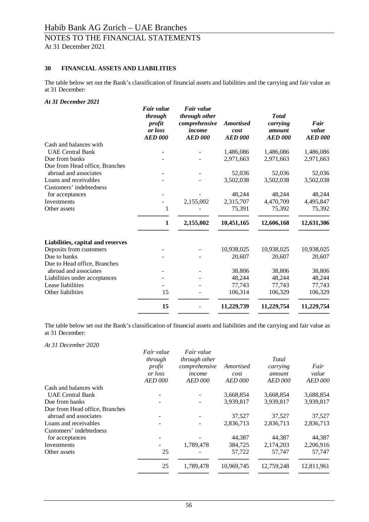# NOTES TO THE FINANCIAL STATEMENTS At 31 December 2021

# **30 FINANCIAL ASSETS AND LIABILITIES**

The table below set out the Bank's classification of financial assets and liabilities and the carrying and fair value as at 31 December:

#### *At 31 December 2021*

|                                   | Fair value<br>through<br>profit<br>or loss<br><b>AED 000</b> | <b>Fair</b> value<br>through other<br>comprehensive<br>income<br><b>AED 000</b> | <b>Amortised</b><br>cost<br><b>AED 000</b> | <b>T</b> otal<br>carrying<br>amount<br><b>AED 000</b> | Fair<br>value<br><b>AED 000</b> |
|-----------------------------------|--------------------------------------------------------------|---------------------------------------------------------------------------------|--------------------------------------------|-------------------------------------------------------|---------------------------------|
| Cash and balances with            |                                                              |                                                                                 |                                            |                                                       |                                 |
| <b>UAE</b> Central Bank           |                                                              |                                                                                 | 1,486,086                                  | 1,486,086                                             | 1,486,086                       |
| Due from banks                    |                                                              |                                                                                 | 2,971,663                                  | 2,971,663                                             | 2,971,663                       |
| Due from Head office, Branches    |                                                              |                                                                                 |                                            |                                                       |                                 |
| abroad and associates             |                                                              |                                                                                 | 52,036                                     | 52,036                                                | 52,036                          |
| Loans and receivables             |                                                              |                                                                                 | 3,502,038                                  | 3,502,038                                             | 3,502,038                       |
| Customers' indebtedness           |                                                              |                                                                                 |                                            |                                                       |                                 |
| for acceptances                   |                                                              |                                                                                 | 48,244                                     | 48,244                                                | 48,244                          |
| <b>Investments</b>                |                                                              | 2,155,002                                                                       | 2,315,707                                  | 4,470,709                                             | 4,495,847                       |
| Other assets                      | 1                                                            |                                                                                 | 75,391                                     | 75,392                                                | 75,392                          |
|                                   | 1                                                            | 2,155,002                                                                       | 10,451,165                                 | 12,606,168                                            | 12,631,306                      |
| Liabilities, capital and reserves |                                                              |                                                                                 |                                            |                                                       |                                 |
| Deposits from customers           |                                                              |                                                                                 | 10,938,025                                 | 10,938,025                                            | 10,938,025                      |
| Due to banks                      |                                                              |                                                                                 | 20,607                                     | 20,607                                                | 20,607                          |
| Due to Head office, Branches      |                                                              |                                                                                 |                                            |                                                       |                                 |
| abroad and associates             |                                                              |                                                                                 | 38,806                                     | 38,806                                                | 38,806                          |
| Liabilities under acceptances     |                                                              |                                                                                 | 48,244                                     | 48,244                                                | 48,244                          |
| Lease liabilities                 |                                                              |                                                                                 | 77,743                                     | 77,743                                                | 77,743                          |
| Other liabilities                 | 15                                                           |                                                                                 | 106,314                                    | 106,329                                               | 106,329                         |
|                                   | 15                                                           |                                                                                 | 11,229,739                                 | 11,229,754                                            | 11,229,754                      |
|                                   |                                                              |                                                                                 |                                            |                                                       |                                 |

The table below set out the Bank's classification of financial assets and liabilities and the carrying and fair value as at 31 December:

*At 31 December 2020*

|                                | Fair value                                     | Fair value                                                 |                                     |                                               |                                 |
|--------------------------------|------------------------------------------------|------------------------------------------------------------|-------------------------------------|-----------------------------------------------|---------------------------------|
|                                | through<br>profit<br>or loss<br><b>AED 000</b> | through other<br>comprehensive<br>income<br><b>AED 000</b> | Amortised<br>cost<br><b>AED 000</b> | Total<br>carrying<br>amount<br><b>AED 000</b> | Fair<br>value<br><b>AED 000</b> |
| Cash and balances with         |                                                |                                                            |                                     |                                               |                                 |
| <b>UAE</b> Central Bank        |                                                |                                                            | 3,668,854                           | 3,668,854                                     | 3,688,854                       |
| Due from banks                 |                                                |                                                            | 3,939,817                           | 3,939,817                                     | 3,939,817                       |
| Due from Head office, Branches |                                                |                                                            |                                     |                                               |                                 |
| abroad and associates          |                                                |                                                            | 37,527                              | 37,527                                        | 37,527                          |
| Loans and receivables          |                                                |                                                            | 2,836,713                           | 2,836,713                                     | 2,836,713                       |
| Customers' indebtedness        |                                                |                                                            |                                     |                                               |                                 |
| for acceptances                |                                                |                                                            | 44.387                              | 44.387                                        | 44,387                          |
| Investments                    |                                                | 1,789,478                                                  | 384,725                             | 2,174,203                                     | 2,206,916                       |
| Other assets                   | 25                                             |                                                            | 57,722                              | 57,747                                        | 57,747                          |
|                                | 25                                             | 1,789,478                                                  | 10,969,745                          | 12,759,248                                    | 12,811,961                      |
|                                |                                                |                                                            |                                     |                                               |                                 |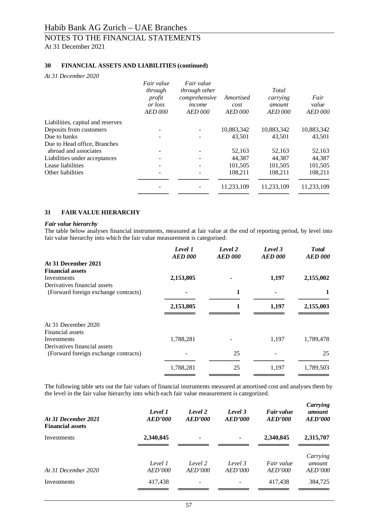# NOTES TO THE FINANCIAL STATEMENTS At 31 December 2021

#### **30 FINANCIAL ASSETS AND LIABILITIES (continued)**

### *At 31 December 2020*

|                                   | Fair value<br>through<br>profit<br>or loss<br><b>AED 000</b> | Fair value<br>through other<br>comprehensive<br>income<br><b>AED 000</b> | Amortised<br>cost<br><b>AED 000</b> | Total<br>carrying<br>amount<br><b>AED 000</b> | Fair<br>value<br><b>AED 000</b> |
|-----------------------------------|--------------------------------------------------------------|--------------------------------------------------------------------------|-------------------------------------|-----------------------------------------------|---------------------------------|
| Liabilities, capital and reserves |                                                              |                                                                          |                                     |                                               |                                 |
| Deposits from customers           |                                                              |                                                                          | 10,883,342                          | 10,883,342                                    | 10,883,342                      |
| Due to banks                      |                                                              |                                                                          | 43,501                              | 43,501                                        | 43,501                          |
| Due to Head office, Branches      |                                                              |                                                                          |                                     |                                               |                                 |
| abroad and associates             |                                                              |                                                                          | 52,163                              | 52,163                                        | 52,163                          |
| Liabilities under acceptances     |                                                              |                                                                          | 44.387                              | 44.387                                        | 44,387                          |
| Lease liabilities                 |                                                              |                                                                          | 101.505                             | 101.505                                       | 101,505                         |
| Other liabilities                 |                                                              |                                                                          | 108,211                             | 108,211                                       | 108,211                         |
|                                   |                                                              |                                                                          | 11,233,109                          | 11,233,109                                    | 11,233,109                      |

#### **31 FAIR VALUE HIERARCHY**

#### *Fair value hierarchy*

The table below analyses financial instruments, measured at fair value at the end of reporting period, by level into fair value hierarchy into which the fair value measurement is categorised:

|                                      | Level 1<br><b>AED 000</b> | Level 2<br><b>AED 000</b> | Level 3<br><b>AED 000</b> | <b>Total</b><br><b>AED 000</b> |
|--------------------------------------|---------------------------|---------------------------|---------------------------|--------------------------------|
| At 31 December 2021                  |                           |                           |                           |                                |
| <b>Financial assets</b>              |                           |                           |                           |                                |
| Investments                          | 2,153,805                 |                           | 1,197                     | 2,155,002                      |
| Derivatives financial assets         |                           |                           |                           |                                |
| (Forward foreign exchange contracts) |                           | 1                         | ۰                         | 1                              |
|                                      | 2,153,805                 | 1                         | 1,197                     | 2,155,003                      |
| At 31 December 2020                  |                           |                           |                           |                                |
| Financial assets                     |                           |                           |                           |                                |
| Investments                          | 1,788,281                 |                           | 1,197                     | 1,789,478                      |
| Derivatives financial assets         |                           |                           |                           |                                |
| (Forward foreign exchange contracts) |                           | 25                        |                           | 25                             |
|                                      | 1,788,281                 | 25                        | 1,197                     | 1,789,503                      |
|                                      |                           |                           |                           |                                |

The following table sets out the fair values of financial instruments measured at amortised cost and analyses them by the level in the fair value hierarchy into which each fair value measurement is categorized.

| At 31 December 2021<br><b>Financial assets</b> | Level 1<br>AED'000 | Level 2<br>AED'000           | Level 3<br>AED'000 | <b>Fair</b> value<br>AED'000 | Carrying<br>amount<br>AED'000 |
|------------------------------------------------|--------------------|------------------------------|--------------------|------------------------------|-------------------------------|
| Investments                                    | 2,340,845          | $\blacksquare$               | ۰                  | 2,340,845                    | 2,315,707                     |
| At 31 December 2020                            | Level 1<br>AED'000 | Level 2<br>AED'000           | Level 3<br>AED'000 | Fair value<br>AED'000        | Carrying<br>amount<br>AED'000 |
| Investments                                    | 417,438            | $\qquad \qquad \blacksquare$ |                    | 417,438                      | 384,725                       |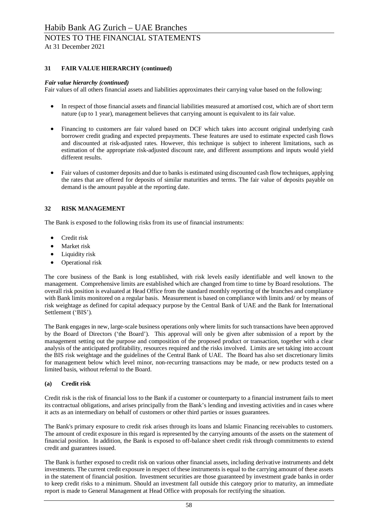### **31 FAIR VALUE HIERARCHY (continued)**

#### *Fair value hierarchy (continued)*

Fair values of all others financial assets and liabilities approximates their carrying value based on the following:

- In respect of those financial assets and financial liabilities measured at amortised cost, which are of short term nature (up to 1 year), management believes that carrying amount is equivalent to its fair value.
- Financing to customers are fair valued based on DCF which takes into account original underlying cash borrower credit grading and expected prepayments. These features are used to estimate expected cash flows and discounted at risk-adjusted rates. However, this technique is subject to inherent limitations, such as estimation of the appropriate risk-adjusted discount rate, and different assumptions and inputs would yield different results.
- Fair values of customer deposits and due to banks is estimated using discounted cash flow techniques, applying the rates that are offered for deposits of similar maturities and terms. The fair value of deposits payable on demand is the amount payable at the reporting date.

### **32 RISK MANAGEMENT**

The Bank is exposed to the following risks from its use of financial instruments:

- Credit risk
- Market risk
- Liquidity risk
- Operational risk

The core business of the Bank is long established, with risk levels easily identifiable and well known to the management. Comprehensive limits are established which are changed from time to time by Board resolutions. The overall risk position is evaluated at Head Office from the standard monthly reporting of the branches and compliance with Bank limits monitored on a regular basis. Measurement is based on compliance with limits and/ or by means of risk weightage as defined for capital adequacy purpose by the Central Bank of UAE and the Bank for International Settlement ('BIS').

The Bank engages in new, large-scale business operations only where limits for such transactions have been approved by the Board of Directors ('the Board'). This approval will only be given after submission of a report by the management setting out the purpose and composition of the proposed product or transaction, together with a clear analysis of the anticipated profitability, resources required and the risks involved. Limits are set taking into account the BIS risk weightage and the guidelines of the Central Bank of UAE. The Board has also set discretionary limits for management below which level minor, non-recurring transactions may be made, or new products tested on a limited basis, without referral to the Board.

#### **(a) Credit risk**

Credit risk is the risk of financial loss to the Bank if a customer or counterparty to a financial instrument fails to meet its contractual obligations, and arises principally from the Bank's lending and investing activities and in cases where it acts as an intermediary on behalf of customers or other third parties or issues guarantees.

The Bank's primary exposure to credit risk arises through its loans and Islamic Financing receivables to customers. The amount of credit exposure in this regard is represented by the carrying amounts of the assets on the statement of financial position. In addition, the Bank is exposed to off-balance sheet credit risk through commitments to extend credit and guarantees issued.

The Bank is further exposed to credit risk on various other financial assets, including derivative instruments and debt investments. The current credit exposure in respect of these instruments is equal to the carrying amount of these assets in the statement of financial position. Investment securities are those guaranteed by investment grade banks in order to keep credit risks to a minimum. Should an investment fall outside this category prior to maturity, an immediate report is made to General Management at Head Office with proposals for rectifying the situation.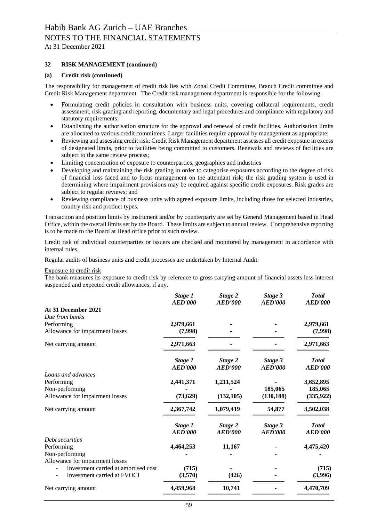### **32 RISK MANAGEMENT (continued)**

#### **(a) Credit risk (continued)**

The responsibility for management of credit risk lies with Zonal Credit Committee, Branch Credit committee and Credit Risk Management department. The Credit risk management department is responsible for the following:

- Formulating credit policies in consultation with business units, covering collateral requirements, credit assessment, risk grading and reporting, documentary and legal procedures and compliance with regulatory and statutory requirements;
- Establishing the authorisation structure for the approval and renewal of credit facilities. Authorisation limits are allocated to various credit committees. Larger facilities require approval by management as appropriate;
- Reviewing and assessing credit risk: Credit Risk Management department assesses all credit exposure in excess of designated limits, prior to facilities being committed to customers. Renewals and reviews of facilities are subject to the same review process:
- Limiting concentration of exposure to counterparties, geographies and industries
- Developing and maintaining the risk grading in order to categorise exposures according to the degree of risk of financial loss faced and to focus management on the attendant risk; the risk grading system is used in determining where impairment provisions may be required against specific credit exposures. Risk grades are subject to regular reviews; and
- Reviewing compliance of business units with agreed exposure limits, including those for selected industries, country risk and product types.

Transaction and position limits by instrument and/or by counterparty are set by General Management based in Head Office, within the overall limits set by the Board. These limits are subject to annual review. Comprehensive reporting is to be made to the Board at Head office prior to such review.

Credit risk of individual counterparties or issuers are checked and monitored by management in accordance with internal rules.

Regular audits of business units and credit processes are undertaken by Internal Audit.

#### Exposure to credit risk

The bank measures its exposure to credit risk by reference to gross carrying amount of financial assets less interest suspended and expected credit allowances, if any.

|       | <b>AED'000</b>                                                                                                                                                          | <b>AED'000</b> | <b>AED'000</b>     |
|-------|-------------------------------------------------------------------------------------------------------------------------------------------------------------------------|----------------|--------------------|
|       |                                                                                                                                                                         |                |                    |
|       |                                                                                                                                                                         |                |                    |
|       |                                                                                                                                                                         |                | 2,979,661          |
|       |                                                                                                                                                                         |                | (7,998)            |
|       |                                                                                                                                                                         |                | 2,971,663          |
|       | Stage 2                                                                                                                                                                 | Stage 3        | <b>Total</b>       |
|       | <b>AED'000</b>                                                                                                                                                          | <b>AED'000</b> | <b>AED'000</b>     |
|       |                                                                                                                                                                         |                |                    |
|       | 1,211,524                                                                                                                                                               |                | 3,652,895          |
|       |                                                                                                                                                                         |                | 185,065            |
|       | (132, 105)                                                                                                                                                              | (130, 188)     | (335, 922)         |
|       | 1,079,419                                                                                                                                                               | 54,877         | 3,502,038          |
|       |                                                                                                                                                                         |                | <b>Total</b>       |
|       | <b>AED'000</b>                                                                                                                                                          | <b>AED'000</b> | <b>AED'000</b>     |
|       |                                                                                                                                                                         |                |                    |
|       | 11,167                                                                                                                                                                  |                | 4,475,420          |
|       |                                                                                                                                                                         |                |                    |
|       |                                                                                                                                                                         |                |                    |
| (715) |                                                                                                                                                                         |                | (715)              |
|       | (426)                                                                                                                                                                   |                | (3,996)            |
|       | 10,741                                                                                                                                                                  |                | 4,470,709          |
|       | 2,979,661<br>(7,998)<br>2,971,663<br>Stage 1<br><b>AED'000</b><br>2,441,371<br>(73, 629)<br>2,367,742<br>Stage 1<br><b>AED'000</b><br>4,464,253<br>(3,570)<br>4,459,968 | Stage 2        | 185,065<br>Stage 3 |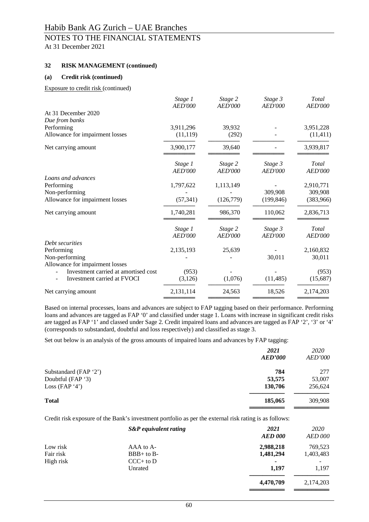# NOTES TO THE FINANCIAL STATEMENTS At 31 December 2021

### **32 RISK MANAGEMENT (continued)**

#### **(a) Credit risk (continued)**

Exposure to credit risk (continued)

|                                      | Stage 1<br>AED'000 | Stage 2<br><b>AED'000</b> | Stage 3<br><b>AED'000</b> | Total<br><b>AED'000</b> |
|--------------------------------------|--------------------|---------------------------|---------------------------|-------------------------|
| At 31 December 2020                  |                    |                           |                           |                         |
| Due from banks                       |                    |                           |                           |                         |
| Performing                           | 3,911,296          | 39,932                    |                           | 3,951,228               |
| Allowance for impairment losses      | (11, 119)          | (292)                     |                           | (11, 411)               |
|                                      |                    |                           |                           |                         |
| Net carrying amount                  | 3,900,177          | 39,640                    |                           | 3,939,817               |
|                                      | Stage 1            | Stage 2                   | Stage 3                   | Total                   |
|                                      | AED'000            | <b>AED'000</b>            | <b>AED'000</b>            | <b>AED'000</b>          |
| Loans and advances                   |                    |                           |                           |                         |
| Performing                           | 1,797,622          | 1,113,149                 |                           | 2,910,771               |
| Non-performing                       |                    |                           | 309,908                   | 309,908                 |
| Allowance for impairment losses      | (57, 341)          | (126,779)                 | (199, 846)                | (383,966)               |
| Net carrying amount                  | 1,740,281          | 986,370                   | 110,062                   | 2,836,713               |
|                                      | Stage 1            | Stage 2                   | Stage 3                   | Total                   |
|                                      | AED'000            | AED'000                   | AED'000                   | <b>AED'000</b>          |
| Debt securities                      |                    |                           |                           |                         |
| Performing                           | 2,135,193          | 25,639                    |                           | 2,160,832               |
| Non-performing                       |                    |                           | 30,011                    | 30,011                  |
| Allowance for impairment losses      |                    |                           |                           |                         |
| Investment carried at amortised cost | (953)              |                           |                           | (953)                   |
| Investment carried at FVOCI          | (3,126)            | (1,076)                   | (11, 485)                 | (15,687)                |
| Net carrying amount                  | 2,131,114          | 24,563                    | 18,526                    | 2,174,203               |
|                                      |                    |                           |                           |                         |

Based on internal processes, loans and advances are subject to FAP tagging based on their performance. Performing loans and advances are tagged as FAP '0' and classified under stage 1. Loans with increase in significant credit risks are tagged as FAP '1' and classed under Sage 2. Credit impaired loans and advances are tagged as FAP '2', '3' or '4' (corresponds to substandard, doubtful and loss respectively) and classified as stage 3.

Set out below is an analysis of the gross amounts of impaired loans and advances by FAP tagging:

| 2021<br>AED'000 | <i>2020</i><br><b>AED'000</b> |
|-----------------|-------------------------------|
| 784             | 277                           |
| 53,575          | 53,007                        |
| 130,706         | 256,624                       |
| 185,065         | 309,908                       |
|                 |                               |

Credit risk exposure of the Bank's investment portfolio as per the external risk rating is as follows:

|           | S&P equivalent rating | 2021<br><b>AED 000</b> | 2020<br><b>AED 000</b>   |
|-----------|-----------------------|------------------------|--------------------------|
| Low risk  | AAA to A-             | 2,988,218              | 769,523                  |
| Fair risk | $BBB+$ to B-          | 1,481,294              | 1,403,483                |
| High risk | $CCC+$ to $D$         | $\blacksquare$         | $\overline{\phantom{a}}$ |
|           | Unrated               | 1.197                  | 1.197                    |
|           |                       | 4,470,709              | 2,174,203                |
|           |                       |                        |                          |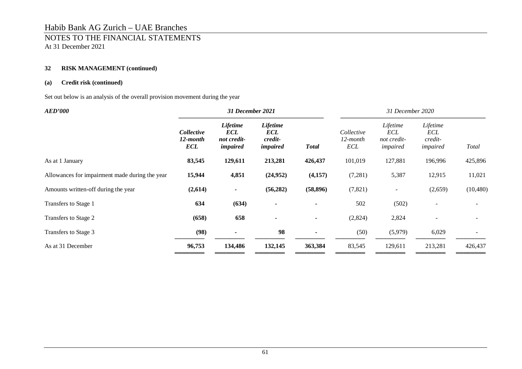# NOTES TO THE FINANCIAL STATEMENTS

At 31 December 2021

# **32 RISK MANAGEMENT (continued)**

### **(a) Credit risk (continued)**

Set out below is an analysis of the overall provision movement during the year

|                               | 31 December 2021                                         |                                                             |                | 31 December 2020                 |                                                   |                                        |           |
|-------------------------------|----------------------------------------------------------|-------------------------------------------------------------|----------------|----------------------------------|---------------------------------------------------|----------------------------------------|-----------|
| Collective<br>12-month<br>ECL | <b>Lifetime</b><br>ECL<br>not credit-<br><i>impaired</i> | <b>Lifetime</b><br><b>ECL</b><br>credit-<br><i>impaired</i> | <b>Total</b>   | Collective<br>$12$ -month<br>ECL | Lifetime<br><b>ECL</b><br>not credit-<br>impaired | Lifetime<br>ECL<br>credit-<br>impaired | Total     |
| 83,545                        | 129,611                                                  | 213,281                                                     | 426,437        | 101,019                          | 127,881                                           | 196,996                                | 425,896   |
| 15,944                        | 4,851                                                    | (24,952)                                                    | (4,157)        | (7,281)                          | 5,387                                             | 12,915                                 | 11,021    |
| (2,614)                       | $\blacksquare$                                           | (56, 282)                                                   | (58, 896)      | (7,821)                          | -                                                 | (2,659)                                | (10, 480) |
| 634                           | (634)                                                    |                                                             | ٠              | 502                              | (502)                                             | $\overline{a}$                         |           |
| (658)                         | 658                                                      |                                                             | $\blacksquare$ | (2,824)                          | 2,824                                             |                                        |           |
| (98)                          | ۰                                                        | 98                                                          |                | (50)                             | (5,979)                                           | 6,029                                  |           |
| 96,753                        | 134,486                                                  | 132,145                                                     | 363,384        | 83,545                           | 129,611                                           | 213,281                                | 426,437   |
|                               | Allowances for impairment made during the year           |                                                             |                |                                  |                                                   |                                        |           |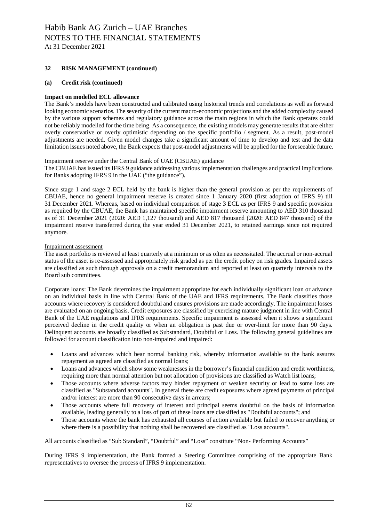### **32 RISK MANAGEMENT (continued)**

#### **(a) Credit risk (continued)**

#### **Impact on modelled ECL allowance**

The Bank's models have been constructed and calibrated using historical trends and correlations as well as forward looking economic scenarios. The severity of the current macro-economic projections and the added complexity caused by the various support schemes and regulatory guidance across the main regions in which the Bank operates could not be reliably modelled for the time being. As a consequence, the existing models may generate results that are either overly conservative or overly optimistic depending on the specific portfolio / segment. As a result, post-model adjustments are needed. Given model changes take a significant amount of time to develop and test and the data limitation issues noted above, the Bank expects that post-model adjustments will be applied for the foreseeable future.

#### Impairment reserve under the Central Bank of UAE (CBUAE) guidance

The CBUAE has issued its IFRS 9 guidance addressing various implementation challenges and practical implications for Banks adopting IFRS 9 in the UAE ("the guidance").

Since stage 1 and stage 2 ECL held by the bank is higher than the general provision as per the requirements of CBUAE, hence no general impairment reserve is created since 1 January 2020 (first adoption of IFRS 9) till 31 December 2021. Whereas, based on individual comparison of stage 3 ECL as per IFRS 9 and specific provision as required by the CBUAE, the Bank has maintained specific impairment reserve amounting to AED 310 thousand as of 31 December 2021 (2020: AED 1,127 thousand) and AED 817 thousand (2020: AED 847 thousand) of the impairment reserve transferred during the year ended 31 December 2021, to retained earnings since not required anymore.

#### Impairment assessment

The asset portfolio is reviewed at least quarterly at a minimum or as often as necessitated. The accrual or non-accrual status of the asset is re-assessed and appropriately risk graded as per the credit policy on risk grades. Impaired assets are classified as such through approvals on a credit memorandum and reported at least on quarterly intervals to the Board sub committees.

Corporate loans: The Bank determines the impairment appropriate for each individually significant loan or advance on an individual basis in line with Central Bank of the UAE and IFRS requirements. The Bank classifies those accounts where recovery is considered doubtful and ensures provisions are made accordingly. The impairment losses are evaluated on an ongoing basis. Credit exposures are classified by exercising mature judgment in line with Central Bank of the UAE regulations and IFRS requirements. Specific impairment is assessed when it shows a significant perceived decline in the credit quality or when an obligation is past due or over-limit for more than 90 days. Delinquent accounts are broadly classified as Substandard, Doubtful or Loss. The following general guidelines are followed for account classification into non-impaired and impaired:

- Loans and advances which bear normal banking risk, whereby information available to the bank assures repayment as agreed are classified as normal loans;
- Loans and advances which show some weaknesses in the borrower's financial condition and credit worthiness, requiring more than normal attention but not allocation of provisions are classified as Watch list loans;
- Those accounts where adverse factors may hinder repayment or weaken security or lead to some loss are classified as "Substandard accounts". In general these are credit exposures where agreed payments of principal and/or interest are more than 90 consecutive days in arrears;
- Those accounts where full recovery of interest and principal seems doubtful on the basis of information available, leading generally to a loss of part of these loans are classified as "Doubtful accounts"; and
- Those accounts where the bank has exhausted all courses of action available but failed to recover anything or where there is a possibility that nothing shall be recovered are classified as "Loss accounts".

All accounts classified as "Sub Standard", "Doubtful" and "Loss" constitute "Non- Performing Accounts"

During IFRS 9 implementation, the Bank formed a Steering Committee comprising of the appropriate Bank representatives to oversee the process of IFRS 9 implementation.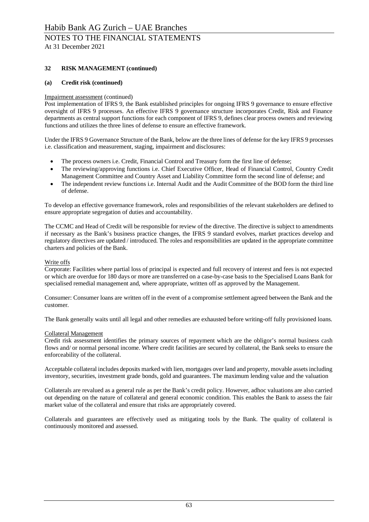At 31 December 2021

### **32 RISK MANAGEMENT (continued)**

#### **(a) Credit risk (continued)**

#### Impairment assessment (continued)

Post implementation of IFRS 9, the Bank established principles for ongoing IFRS 9 governance to ensure effective oversight of IFRS 9 processes. An effective IFRS 9 governance structure incorporates Credit, Risk and Finance departments as central support functions for each component of IFRS 9, defines clear process owners and reviewing functions and utilizes the three lines of defense to ensure an effective framework.

Under the IFRS 9 Governance Structure of the Bank, below are the three lines of defense for the key IFRS 9 processes i.e. classification and measurement, staging, impairment and disclosures:

- The process owners i.e. Credit, Financial Control and Treasury form the first line of defense;
- The reviewing/approving functions i.e. Chief Executive Officer, Head of Financial Control, Country Credit Management Committee and Country Asset and Liability Committee form the second line of defense; and
- The independent review functions i.e. Internal Audit and the Audit Committee of the BOD form the third line of defense.

To develop an effective governance framework, roles and responsibilities of the relevant stakeholders are defined to ensure appropriate segregation of duties and accountability.

The CCMC and Head of Credit will be responsible for review of the directive. The directive is subject to amendments if necessary as the Bank's business practice changes, the IFRS 9 standard evolves, market practices develop and regulatory directives are updated / introduced. The roles and responsibilities are updated in the appropriate committee charters and policies of the Bank.

#### Write offs

Corporate: Facilities where partial loss of principal is expected and full recovery of interest and fees is not expected or which are overdue for 180 days or more are transferred on a case-by-case basis to the Specialised Loans Bank for specialised remedial management and, where appropriate, written off as approved by the Management.

Consumer: Consumer loans are written off in the event of a compromise settlement agreed between the Bank and the customer.

The Bank generally waits until all legal and other remedies are exhausted before writing-off fully provisioned loans.

#### Collateral Management

Credit risk assessment identifies the primary sources of repayment which are the obligor's normal business cash flows and/ or normal personal income. Where credit facilities are secured by collateral, the Bank seeks to ensure the enforceability of the collateral.

Acceptable collateral includes deposits marked with lien, mortgages over land and property, movable assets including inventory, securities, investment grade bonds, gold and guarantees. The maximum lending value and the valuation

Collaterals are revalued as a general rule as per the Bank's credit policy. However, adhoc valuations are also carried out depending on the nature of collateral and general economic condition. This enables the Bank to assess the fair market value of the collateral and ensure that risks are appropriately covered.

Collaterals and guarantees are effectively used as mitigating tools by the Bank. The quality of collateral is continuously monitored and assessed.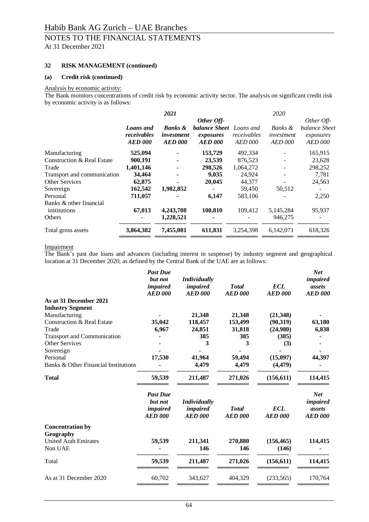# NOTES TO THE FINANCIAL STATEMENTS At 31 December 2021

# **32 RISK MANAGEMENT (continued)**

### **(a) Credit risk (continued)**

#### Analysis by economic activity:

The Bank monitors concentrations of credit risk by economic activity sector. The analysis on significant credit risk by economic activity is as follows:

|                                         | 2021                                              |                                                |                                              |                                            | 2020                                    |                                              |  |
|-----------------------------------------|---------------------------------------------------|------------------------------------------------|----------------------------------------------|--------------------------------------------|-----------------------------------------|----------------------------------------------|--|
|                                         |                                                   |                                                | Other Off-                                   |                                            |                                         | Other Off-                                   |  |
|                                         | <b>Loans</b> and<br>receivables<br><b>AED 000</b> | <b>Banks</b> &<br>investment<br><b>AED 000</b> | balance Sheet<br>exposures<br><b>AED 000</b> | Loans and<br>receivables<br><i>AED 000</i> | Banks &<br>investment<br><b>AED 000</b> | balance Sheet<br>exposures<br><b>AED 000</b> |  |
| Manufacturing                           | 525,094                                           |                                                | 153,729                                      | 492,334                                    |                                         | 165,915                                      |  |
| Construction & Real Estate              | 900,191                                           | ۰                                              | 23,539                                       | 876,523                                    |                                         | 23,628                                       |  |
| Trade                                   | 1,401,146                                         |                                                | 298,526                                      | 1,064,272                                  |                                         | 298,252                                      |  |
| Transport and communication             | 34,464                                            |                                                | 9,035                                        | 24,924                                     |                                         | 7,781                                        |  |
| <b>Other Services</b>                   | 62,875                                            |                                                | 20,045                                       | 44,377                                     |                                         | 24,563                                       |  |
| Sovereign                               | 162,542                                           | 1,982,852                                      |                                              | 59,450                                     | 50,512                                  |                                              |  |
| Personal                                | 711,057                                           |                                                | 6,147                                        | 583,106                                    |                                         | 2,250                                        |  |
| Banks & other financial<br>institutions | 67,013                                            | 4,243,708                                      | 100,810                                      | 109,412                                    | 5,145,284                               | 95,937                                       |  |
| <b>Others</b>                           |                                                   | 1,228,521                                      |                                              |                                            | 946,275                                 |                                              |  |
| Total gross assets                      | 3,864,382                                         | 7,455,081                                      | 611,831                                      | 3,254,398                                  | 6,142,071                               | 618,326                                      |  |
|                                         |                                                   |                                                |                                              |                                            |                                         |                                              |  |

# Impairment

The Bank's past due loans and advances (including interest in suspense) by industry segment and geographical location at 31 December 2020, as defined by the Central Bank of the UAE are as follows:

|                                      | <b>Past Due</b><br>but not | <i>Individually</i> |                |                | <b>Net</b><br><i>impaired</i> |
|--------------------------------------|----------------------------|---------------------|----------------|----------------|-------------------------------|
|                                      | <i>impaired</i>            | <i>impaired</i>     | <b>Total</b>   | <b>ECL</b>     | assets                        |
|                                      | <b>AED 000</b>             | <b>AED 000</b>      | <b>AED 000</b> | <b>AED 000</b> | <b>AED 000</b>                |
| As at 31 December 2021               |                            |                     |                |                |                               |
| <b>Industry Segment</b>              |                            |                     |                |                |                               |
| Manufacturing                        |                            | 21,348              | 21,348         | (21, 348)      |                               |
| Construction & Real Estate           | 35,042                     | 118,457             | 153,499        | (90,319)       | 63,180                        |
| Trade                                | 6,967                      | 24,851              | 31,818         | (24,980)       | 6,838                         |
| <b>Transport and Communication</b>   |                            | 385                 | 385            | (385)          |                               |
| <b>Other Services</b>                |                            | 3                   | 3              | (3)            |                               |
| Sovereign                            |                            |                     |                |                |                               |
| Personal                             | 17,530                     | 41,964              | 59,494         | (15,097)       | 44,397                        |
| Banks & Other Financial Institutions |                            | 4,479               | 4,479          | (4, 479)       |                               |
| <b>Total</b>                         | 59,539                     | 211,487             | 271,026        | (156, 611)     | 114,415                       |
|                                      | <b>Past Due</b>            |                     |                |                | <b>Net</b>                    |
|                                      | but not                    | <b>Individually</b> |                |                | <i>impaired</i>               |
|                                      | <i>impaired</i>            | <i>impaired</i>     | <b>Total</b>   | <b>ECL</b>     | assets                        |
|                                      | <b>AED 000</b>             | <b>AED 000</b>      | <b>AED 000</b> | <b>AED 000</b> | <b>AED 000</b>                |
| <b>Concentration by</b><br>Geography |                            |                     |                |                |                               |
| <b>United Arab Emirates</b>          | 59,539                     | 211,341             | 270,880        | (156, 465)     | 114,415                       |
| Non UAE                              |                            | 146                 | 146            | (146)          |                               |
| Total                                | 59,539                     | 211,487             | 271,026        | (156, 611)     | 114,415                       |
| As at 31 December 2020               | 60,702                     | 343,627             | 404,329        | (233, 565)     | 170,764                       |
|                                      |                            |                     |                |                |                               |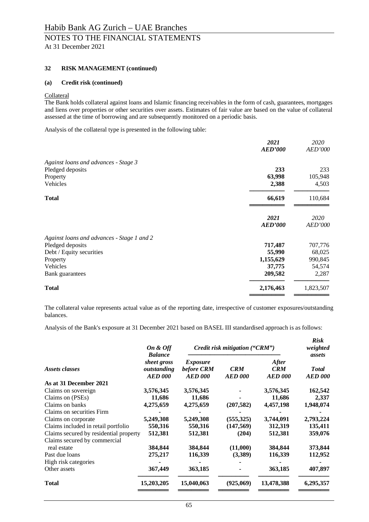#### **32 RISK MANAGEMENT (continued)**

#### **(a) Credit risk (continued)**

**Collateral** 

The Bank holds collateral against loans and Islamic financing receivables in the form of cash, guarantees, mortgages and liens over properties or other securities over assets. Estimates of fair value are based on the value of collateral assessed at the time of borrowing and are subsequently monitored on a periodic basis.

Analysis of the collateral type is presented in the following table:

|                                            | 2021<br><b>AED'000</b> | 2020<br>AED'000 |
|--------------------------------------------|------------------------|-----------------|
| Against loans and advances - Stage 3       |                        |                 |
| Pledged deposits                           | 233                    | 233             |
| Property                                   | 63,998                 | 105,948         |
| Vehicles                                   | 2,388                  | 4,503           |
| <b>Total</b>                               | 66,619                 | 110,684         |
|                                            | 2021                   | 2020            |
|                                            | <b>AED'000</b>         | AED'000         |
| Against loans and advances - Stage 1 and 2 |                        |                 |
| Pledged deposits                           | 717,487                | 707,776         |
| Debt / Equity securities                   | 55,990                 | 68,025          |
| Property                                   | 1,155,629              | 990,845         |
| Vehicles                                   | 37,775                 | 54,574          |
| <b>Bank</b> guarantees                     | 209,582                | 2,287           |
| <b>Total</b>                               | 2,176,463              | 1,823,507       |

The collateral value represents actual value as of the reporting date, irrespective of customer exposures/outstanding balances.

Analysis of the Bank's exposure at 31 December 2021 based on BASEL III standardised approach is as follows:

|                                        | On & Off<br><b>Balance</b>                   |                                                 | Credit risk mitigation ("CRM") | <b>Risk</b><br>weighted<br>assets            |                                |  |
|----------------------------------------|----------------------------------------------|-------------------------------------------------|--------------------------------|----------------------------------------------|--------------------------------|--|
| Assets classes                         | sheet gross<br>outstanding<br><b>AED 000</b> | <i>Exposure</i><br>before CRM<br><b>AED 000</b> | <b>CRM</b><br><b>AED 000</b>   | <b>After</b><br><b>CRM</b><br><b>AED 000</b> | <b>Total</b><br><b>AED 000</b> |  |
| As at 31 December 2021                 |                                              |                                                 |                                |                                              |                                |  |
| Claims on sovereign                    | 3,576,345                                    | 3,576,345                                       |                                | 3,576,345                                    | 162,542                        |  |
| Claims on (PSEs)                       | 11,686                                       | 11,686                                          |                                | 11,686                                       | 2,337                          |  |
| Claims on banks                        | 4,275,659                                    | 4,275,659                                       | (207, 582)                     | 4,457,198                                    | 1,948,074                      |  |
| Claims on securities Firm              |                                              |                                                 |                                |                                              |                                |  |
| Claims on corporate                    | 5,249,308                                    | 5,249,308                                       | (555, 325)                     | 3,744,091                                    | 2,793,224                      |  |
| Claims included in retail portfolio    | 550,316                                      | 550,316                                         | (147, 569)                     | 312,319                                      | 135,411                        |  |
| Claims secured by residential property | 512,381                                      | 512,381                                         | (204)                          | 512,381                                      | 359,076                        |  |
| Claims secured by commercial           |                                              |                                                 |                                |                                              |                                |  |
| real estate                            | 384,844                                      | 384,844                                         | (11,000)                       | 384,844                                      | 373,844                        |  |
| Past due loans                         | 275,217                                      | 116,339                                         | (3,389)                        | 116,339                                      | 112,952                        |  |
| High risk categories                   |                                              |                                                 |                                |                                              |                                |  |
| Other assets                           | 367,449                                      | 363,185                                         |                                | 363,185                                      | 407,897                        |  |
| <b>Total</b>                           | 15,203,205                                   | 15,040,063                                      | (925,069)                      | 13,478,388                                   | 6,295,357                      |  |
|                                        |                                              |                                                 |                                |                                              |                                |  |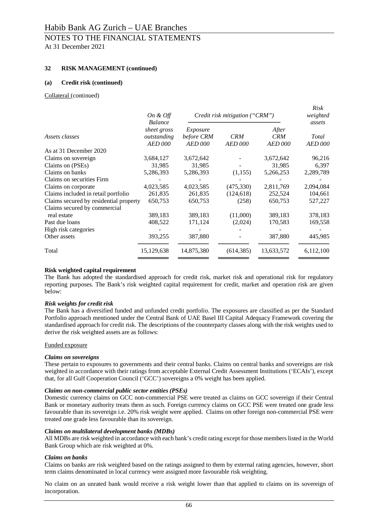### **32 RISK MANAGEMENT (continued)**

#### **(a) Credit risk (continued)**

Collateral (continued)

|                                        | On & Off<br><b>Balance</b>                   | Credit risk mitigation ("CRM")                  | Risk<br>weighted<br>assets   |                                       |           |
|----------------------------------------|----------------------------------------------|-------------------------------------------------|------------------------------|---------------------------------------|-----------|
| Assets classes                         | sheet gross<br>outstanding<br><b>AED 000</b> | <i>Exposure</i><br>before CRM<br><b>AED 000</b> | <b>CRM</b><br><b>AED 000</b> | After<br><b>CRM</b><br><b>AED 000</b> |           |
| As at 31 December 2020                 |                                              |                                                 |                              |                                       |           |
| Claims on sovereign                    | 3,684,127                                    | 3,672,642                                       |                              | 3,672,642                             | 96,216    |
| Claims on (PSEs)                       | 31,985                                       | 31,985                                          |                              | 31,985                                | 6,397     |
| Claims on banks                        | 5,286,393                                    | 5,286,393                                       | (1,155)                      | 5,266,253                             | 2,289,789 |
| Claims on securities Firm              |                                              |                                                 |                              |                                       |           |
| Claims on corporate                    | 4,023,585                                    | 4,023,585                                       | (475, 330)                   | 2,811,769                             | 2,094,084 |
| Claims included in retail portfolio    | 261,835                                      | 261,835                                         | (124, 618)                   | 252,524                               | 104,661   |
| Claims secured by residential property | 650,753                                      | 650,753                                         | (258)                        | 650,753                               | 527,227   |
| Claims secured by commercial           |                                              |                                                 |                              |                                       |           |
| real estate                            | 389,183                                      | 389,183                                         | (11,000)                     | 389,183                               | 378,183   |
| Past due loans                         | 408,522                                      | 171,124                                         | (2,024)                      | 170,583                               | 169,558   |
| High risk categories                   |                                              |                                                 |                              |                                       |           |
| Other assets                           | 393,255                                      | 387,880                                         |                              | 387,880                               | 445,985   |
| Total                                  | 15,129,638                                   | 14,875,380                                      | (614, 385)                   | 13,633,572                            | 6,112,100 |
|                                        |                                              |                                                 |                              |                                       |           |

#### **Risk weighted capital requirement**

The Bank has adopted the standardised approach for credit risk, market risk and operational risk for regulatory reporting purposes. The Bank's risk weighted capital requirement for credit, market and operation risk are given below:

#### *Risk weights for credit risk*

The Bank has a diversified funded and unfunded credit portfolio. The exposures are classified as per the Standard Portfolio approach mentioned under the Central Bank of UAE Basel III Capital Adequacy Framework covering the standardised approach for credit risk. The descriptions of the counterparty classes along with the risk weights used to derive the risk weighted assets are as follows:

#### Funded exposure

#### *Claims on sovereigns*

These pertain to exposures to governments and their central banks. Claims on central banks and sovereigns are risk weighted in accordance with their ratings from acceptable External Credit Assessment Institutions ('ECAIs'), except that, for all Gulf Cooperation Council ('GCC') sovereigns a 0% weight has been applied.

#### *Claims on non-commercial public sector entities (PSEs)*

Domestic currency claims on GCC non-commercial PSE were treated as claims on GCC sovereign if their Central Bank or monetary authority treats them as such. Foreign currency claims on GCC PSE were treated one grade less favourable than its sovereign i.e. 20% risk weight were applied. Claims on other foreign non-commercial PSE were treated one grade less favourable than its sovereign.

#### *Claims on multilateral development banks (MDBs)*

All MDBs are risk weighted in accordance with each bank's credit rating except for those members listed in the World Bank Group which are risk weighted at 0%.

#### *Claims on banks*

Claims on banks are risk weighted based on the ratings assigned to them by external rating agencies, however, short term claims denominated in local currency were assigned more favourable risk weighting.

No claim on an unrated bank would receive a risk weight lower than that applied to claims on its sovereign of incorporation.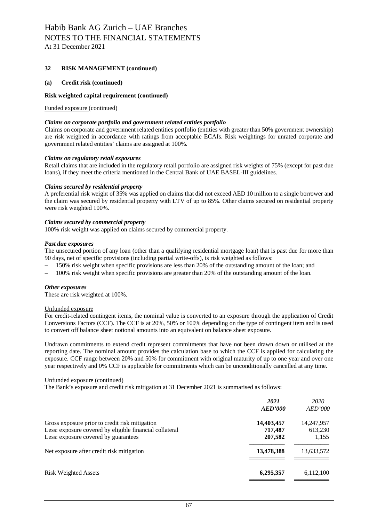At 31 December 2021

#### **32 RISK MANAGEMENT (continued)**

#### **(a) Credit risk (continued)**

#### **Risk weighted capital requirement (continued)**

#### Funded exposure (continued)

#### *Claims on corporate portfolio and government related entities portfolio*

Claims on corporate and government related entities portfolio (entities with greater than 50% government ownership) are risk weighted in accordance with ratings from acceptable ECAIs. Risk weightings for unrated corporate and government related entities' claims are assigned at 100%.

#### *Claims on regulatory retail exposures*

Retail claims that are included in the regulatory retail portfolio are assigned risk weights of 75% (except for past due loans), if they meet the criteria mentioned in the Central Bank of UAE BASEL-III guidelines.

#### *Claims secured by residential property*

A preferential risk weight of 35% was applied on claims that did not exceed AED 10 million to a single borrower and the claim was secured by residential property with LTV of up to 85%. Other claims secured on residential property were risk weighted 100%.

#### *Claims secured by commercial property*

100% risk weight was applied on claims secured by commercial property.

#### *Past due exposures*

The unsecured portion of any loan (other than a qualifying residential mortgage loan) that is past due for more than 90 days, net of specific provisions (including partial write-offs), is risk weighted as follows:

- 150% risk weight when specific provisions are less than 20% of the outstanding amount of the loan; and
- 100% risk weight when specific provisions are greater than 20% of the outstanding amount of the loan.

#### *Other exposures*

These are risk weighted at 100%.

#### Unfunded exposure

For credit-related contingent items, the nominal value is converted to an exposure through the application of Credit Conversions Factors (CCF). The CCF is at 20%, 50% or 100% depending on the type of contingent item and is used to convert off balance sheet notional amounts into an equivalent on balance sheet exposure.

Undrawn commitments to extend credit represent commitments that have not been drawn down or utilised at the reporting date. The nominal amount provides the calculation base to which the CCF is applied for calculating the exposure. CCF range between 20% and 50% for commitment with original maturity of up to one year and over one year respectively and 0% CCF is applicable for commitments which can be unconditionally cancelled at any time.

#### Unfunded exposure (continued)

The Bank's exposure and credit risk mitigation at 31 December 2021 is summarised as follows:

|                                                                                                                                                   | 2021<br><b>AED'000</b>           | 2020<br><i>AED'000</i>         |
|---------------------------------------------------------------------------------------------------------------------------------------------------|----------------------------------|--------------------------------|
| Gross exposure prior to credit risk mitigation<br>Less: exposure covered by eligible financial collateral<br>Less: exposure covered by guarantees | 14,403,457<br>717,487<br>207,582 | 14,247,957<br>613,230<br>1,155 |
| Net exposure after credit risk mitigation                                                                                                         | 13,478,388                       | 13,633,572                     |
| <b>Risk Weighted Assets</b>                                                                                                                       | 6,295,357                        | 6,112,100                      |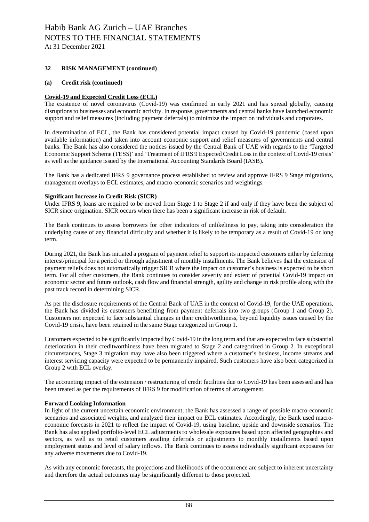#### **32 RISK MANAGEMENT (continued)**

#### **(a) Credit risk (continued)**

#### **Covid-19 and Expected Credit Loss (ECL)**

The existence of novel coronavirus (Covid-19) was confirmed in early 2021 and has spread globally, causing disruptions to businesses and economic activity. In response, governments and central banks have launched economic support and relief measures (including payment deferrals) to minimize the impact on individuals and corporates.

In determination of ECL, the Bank has considered potential impact caused by Covid-19 pandemic (based upon available information) and taken into account economic support and relief measures of governments and central banks. The Bank has also considered the notices issued by the Central Bank of UAE with regards to the 'Targeted Economic Support Scheme (TESS)' and 'Treatment of IFRS 9 Expected Credit Loss in the context of Covid-19 crisis' as well as the guidance issued by the International Accounting Standards Board (IASB).

The Bank has a dedicated IFRS 9 governance process established to review and approve IFRS 9 Stage migrations, management overlays to ECL estimates, and macro-economic scenarios and weightings.

#### **Significant Increase in Credit Risk (SICR)**

Under IFRS 9, loans are required to be moved from Stage 1 to Stage 2 if and only if they have been the subject of SICR since origination. SICR occurs when there has been a significant increase in risk of default.

The Bank continues to assess borrowers for other indicators of unlikeliness to pay, taking into consideration the underlying cause of any financial difficulty and whether it is likely to be temporary as a result of Covid-19 or long term.

During 2021, the Bank has initiated a program of payment relief to support its impacted customers either by deferring interest/principal for a period or through adjustment of monthly installments. The Bank believes that the extension of payment reliefs does not automatically trigger SICR where the impact on customer's business is expected to be short term. For all other customers, the Bank continues to consider severity and extent of potential Covid-19 impact on economic sector and future outlook, cash flow and financial strength, agility and change in risk profile along with the past track record in determining SICR.

As per the disclosure requirements of the Central Bank of UAE in the context of Covid-19, for the UAE operations, the Bank has divided its customers benefitting from payment deferrals into two groups (Group 1 and Group 2). Customers not expected to face substantial changes in their creditworthiness, beyond liquidity issues caused by the Covid-19 crisis, have been retained in the same Stage categorized in Group 1.

Customers expected to be significantly impacted by Covid-19 in the long term and that are expected to face substantial deterioration in their creditworthiness have been migrated to Stage 2 and categorized in Group 2. In exceptional circumstances, Stage 3 migration may have also been triggered where a customer's business, income streams and interest servicing capacity were expected to be permanently impaired. Such customers have also been categorized in Group 2 with ECL overlay.

The accounting impact of the extension / restructuring of credit facilities due to Covid-19 has been assessed and has been treated as per the requirements of IFRS 9 for modification of terms of arrangement.

#### **Forward Looking Information**

In light of the current uncertain economic environment, the Bank has assessed a range of possible macro-economic scenarios and associated weights, and analyzed their impact on ECL estimates. Accordingly, the Bank used macroeconomic forecasts in 2021 to reflect the impact of Covid-19, using baseline, upside and downside scenarios. The Bank has also applied portfolio-level ECL adjustments to wholesale exposures based upon affected geographies and sectors, as well as to retail customers availing deferrals or adjustments to monthly installments based upon employment status and level of salary inflows. The Bank continues to assess individually significant exposures for any adverse movements due to Covid-19.

As with any economic forecasts, the projections and likelihoods of the occurrence are subject to inherent uncertainty and therefore the actual outcomes may be significantly different to those projected.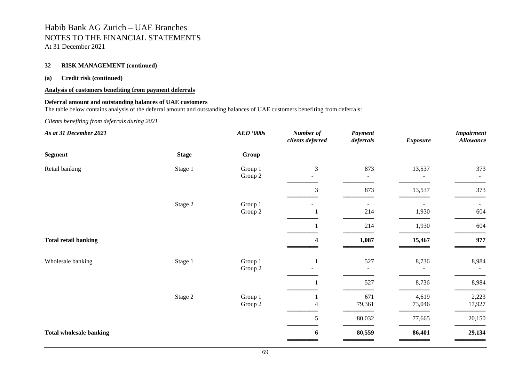# NOTES TO THE FINANCIAL STATEMENTS

At 31 December 2021

### **32 RISK MANAGEMENT (continued)**

### **(a) Credit risk (continued)**

### **Analysis of customers benefiting from payment deferrals**

### **Deferral amount and outstanding balances of UAE customers**

The table below contains analysis of the deferral amount and outstanding balances of UAE customers benefiting from deferrals:

*Clients benefiting from deferrals during 2021*

| As at 31 December 2021         |              | <b>AED '000s</b>   | Number of<br>clients deferred | Payment<br>$d\vec{e}$ deferrals | <b>Exposure</b>                   | <b>Impairment</b><br><b>Allowance</b> |
|--------------------------------|--------------|--------------------|-------------------------------|---------------------------------|-----------------------------------|---------------------------------------|
| <b>Segment</b>                 | <b>Stage</b> | Group              |                               |                                 |                                   |                                       |
| Retail banking                 | Stage 1      | Group 1<br>Group 2 | 3                             | 873                             | 13,537                            | 373<br>$\blacksquare$                 |
|                                |              |                    | 3                             | 873                             | 13,537                            | 373                                   |
|                                | Stage 2      | Group 1<br>Group 2 |                               | $\overline{\phantom{a}}$<br>214 | $\overline{\phantom{a}}$<br>1,930 | 604                                   |
|                                |              |                    |                               | 214                             | 1,930                             | 604                                   |
| <b>Total retail banking</b>    |              |                    |                               | 1,087                           | 15,467                            | 977                                   |
| Wholesale banking              | Stage 1      | Group 1<br>Group 2 |                               | 527                             | 8,736                             | 8,984                                 |
|                                |              |                    |                               | 527                             | 8,736                             | 8,984                                 |
|                                | Stage 2      | Group 1<br>Group 2 |                               | 671<br>79,361                   | 4,619<br>73,046                   | 2,223<br>17,927                       |
|                                |              |                    | 5                             | 80,032                          | 77,665                            | 20,150                                |
| <b>Total wholesale banking</b> |              |                    | 6                             | 80,559                          | 86,401                            | 29,134<br>_____                       |
|                                |              |                    |                               |                                 |                                   |                                       |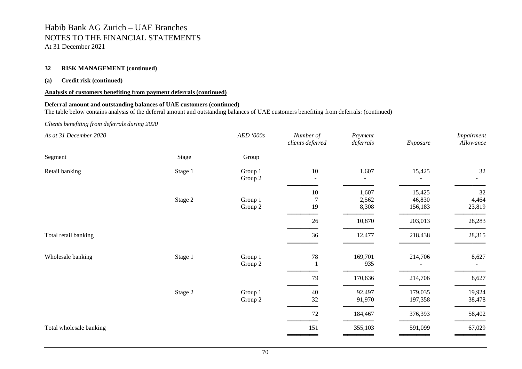NOTES TO THE FINANCIAL STATEMENTS

At 31 December 2021

#### **32 RISK MANAGEMENT (continued)**

#### **(a) Credit risk (continued)**

#### **Analysis of customers benefiting from payment deferrals (continued)**

#### **Deferral amount and outstanding balances of UAE customers (continued)**

The table below contains analysis of the deferral amount and outstanding balances of UAE customers benefiting from deferrals: (continued)

*Clients benefiting from deferrals during 2020*

| As at 31 December 2020  |              | $AED$ $^{\prime}000s$ | Number of<br>clients deferred | Payment<br>deferrals    | Exposure                    | Impairment<br>Allowance |
|-------------------------|--------------|-----------------------|-------------------------------|-------------------------|-----------------------------|-------------------------|
| Segment                 | <b>Stage</b> | Group                 |                               |                         |                             |                         |
| Retail banking          | Stage 1      | Group 1<br>Group 2    | 10                            | 1,607                   | 15,425                      | 32                      |
|                         | Stage 2      | Group 1<br>Group 2    | $10\,$<br>19                  | 1,607<br>2,562<br>8,308 | 15,425<br>46,830<br>156,183 | 32<br>4,464<br>23,819   |
|                         |              |                       | 26                            | 10,870                  | 203,013                     | 28,283                  |
| Total retail banking    |              |                       | 36                            | 12,477                  | 218,438                     | 28,315                  |
| Wholesale banking       | Stage 1      | Group 1<br>Group 2    | $78\,$                        | 169,701<br>935          | 214,706                     | 8,627                   |
|                         |              |                       | 79                            | 170,636                 | 214,706                     | 8,627                   |
|                         | Stage 2      | Group 1<br>Group 2    | 40<br>32                      | 92,497<br>91,970        | 179,035<br>197,358          | 19,924<br>38,478        |
|                         |              |                       | 72                            | 184,467                 | 376,393                     | 58,402                  |
| Total wholesale banking |              |                       | 151                           | 355,103                 | 591,099<br>______________   | 67,029                  |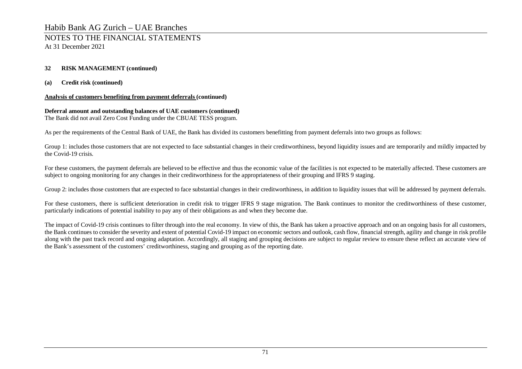NOTES TO THE FINANCIAL STATEMENTS At 31 December 2021

#### **32 RISK MANAGEMENT (continued)**

**(a) Credit risk (continued)**

#### **Analysis of customers benefiting from payment deferrals (continued)**

#### **Deferral amount and outstanding balances of UAE customers (continued)**

The Bank did not avail Zero Cost Funding under the CBUAE TESS program.

As per the requirements of the Central Bank of UAE, the Bank has divided its customers benefitting from payment deferrals into two groups as follows:

Group 1: includes those customers that are not expected to face substantial changes in their creditworthiness, beyond liquidity issues and are temporarily and mildly impacted by the Covid-19 crisis.

For these customers, the payment deferrals are believed to be effective and thus the economic value of the facilities is not expected to be materially affected. These customers are subject to ongoing monitoring for any changes in their creditworthiness for the appropriateness of their grouping and IFRS 9 staging.

Group 2: includes those customers that are expected to face substantial changes in their creditworthiness, in addition to liquidity issues that will be addressed by payment deferrals.

For these customers, there is sufficient deterioration in credit risk to trigger IFRS 9 stage migration. The Bank continues to monitor the creditworthiness of these customer, particularly indications of potential inability to pay any of their obligations as and when they become due.

The impact of Covid-19 crisis continues to filter through into the real economy. In view of this, the Bank has taken a proactive approach and on an ongoing basis for all customers, the Bank continues to consider the severity and extent of potential Covid-19 impact on economic sectors and outlook, cash flow, financial strength, agility and change in risk profile along with the past track record and ongoing adaptation. Accordingly, all staging and grouping decisions are subject to regular review to ensure these reflect an accurate view of the Bank's assessment of the customers' creditworthiness, staging and grouping as of the reporting date.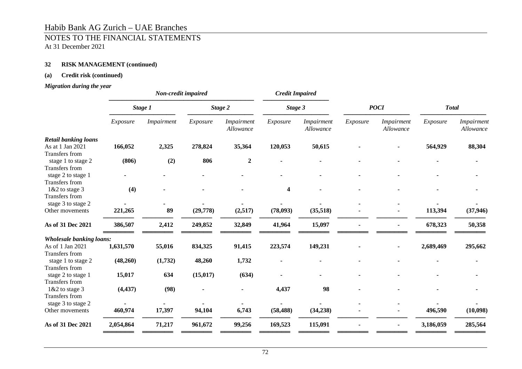# NOTES TO THE FINANCIAL STATEMENTS

At 31 December 2021

#### **32 RISK MANAGEMENT (continued)**

## **(a) Credit risk (continued)**

#### *Migration during the year*

|                                             |           | Non-credit impaired |           |                         | <b>Credit Impaired</b> |                         |          |                         |           |                         |
|---------------------------------------------|-----------|---------------------|-----------|-------------------------|------------------------|-------------------------|----------|-------------------------|-----------|-------------------------|
|                                             |           | Stage 1             |           | Stage 2                 |                        | <b>POCI</b><br>Stage 3  |          |                         |           | <b>Total</b>            |
|                                             | Exposure  | Impairment          | Exposure  | Impairment<br>Allowance | Exposure               | Impairment<br>Allowance | Exposure | Impairment<br>Allowance | Exposure  | Impairment<br>Allowance |
| <b>Retail banking loans</b>                 |           |                     |           |                         |                        |                         |          |                         |           |                         |
| As at 1 Jan 2021                            | 166,052   | 2,325               | 278,824   | 35,364                  | 120,053                | 50,615                  |          |                         | 564,929   | 88,304                  |
| <b>Transfers</b> from                       |           |                     |           |                         |                        |                         |          |                         |           |                         |
| stage 1 to stage 2                          | (806)     | (2)                 | 806       | $\boldsymbol{2}$        |                        |                         |          |                         |           |                         |
| <b>Transfers</b> from<br>stage 2 to stage 1 |           |                     |           |                         |                        |                         |          |                         |           |                         |
| <b>Transfers</b> from                       |           |                     |           |                         |                        |                         |          |                         |           |                         |
| 1&2 to stage 3                              | (4)       |                     |           | $\blacksquare$          | 4                      | ä,                      |          |                         |           |                         |
| Transfers from                              |           |                     |           |                         |                        |                         |          |                         |           |                         |
| stage 3 to stage 2                          |           |                     |           |                         |                        |                         |          |                         |           |                         |
| Other movements                             | 221,265   | 89                  | (29, 778) | (2,517)                 | (78,093)               | (35,518)                |          |                         | 113,394   | (37, 946)               |
| As of 31 Dec 2021                           | 386,507   | 2,412               | 249,852   | 32,849                  | 41,964                 | 15,097                  |          |                         | 678,323   | 50,358                  |
| <b>Wholesale banking loans:</b>             |           |                     |           |                         |                        |                         |          |                         |           |                         |
| As of 1 Jan 2021                            | 1,631,570 | 55,016              | 834,325   | 91,415                  | 223,574                | 149,231                 |          |                         | 2,689,469 | 295,662                 |
| <b>Transfers</b> from                       |           |                     |           |                         |                        |                         |          |                         |           |                         |
| stage 1 to stage 2                          | (48,260)  | (1,732)             | 48,260    | 1,732                   |                        |                         |          |                         |           |                         |
| <b>Transfers</b> from                       |           |                     |           |                         |                        |                         |          |                         |           |                         |
| stage 2 to stage 1<br><b>Transfers</b> from | 15,017    | 634                 | (15, 017) | (634)                   |                        | ä,                      |          |                         |           |                         |
| 1&2 to stage 3                              | (4, 437)  | (98)                |           | $\blacksquare$          | 4,437                  | 98                      |          |                         |           |                         |
| Transfers from                              |           |                     |           |                         |                        |                         |          |                         |           |                         |
| stage 3 to stage 2                          |           |                     |           |                         |                        |                         |          |                         |           |                         |
| Other movements                             | 460,974   | 17,397              | 94,104    | 6,743                   | (58, 488)              | (34, 238)               |          |                         | 496,590   | (10,098)                |
| As of 31 Dec 2021                           | 2,054,864 | 71,217              | 961,672   | 99,256                  | 169,523                | 115,091                 |          |                         | 3,186,059 | 285,564                 |
|                                             |           |                     |           |                         |                        |                         |          |                         |           |                         |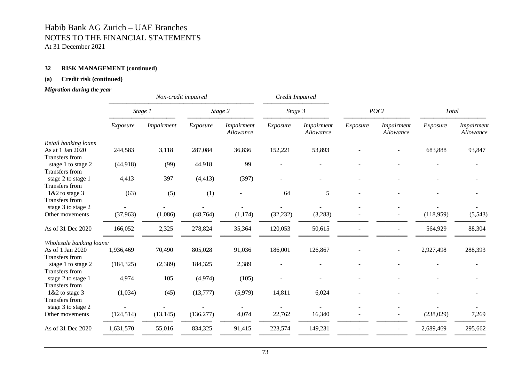# NOTES TO THE FINANCIAL STATEMENTS

At 31 December 2021

## **32 RISK MANAGEMENT (continued)**

#### **(a) Credit risk (continued)**

#### *Migration during the year*

|                                      |            | Non-credit impaired |            |                         | Credit Impaired |                         |          |                         |           |                         |  |       |
|--------------------------------------|------------|---------------------|------------|-------------------------|-----------------|-------------------------|----------|-------------------------|-----------|-------------------------|--|-------|
|                                      |            | Stage 1             |            | Stage 2<br>Stage 3      |                 |                         |          | POCI                    |           |                         |  | Total |
|                                      | Exposure   | Impairment          | Exposure   | Impairment<br>Allowance | Exposure        | Impairment<br>Allowance | Exposure | Impairment<br>Allowance | Exposure  | Impairment<br>Allowance |  |       |
| Retail banking loans                 |            |                     |            |                         |                 |                         |          |                         |           |                         |  |       |
| As at 1 Jan 2020                     | 244,583    | 3,118               | 287,084    | 36,836                  | 152,221         | 53,893                  |          |                         | 683,888   | 93,847                  |  |       |
| <b>Transfers</b> from                |            |                     |            |                         |                 |                         |          |                         |           |                         |  |       |
| stage 1 to stage 2                   | (44, 918)  | (99)                | 44,918     | 99                      |                 |                         |          |                         |           |                         |  |       |
| Transfers from                       |            | 397                 |            |                         |                 |                         |          |                         |           |                         |  |       |
| stage 2 to stage 1<br>Transfers from | 4,413      |                     | (4, 413)   | (397)                   |                 |                         |          |                         |           |                         |  |       |
| 1&2 to stage 3                       | (63)       | (5)                 | (1)        |                         | 64              | 5                       |          |                         |           |                         |  |       |
| Transfers from                       |            |                     |            |                         |                 |                         |          |                         |           |                         |  |       |
| stage 3 to stage 2                   |            |                     |            |                         |                 |                         |          |                         |           |                         |  |       |
| Other movements                      | (37,963)   | (1,086)             | (48, 764)  | (1,174)                 | (32, 232)       | (3,283)                 |          |                         | (118,959) | (5,543)                 |  |       |
| As of 31 Dec 2020                    | 166,052    | 2,325               | 278,824    | 35,364                  | 120,053         | 50,615                  |          |                         | 564,929   | 88,304                  |  |       |
| Wholesale banking loans:             |            |                     |            |                         |                 |                         |          |                         |           |                         |  |       |
| As of 1 Jan 2020                     | 1,936,469  | 70,490              | 805,028    | 91,036                  | 186,001         | 126,867                 |          |                         | 2,927,498 | 288,393                 |  |       |
| <b>Transfers</b> from                |            |                     |            |                         |                 |                         |          |                         |           |                         |  |       |
| stage 1 to stage 2                   | (184, 325) | (2,389)             | 184,325    | 2,389                   |                 |                         |          |                         |           |                         |  |       |
| <b>Transfers</b> from                |            |                     |            |                         |                 |                         |          |                         |           |                         |  |       |
| stage 2 to stage 1                   | 4,974      | 105                 | (4,974)    | (105)                   |                 |                         |          |                         |           |                         |  |       |
| <b>Transfers</b> from                |            |                     |            |                         |                 |                         |          |                         |           |                         |  |       |
| 1&2 to stage 3                       | (1,034)    | (45)                | (13, 777)  | (5,979)                 | 14,811          | 6,024                   |          |                         |           |                         |  |       |
| Transfers from                       |            |                     |            |                         |                 |                         |          |                         |           |                         |  |       |
| stage 3 to stage 2                   |            |                     |            |                         |                 |                         |          |                         |           |                         |  |       |
| Other movements                      | (124, 514) | (13, 145)           | (136, 277) | 4,074                   | 22,762          | 16,340                  |          |                         | (238,029) | 7,269                   |  |       |
| As of 31 Dec 2020                    | 1,631,570  | 55,016              | 834,325    | 91,415                  | 223,574         | 149,231                 |          |                         | 2,689,469 | 295,662                 |  |       |
|                                      |            |                     |            |                         |                 |                         |          |                         |           |                         |  |       |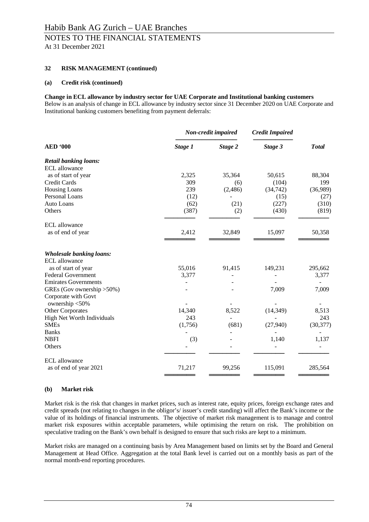#### **32 RISK MANAGEMENT (continued)**

#### **(a) Credit risk (continued)**

#### **Change in ECL allowance by industry sector for UAE Corporate and Institutional banking customers**

Below is an analysis of change in ECL allowance by industry sector since 31 December 2020 on UAE Corporate and Institutional banking customers benefiting from payment deferrals:

|                                 |         | Non-credit impaired | <b>Credit Impaired</b> |              |  |
|---------------------------------|---------|---------------------|------------------------|--------------|--|
| <b>AED</b> '000                 | Stage 1 | Stage 2             | Stage 3                | <b>Total</b> |  |
| <b>Retail banking loans:</b>    |         |                     |                        |              |  |
| <b>ECL</b> allowance            |         |                     |                        |              |  |
| as of start of year             | 2,325   | 35,364              | 50,615                 | 88,304       |  |
| Credit Cards                    | 309     | (6)                 | (104)                  | 199          |  |
| <b>Housing Loans</b>            | 239     | (2, 486)            | (34, 742)              | (36,989)     |  |
| <b>Personal Loans</b>           | (12)    |                     | (15)                   | (27)         |  |
| Auto Loans                      | (62)    | (21)                | (227)                  | (310)        |  |
| Others                          | (387)   | (2)                 | (430)                  | (819)        |  |
| <b>ECL</b> allowance            |         |                     |                        |              |  |
| as of end of year               | 2,412   | 32,849              | 15,097                 | 50,358       |  |
| <b>Wholesale banking loans:</b> |         |                     |                        |              |  |
| <b>ECL</b> allowance            |         |                     |                        |              |  |
| as of start of year             | 55,016  | 91,415              | 149,231                | 295,662      |  |
| <b>Federal Government</b>       | 3,377   |                     |                        | 3,377        |  |
| <b>Emirates Governments</b>     |         |                     |                        |              |  |
| GREs (Gov ownership > 50%)      |         |                     | 7,009                  | 7,009        |  |
| Corporate with Govt             |         |                     |                        |              |  |
| ownership <50%                  |         |                     |                        |              |  |
| Other Corporates                | 14,340  | 8,522               | (14, 349)              | 8,513        |  |
| High Net Worth Individuals      | 243     |                     |                        | 243          |  |
| <b>SMEs</b>                     | (1,756) | (681)               | (27, 940)              | (30, 377)    |  |
| <b>Banks</b>                    |         |                     |                        |              |  |
| <b>NBFI</b>                     | (3)     |                     | 1,140                  | 1,137        |  |
| Others                          |         |                     |                        |              |  |
| <b>ECL</b> allowance            |         |                     |                        |              |  |
| as of end of year 2021          | 71,217  | 99,256              | 115,091                | 285,564      |  |

#### **(b) Market risk**

Market risk is the risk that changes in market prices, such as interest rate, equity prices, foreign exchange rates and credit spreads (not relating to changes in the obligor's/ issuer's credit standing) will affect the Bank's income or the value of its holdings of financial instruments. The objective of market risk management is to manage and control market risk exposures within acceptable parameters, while optimising the return on risk. The prohibition on speculative trading on the Bank's own behalf is designed to ensure that such risks are kept to a minimum.

Market risks are managed on a continuing basis by Area Management based on limits set by the Board and General Management at Head Office. Aggregation at the total Bank level is carried out on a monthly basis as part of the normal month-end reporting procedures.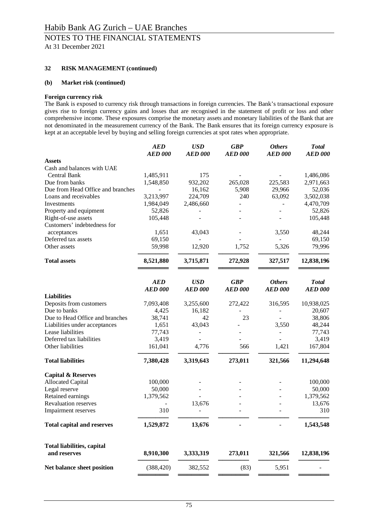#### **32 RISK MANAGEMENT (continued)**

#### **(b) Market risk (continued)**

#### **Foreign currency risk**

The Bank is exposed to currency risk through transactions in foreign currencies. The Bank's transactional exposure gives rise to foreign currency gains and losses that are recognised in the statement of profit or loss and other comprehensive income. These exposures comprise the monetary assets and monetary liabilities of the Bank that are not denominated in the measurement currency of the Bank. The Bank ensures that its foreign currency exposure is kept at an acceptable level by buying and selling foreign currencies at spot rates when appropriate.

|                                   | <b>AED</b>     | <b>USD</b>     | <b>GBP</b>     | <b>Others</b>  | <b>Total</b>   |
|-----------------------------------|----------------|----------------|----------------|----------------|----------------|
|                                   | <b>AED 000</b> | <b>AED 000</b> | <b>AED 000</b> | <b>AED 000</b> | <b>AED 000</b> |
| <b>Assets</b>                     |                |                |                |                |                |
| Cash and balances with UAE        |                |                |                |                |                |
| Central Bank                      | 1,485,911      | 175            |                |                | 1,486,086      |
| Due from banks                    | 1,548,850      | 932,202        | 265,028        | 225,583        | 2,971,663      |
| Due from Head Office and branches |                | 16,162         | 5,908          | 29,966         | 52,036         |
| Loans and receivables             | 3,213,997      | 224,709        | 240            | 63,092         | 3,502,038      |
| Investments                       | 1,984,049      | 2,486,660      |                |                | 4,470,709      |
| Property and equipment            | 52,826         |                |                |                | 52,826         |
| Right-of-use assets               | 105,448        |                |                |                | 105,448        |
| Customers' indebtedness for       |                |                |                |                |                |
| acceptances                       | 1,651          | 43,043         |                | 3,550          | 48,244         |
| Deferred tax assets               | 69,150         |                |                |                | 69,150         |
| Other assets                      | 59,998         | 12,920         | 1,752          | 5,326          | 79,996         |
| <b>Total assets</b>               | 8,521,880      | 3,715,871      | 272,928        | 327,517        | 12,838,196     |
|                                   |                |                |                |                |                |
|                                   | <b>AED</b>     | <b>USD</b>     | <b>GBP</b>     | <b>Others</b>  | <b>Total</b>   |
|                                   | <b>AED 000</b> | <b>AED 000</b> | <b>AED 000</b> | <b>AED 000</b> | <b>AED 000</b> |
| <b>Liabilities</b>                |                |                |                |                |                |
| Deposits from customers           | 7,093,408      | 3,255,600      | 272,422        | 316,595        | 10,938,025     |
| Due to banks                      | 4,425          | 16,182         |                |                | 20,607         |
| Due to Head Office and branches   | 38,741         | 42             | 23             |                | 38,806         |
| Liabilities under acceptances     | 1,651          | 43,043         |                | 3,550          | 48,244         |
| Lease liabilities                 | 77,743         |                |                |                | 77,743         |
| Deferred tax liabilities          | 3,419          |                |                |                | 3,419          |
| Other liabilities                 | 161,041        | 4,776          | 566            | 1,421          | 167,804        |
| <b>Total liabilities</b>          | 7,380,428      | 3,319,643      | 273,011        | 321,566        | 11,294,648     |
| <b>Capital &amp; Reserves</b>     |                |                |                |                |                |
| <b>Allocated Capital</b>          | 100,000        |                |                |                | 100,000        |
| Legal reserve                     | 50,000         |                |                |                | 50,000         |
| Retained earnings                 | 1,379,562      |                |                |                | 1,379,562      |
| <b>Revaluation reserves</b>       |                | 13,676         |                |                | 13,676         |
| Impairment reserves               | 310            |                |                |                | 310            |
| <b>Total capital and reserves</b> | 1,529,872      | 13,676         |                |                | 1,543,548      |
| <b>Total liabilities, capital</b> |                |                |                |                |                |
| and reserves                      | 8,910,300      | 3,333,319      | 273,011        | 321,566        | 12,838,196     |
| Net balance sheet position        | (388, 420)     | 382,552        | (83)           | 5,951          |                |
|                                   |                |                |                |                |                |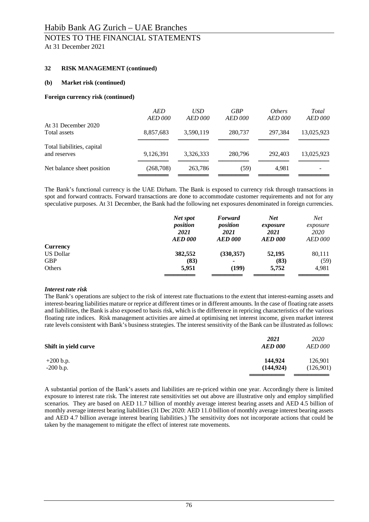At 31 December 2021

#### **32 RISK MANAGEMENT (continued)**

#### **(b) Market risk (continued)**

#### **Foreign currency risk (continued)**

|                                            | <b>AED</b><br>AED 000 | <b>USD</b><br>AED 000 | <b>GBP</b><br><b>AED 000</b> | <i>Others</i><br><i>AED 000</i> | Total<br><b>AED 000</b> |
|--------------------------------------------|-----------------------|-----------------------|------------------------------|---------------------------------|-------------------------|
| At 31 December 2020<br>Total assets        | 8,857,683             | 3.590.119             | 280,737                      | 297.384                         | 13,025,923              |
| Total liabilities, capital<br>and reserves | 9,126,391             | 3,326,333             | 280,796                      | 292.403                         | 13,025,923              |
| Net balance sheet position                 | (268, 708)            | 263,786               | (59)                         | 4.981                           |                         |

The Bank's functional currency is the UAE Dirham. The Bank is exposed to currency risk through transactions in spot and forward contracts. Forward transactions are done to accommodate customer requirements and not for any speculative purposes. At 31 December, the Bank had the following net exposures denominated in foreign currencies.

|                  | Net spot<br>position<br>2021 | Forward<br>position<br>2021 | <b>Net</b><br>exposure<br>2021 | <b>Net</b><br>exposure<br><i>2020</i> |
|------------------|------------------------------|-----------------------------|--------------------------------|---------------------------------------|
|                  | <b>AED 000</b>               | <b>AED 000</b>              | <b>AED 000</b>                 | <b>AED 000</b>                        |
| <b>Currency</b>  |                              |                             |                                |                                       |
| <b>US Dollar</b> | 382,552                      | (330, 357)                  | 52,195                         | 80,111                                |
| GBP              | (83)                         | ٠                           | (83)                           | (59)                                  |
| Others           | 5,951                        | (199)                       | 5,752                          | 4,981                                 |
|                  |                              |                             |                                |                                       |

#### *Interest rate risk*

The Bank's operations are subject to the risk of interest rate fluctuations to the extent that interest-earning assets and interest-bearing liabilities mature or reprice at different times or in different amounts. In the case of floating rate assets and liabilities, the Bank is also exposed to basis risk, which is the difference in repricing characteristics of the various floating rate indices. Risk management activities are aimed at optimising net interest income, given market interest rate levels consistent with Bank's business strategies. The interest sensitivity of the Bank can be illustrated as follows:

| Shift in yield curve | 2021<br><b>AED 000</b> | 2020<br><i>AED 000</i> |
|----------------------|------------------------|------------------------|
| $+200 b.p.$          | 144,924                | 126.901                |
| $-200 b.p.$          | (144.924)              | (126,901)              |
|                      |                        |                        |

A substantial portion of the Bank's assets and liabilities are re-priced within one year. Accordingly there is limited exposure to interest rate risk. The interest rate sensitivities set out above are illustrative only and employ simplified scenarios. They are based on AED 11.7 billion of monthly average interest bearing assets and AED 4.5 billion of monthly average interest bearing liabilities (31 Dec 2020: AED 11.0 billion of monthly average interest bearing assets and AED 4.7 billion average interest bearing liabilities.) The sensitivity does not incorporate actions that could be taken by the management to mitigate the effect of interest rate movements.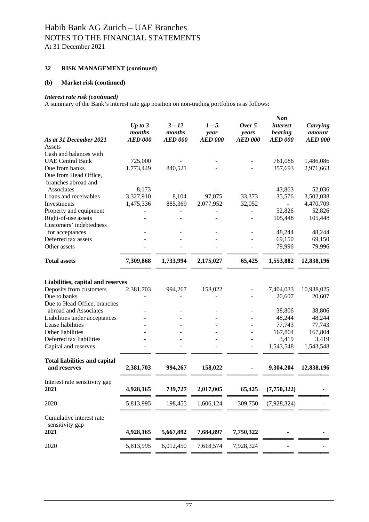#### **(b) Market risk (continued)**

#### *Interest rate risk (continued)*

A summary of the Bank's interest rate gap position on non-trading portfolios is as follows:

|                                             | $Up\ to\ 3$<br>months | $3 - 12$<br>months | $1-5$<br>year  | Over $5$<br>years | <b>Non</b><br><i>interest</i><br>bearing | Carrying<br>amount |
|---------------------------------------------|-----------------------|--------------------|----------------|-------------------|------------------------------------------|--------------------|
| As at 31 December 2021                      | <b>AED 000</b>        | <b>AED 000</b>     | <b>AED 000</b> | <b>AED 000</b>    | <b>AED 000</b>                           | <b>AED 000</b>     |
| Assets                                      |                       |                    |                |                   |                                          |                    |
| Cash and balances with                      |                       |                    |                |                   |                                          |                    |
| <b>UAE</b> Central Bank                     | 725,000               |                    |                |                   | 761,086                                  | 1,486,086          |
| Due from banks                              | 1,773,449             | 840,521            |                |                   | 357,693                                  | 2,971,663          |
| Due from Head Office,                       |                       |                    |                |                   |                                          |                    |
| branches abroad and                         |                       |                    |                |                   |                                          |                    |
| Associates                                  | 8,173                 |                    |                |                   | 43,863                                   | 52,036             |
| Loans and receivables                       | 3,327,910             | 8,104              | 97,075         | 33,373            | 35,576                                   | 3,502,038          |
| Investments                                 | 1,475,336             | 885,369            | 2,077,952      | 32,052            |                                          | 4,470,709          |
| Property and equipment                      |                       |                    |                |                   | 52,826                                   | 52,826             |
| Right-of-use assets                         |                       |                    |                |                   | 105,448                                  | 105,448            |
| Customers' indebtedness                     |                       |                    |                |                   |                                          |                    |
| for acceptances                             |                       |                    |                |                   | 48,244                                   | 48,244             |
| Deferred tax assets                         |                       |                    |                |                   | 69,150                                   | 69,150             |
| Other assets                                |                       |                    |                |                   | 79,996                                   | 79,996             |
| <b>Total assets</b>                         | 7,309,868             | 1,733,994          | 2,175,027      | 65,425            | 1,553,882                                | 12,838,196         |
| Liabilities, capital and reserves           |                       |                    |                |                   |                                          |                    |
| Deposits from customers                     | 2,381,703             | 994,267            | 158,022        |                   | 7,404,033                                | 10,938,025         |
| Due to banks                                |                       |                    |                |                   | 20,607                                   | 20,607             |
| Due to Head Office, branches                |                       |                    |                |                   |                                          |                    |
| abroad and Associates                       |                       |                    |                |                   | 38,806                                   | 38,806             |
| Liabilities under acceptances               |                       |                    |                |                   | 48,244                                   | 48,244             |
| Lease liabilities                           |                       |                    |                |                   | 77,743                                   | 77,743             |
| Other liabilities                           |                       |                    |                |                   | 167,804                                  | 167,804            |
| Deferred tax liabilities                    |                       |                    |                |                   | 3,419                                    | 3,419              |
| Capital and reserves                        |                       |                    |                | $\blacksquare$    | 1,543,548                                | 1,543,548          |
| <b>Total liabilities and capital</b>        |                       |                    |                |                   |                                          |                    |
| and reserves                                | 2,381,703             | 994,267            | 158,022        |                   | 9,304,204                                | 12,838,196         |
| Interest rate sensitivity gap               |                       |                    |                |                   |                                          |                    |
| 2021                                        | 4,928,165             | 739,727            | 2,017,005      | 65,425            | (7,750,322)                              |                    |
| 2020                                        | 5,813,995             | 198,455            | 1,606,124      | 309,750           | (7,928,324)                              |                    |
| Cumulative interest rate<br>sensitivity gap |                       |                    |                |                   |                                          |                    |
| 2021                                        | 4,928,165             | 5,667,892          | 7,684,897      | 7,750,322         |                                          |                    |
| 2020                                        | 5,813,995             | 6,012,450          | 7,618,574      | 7,928,324         |                                          |                    |
|                                             |                       |                    |                |                   |                                          |                    |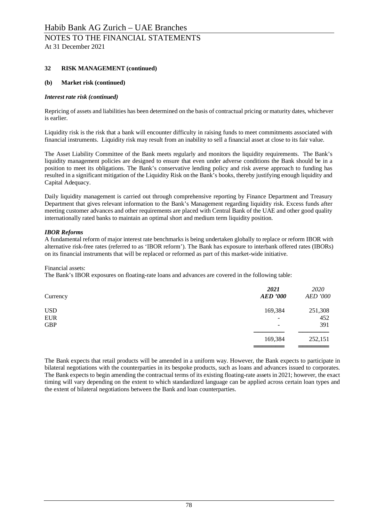#### **(b) Market risk (continued)**

#### *Interest rate risk (continued)*

Repricing of assets and liabilities has been determined on the basis of contractual pricing or maturity dates, whichever is earlier.

Liquidity risk is the risk that a bank will encounter difficulty in raising funds to meet commitments associated with financial instruments. Liquidity risk may result from an inability to sell a financial asset at close to its fair value.

The Asset Liability Committee of the Bank meets regularly and monitors the liquidity requirements. The Bank's liquidity management policies are designed to ensure that even under adverse conditions the Bank should be in a position to meet its obligations. The Bank's conservative lending policy and risk averse approach to funding has resulted in a significant mitigation of the Liquidity Risk on the Bank's books, thereby justifying enough liquidity and Capital Adequacy.

Daily liquidity management is carried out through comprehensive reporting by Finance Department and Treasury Department that gives relevant information to the Bank's Management regarding liquidity risk. Excess funds after meeting customer advances and other requirements are placed with Central Bank of the UAE and other good quality internationally rated banks to maintain an optimal short and medium term liquidity position.

#### *IBOR Reforms*

A fundamental reform of major interest rate benchmarks is being undertaken globally to replace or reform IBOR with alternative risk-free rates (referred to as 'IBOR reform'). The Bank has exposure to interbank offered rates (IBORs) on its financial instruments that will be replaced or reformed as part of this market-wide initiative.

Financial assets:

The Bank's IBOR exposures on floating-rate loans and advances are covered in the following table:

| 2021<br><b>AED</b> '000 | 2020<br>AED '000 |
|-------------------------|------------------|
| 169,384<br>-            | 251,308<br>452   |
| -                       | 391              |
| 169,384                 | 252,151          |
|                         |                  |

The Bank expects that retail products will be amended in a uniform way. However, the Bank expects to participate in bilateral negotiations with the counterparties in its bespoke products, such as loans and advances issued to corporates. The Bank expects to begin amending the contractual terms of its existing floating-rate assets in 2021; however, the exact timing will vary depending on the extent to which standardized language can be applied across certain loan types and the extent of bilateral negotiations between the Bank and loan counterparties.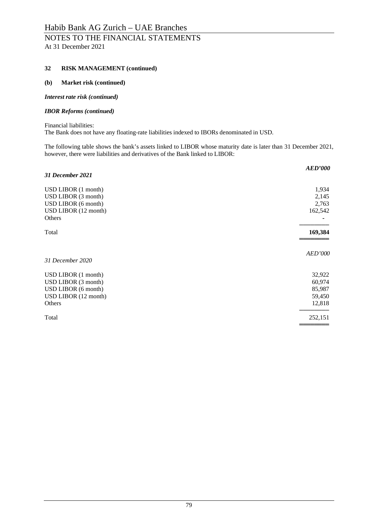At 31 December 2021

#### **32 RISK MANAGEMENT (continued)**

#### **(b) Market risk (continued)**

#### *Interest rate risk (continued)*

#### *IBOR Reforms (continued)*

Financial liabilities:

The Bank does not have any floating-rate liabilities indexed to IBORs denominated in USD.

The following table shows the bank's assets linked to LIBOR whose maturity date is later than 31 December 2021, however, there were liabilities and derivatives of the Bank linked to LIBOR:

| 31 December 2021     | <b>AED'000</b> |
|----------------------|----------------|
| USD LIBOR (1 month)  | 1,934          |
| USD LIBOR (3 month)  | 2,145          |
| USD LIBOR (6 month)  | 2,763          |
| USD LIBOR (12 month) | 162,542        |
| Others               |                |
| Total                | 169,384        |
| 31 December 2020     | AED'000        |
| USD LIBOR (1 month)  | 32,922         |
| USD LIBOR (3 month)  | 60,974         |
| USD LIBOR (6 month)  | 85,987         |
| USD LIBOR (12 month) | 59,450         |
| Others               | 12,818         |
| Total                | 252,151        |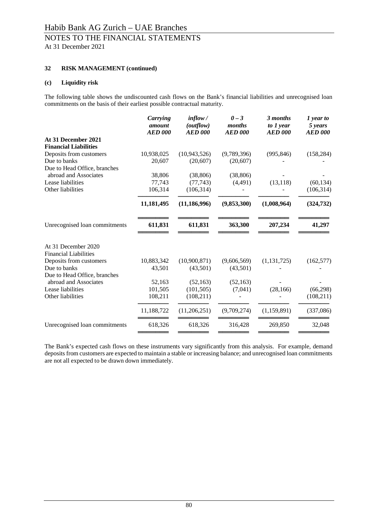#### **(c) Liquidity risk**

The following table shows the undiscounted cash flows on the Bank's financial liabilities and unrecognised loan commitments on the basis of their earliest possible contractual maturity.

| <b>AED 000</b> | (outflow)<br><b>AED 000</b> | months<br><b>AED 000</b> | to 1 year<br><b>AED 000</b> | 5 years<br><b>AED 000</b> |
|----------------|-----------------------------|--------------------------|-----------------------------|---------------------------|
|                |                             |                          |                             |                           |
|                |                             |                          |                             |                           |
| 10,938,025     | (10,943,526)                | (9,789,396)              | (995, 846)                  | (158, 284)                |
| 20,607         | (20,607)                    | (20,607)                 |                             |                           |
|                |                             |                          |                             |                           |
| 38,806         | (38, 806)                   | (38, 806)                |                             |                           |
| 77,743         | (77, 743)                   | (4, 491)                 | (13, 118)                   | (60, 134)                 |
| 106,314        | (106, 314)                  |                          |                             | (106, 314)                |
| 11,181,495     | (11, 186, 996)              | (9,853,300)              | (1,008,964)                 | (324, 732)                |
| 611,831        | 611,831                     | 363,300                  | 207,234                     | 41,297                    |
|                |                             |                          |                             |                           |
|                |                             |                          |                             |                           |
| 10,883,342     | (10,900,871)                | (9,606,569)              | (1, 131, 725)               | (162, 577)                |
| 43,501         | (43,501)                    | (43,501)                 |                             |                           |
|                |                             |                          |                             |                           |
| 52,163         | (52, 163)                   | (52, 163)                |                             |                           |
| 101,505        | (101, 505)                  | (7,041)                  |                             | (66, 298)                 |
| 108,211        | (108,211)                   |                          |                             | (108, 211)                |
| 11,188,722     | (11,206,251)                | (9,709,274)              | (1,159,891)                 | (337,086)                 |
| 618,326        | 618,326                     | 316,428                  | 269,850                     | 32,048                    |
|                |                             |                          |                             | (28, 166)                 |

The Bank's expected cash flows on these instruments vary significantly from this analysis. For example, demand deposits from customers are expected to maintain a stable or increasing balance; and unrecognised loan commitments are not all expected to be drawn down immediately.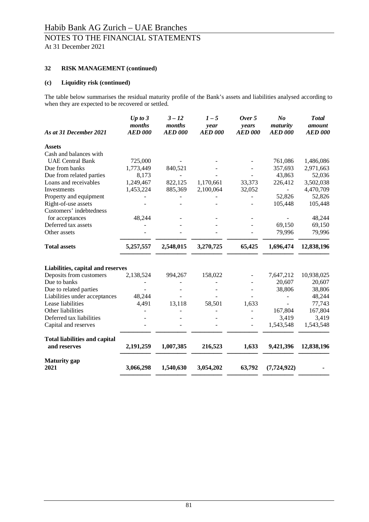#### **(c) Liquidity risk (continued)**

The table below summarises the residual maturity profile of the Bank's assets and liabilities analysed according to when they are expected to be recovered or settled.

| As at 31 December 2021                               | $Up$ to $3$<br>months<br><b>AED 000</b> | $3 - 12$<br>months<br><b>AED 000</b> | $1 - 5$<br>year<br><b>AED 000</b> | Over 5<br>years<br><b>AED 000</b> | N <sub>o</sub><br>maturity<br><b>AED 000</b> | <b>Total</b><br>amount<br><b>AED 000</b> |
|------------------------------------------------------|-----------------------------------------|--------------------------------------|-----------------------------------|-----------------------------------|----------------------------------------------|------------------------------------------|
|                                                      |                                         |                                      |                                   |                                   |                                              |                                          |
| <b>Assets</b>                                        |                                         |                                      |                                   |                                   |                                              |                                          |
| Cash and balances with                               |                                         |                                      |                                   |                                   |                                              |                                          |
| <b>UAE Central Bank</b>                              | 725,000                                 |                                      |                                   |                                   | 761,086                                      | 1,486,086                                |
| Due from banks                                       | 1,773,449                               | 840,521                              |                                   |                                   | 357,693                                      | 2,971,663                                |
| Due from related parties                             | 8,173                                   |                                      |                                   |                                   | 43,863                                       | 52,036                                   |
| Loans and receivables                                | 1,249,467                               | 822,125                              | 1,170,661                         | 33,373                            | 226,412                                      | 3,502,038                                |
| <b>Investments</b>                                   | 1,453,224                               | 885,369                              | 2,100,064                         | 32,052                            |                                              | 4,470,709                                |
| Property and equipment                               |                                         |                                      |                                   |                                   | 52,826                                       | 52,826                                   |
| Right-of-use assets                                  |                                         |                                      |                                   |                                   | 105,448                                      | 105,448                                  |
| Customers' indebtedness                              |                                         |                                      |                                   |                                   |                                              |                                          |
| for acceptances                                      | 48,244                                  |                                      |                                   |                                   |                                              | 48,244                                   |
| Deferred tax assets                                  |                                         |                                      |                                   |                                   | 69,150                                       | 69,150                                   |
| Other assets                                         |                                         |                                      |                                   |                                   | 79,996                                       | 79,996                                   |
| <b>Total assets</b>                                  | 5,257,557                               | 2,548,015                            | 3,270,725                         | 65,425                            | 1,696,474                                    | 12,838,196                               |
| Liabilities, capital and reserves                    |                                         |                                      |                                   |                                   |                                              |                                          |
| Deposits from customers                              | 2,138,524                               | 994,267                              | 158,022                           |                                   | 7,647,212                                    | 10,938,025                               |
| Due to banks                                         |                                         |                                      |                                   |                                   | 20,607                                       | 20,607                                   |
| Due to related parties                               |                                         |                                      |                                   |                                   | 38,806                                       | 38,806                                   |
| Liabilities under acceptances                        | 48,244                                  |                                      |                                   |                                   |                                              | 48,244                                   |
| Lease liabilities                                    | 4,491                                   | 13,118                               | 58,501                            | 1,633                             |                                              | 77,743                                   |
| Other liabilities                                    |                                         |                                      |                                   |                                   | 167,804                                      | 167,804                                  |
| Deferred tax liabilities                             |                                         |                                      |                                   |                                   | 3,419                                        | 3,419                                    |
| Capital and reserves                                 |                                         |                                      |                                   |                                   | 1,543,548                                    | 1,543,548                                |
| <b>Total liabilities and capital</b><br>and reserves | 2,191,259                               | 1,007,385                            | 216,523                           | 1,633                             | 9,421,396                                    | 12,838,196                               |
|                                                      |                                         |                                      |                                   |                                   |                                              |                                          |
| <b>Maturity</b> gap<br>2021                          | 3,066,298                               | 1,540,630                            | 3,054,202                         | 63,792                            | (7, 724, 922)                                |                                          |
|                                                      |                                         |                                      |                                   |                                   |                                              |                                          |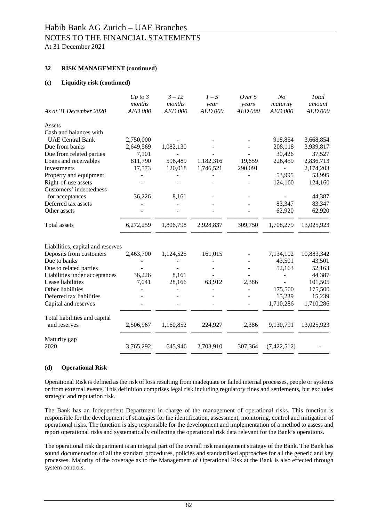#### **32 RISK MANAGEMENT (continued)**

#### **(c) Liquidity risk (continued)**

| As at 31 December 2020            | Up to $3$<br>months<br><b>AED 000</b> | $3 - 12$<br>months<br><b>AED 000</b> | $1-5$<br>year<br><b>AED 000</b> | Over $5$<br>years<br><b>AED 000</b> | N <sub>O</sub><br>maturity<br><b>AED 000</b> | Total<br>amount<br><b>AED 000</b> |
|-----------------------------------|---------------------------------------|--------------------------------------|---------------------------------|-------------------------------------|----------------------------------------------|-----------------------------------|
| Assets                            |                                       |                                      |                                 |                                     |                                              |                                   |
| Cash and balances with            |                                       |                                      |                                 |                                     |                                              |                                   |
| <b>UAE</b> Central Bank           | 2,750,000                             |                                      |                                 |                                     | 918,854                                      | 3,668,854                         |
| Due from banks                    | 2,649,569                             | 1,082,130                            |                                 |                                     | 208,118                                      | 3,939,817                         |
| Due from related parties          | 7,101                                 |                                      |                                 |                                     | 30,426                                       | 37,527                            |
| Loans and receivables             | 811,790                               | 596,489                              | 1,182,316                       | 19,659                              | 226,459                                      | 2,836,713                         |
| Investments                       | 17,573                                | 120,018                              | 1,746,521                       | 290,091                             |                                              | 2,174,203                         |
| Property and equipment            |                                       |                                      |                                 |                                     | 53,995                                       | 53,995                            |
| Right-of-use assets               |                                       |                                      |                                 |                                     | 124,160                                      | 124,160                           |
| Customers' indebtedness           |                                       |                                      |                                 |                                     |                                              |                                   |
| for acceptances                   | 36,226                                | 8,161                                |                                 |                                     |                                              | 44,387                            |
| Deferred tax assets               |                                       |                                      |                                 |                                     | 83,347                                       | 83,347                            |
| Other assets                      |                                       |                                      |                                 |                                     | 62,920                                       | 62,920                            |
| Total assets                      | 6,272,259                             | 1,806,798                            | 2,928,837                       | 309,750                             | 1,708,279                                    | 13,025,923                        |
| Liabilities, capital and reserves |                                       |                                      |                                 |                                     |                                              |                                   |
| Deposits from customers           | 2,463,700                             | 1,124,525                            | 161,015                         |                                     | 7,134,102                                    | 10,883,342                        |
| Due to banks                      |                                       |                                      |                                 |                                     | 43,501                                       | 43,501                            |
| Due to related parties            |                                       |                                      |                                 |                                     | 52,163                                       | 52,163                            |
| Liabilities under acceptances     | 36,226                                | 8,161                                |                                 |                                     |                                              | 44,387                            |
| Lease liabilities                 | 7,041                                 | 28,166                               | 63,912                          | 2,386                               |                                              | 101,505                           |
| Other liabilities                 |                                       |                                      |                                 |                                     | 175,500                                      | 175,500                           |
| Deferred tax liabilities          |                                       |                                      |                                 |                                     | 15,239                                       | 15,239                            |
| Capital and reserves              |                                       |                                      |                                 |                                     | 1,710,286                                    | 1,710,286                         |
| Total liabilities and capital     |                                       |                                      |                                 |                                     |                                              |                                   |
| and reserves                      | 2,506,967                             | 1,160,852                            | 224,927                         | 2,386                               | 9,130,791                                    | 13,025,923                        |
| Maturity gap                      |                                       |                                      |                                 |                                     |                                              |                                   |
| 2020                              | 3,765,292                             | 645,946                              | 2,703,910                       | 307,364                             | (7,422,512)                                  |                                   |

#### **(d) Operational Risk**

Operational Risk is defined as the risk of loss resulting from inadequate or failed internal processes, people or systems or from external events. This definition comprises legal risk including regulatory fines and settlements, but excludes strategic and reputation risk.

The Bank has an Independent Department in charge of the management of operational risks. This function is responsible for the development of strategies for the identification, assessment, monitoring, control and mitigation of operational risks. The function is also responsible for the development and implementation of a method to assess and report operational risks and systematically collecting the operational risk data relevant for the Bank's operations.

The operational risk department is an integral part of the overall risk management strategy of the Bank. The Bank has sound documentation of all the standard procedures, policies and standardised approaches for all the generic and key processes. Majority of the coverage as to the Management of Operational Risk at the Bank is also effected through system controls.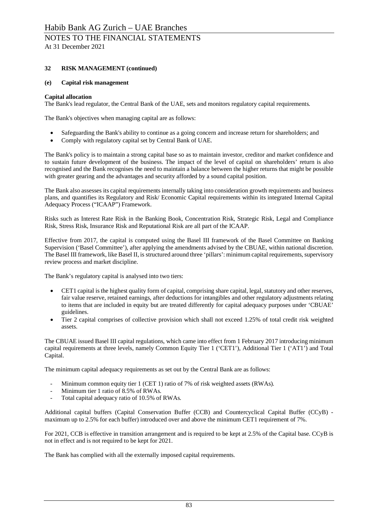#### **(e) Capital risk management**

#### **Capital allocation**

The Bank's lead regulator, the Central Bank of the UAE, sets and monitors regulatory capital requirements.

The Bank's objectives when managing capital are as follows:

- Safeguarding the Bank's ability to continue as a going concern and increase return for shareholders; and
- Comply with regulatory capital set by Central Bank of UAE.

The Bank's policy is to maintain a strong capital base so as to maintain investor, creditor and market confidence and to sustain future development of the business. The impact of the level of capital on shareholders' return is also recognised and the Bank recognises the need to maintain a balance between the higher returns that might be possible with greater gearing and the advantages and security afforded by a sound capital position.

The Bank also assesses its capital requirements internally taking into consideration growth requirements and business plans, and quantifies its Regulatory and Risk/ Economic Capital requirements within its integrated Internal Capital Adequacy Process ("ICAAP") Framework.

Risks such as Interest Rate Risk in the Banking Book, Concentration Risk, Strategic Risk, Legal and Compliance Risk, Stress Risk, Insurance Risk and Reputational Risk are all part of the ICAAP.

Effective from 2017, the capital is computed using the Basel III framework of the Basel Committee on Banking Supervision ('Basel Committee'), after applying the amendments advised by the CBUAE, within national discretion. The Basel III framework, like Basel II, is structured around three 'pillars': minimum capital requirements, supervisory review process and market discipline.

The Bank's regulatory capital is analysed into two tiers:

- CET1 capital is the highest quality form of capital, comprising share capital, legal, statutory and other reserves, fair value reserve, retained earnings, after deductions for intangibles and other regulatory adjustments relating to items that are included in equity but are treated differently for capital adequacy purposes under 'CBUAE' guidelines.
- Tier 2 capital comprises of collective provision which shall not exceed 1.25% of total credit risk weighted assets.

The CBUAE issued Basel III capital regulations, which came into effect from 1 February 2017 introducing minimum capital requirements at three levels, namely Common Equity Tier 1 ('CET1'), Additional Tier 1 ('AT1') and Total Capital.

The minimum capital adequacy requirements as set out by the Central Bank are as follows:

- Minimum common equity tier 1 (CET 1) ratio of 7% of risk weighted assets (RWAs).
- Minimum tier 1 ratio of 8.5% of RWAs.
- Total capital adequacy ratio of 10.5% of RWAs.

Additional capital buffers (Capital Conservation Buffer (CCB) and Countercyclical Capital Buffer (CCyB) maximum up to 2.5% for each buffer) introduced over and above the minimum CET1 requirement of 7%.

For 2021, CCB is effective in transition arrangement and is required to be kept at 2.5% of the Capital base. CCyB is not in effect and is not required to be kept for 2021.

The Bank has complied with all the externally imposed capital requirements.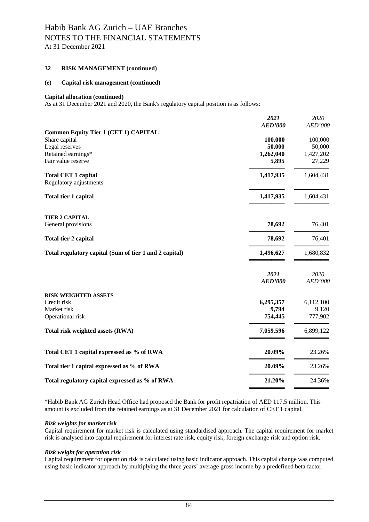#### **32 RISK MANAGEMENT (continued)**

#### **(e) Capital risk management (continued)**

#### **Capital allocation (continued)**

As at 31 December 2021 and 2020, the Bank's regulatory capital position is as follows:

|                                                        | 2021<br><b>AED'000</b> | 2020<br>AED'000 |
|--------------------------------------------------------|------------------------|-----------------|
| <b>Common Equity Tier 1 (CET 1) CAPITAL</b>            |                        |                 |
| Share capital                                          | 100,000                | 100,000         |
| Legal reserves                                         | 50,000                 | 50,000          |
| Retained earnings*                                     | 1,262,040              | 1,427,202       |
| Fair value reserve                                     | 5,895                  | 27,229          |
| <b>Total CET 1 capital</b>                             | 1,417,935              | 1,604,431       |
| <b>Regulatory adjustments</b>                          |                        |                 |
| <b>Total tier 1 capital</b>                            | 1,417,935              | 1,604,431       |
| <b>TIER 2 CAPITAL</b>                                  |                        |                 |
| General provisions                                     | 78,692                 | 76,401          |
| <b>Total tier 2 capital</b>                            | 78,692                 | 76,401          |
| Total regulatory capital (Sum of tier 1 and 2 capital) | 1,496,627              | 1,680,832       |
|                                                        | 2021                   | 2020            |
|                                                        | <b>AED'000</b>         | AED'000         |
| <b>RISK WEIGHTED ASSETS</b>                            |                        |                 |
| Credit risk                                            | 6,295,357              | 6,112,100       |
| Market risk                                            | 9,794                  | 9,120           |
| Operational risk                                       | 754,445                | 777,902         |
| Total risk weighted assets (RWA)                       | 7,059,596              | 6,899,122       |
| Total CET 1 capital expressed as % of RWA              | 20.09%                 | 23.26%          |
| Total tier 1 capital expressed as % of RWA             | 20.09%                 | 23.26%          |
| Total regulatory capital expressed as % of RWA         | 21.20%                 | 24.36%          |
|                                                        |                        |                 |

\*Habib Bank AG Zurich Head Office had proposed the Bank for profit repatriation of AED 117.5 million. This amount is excluded from the retained earnings as at 31 December 2021 for calculation of CET 1 capital.

#### *Risk weights for market risk*

Capital requirement for market risk is calculated using standardised approach. The capital requirement for market risk is analysed into capital requirement for interest rate risk, equity risk, foreign exchange risk and option risk.

#### *Risk weight for operation risk*

Capital requirement for operation risk is calculated using basic indicator approach. This capital change was computed using basic indicator approach by multiplying the three years' average gross income by a predefined beta factor.